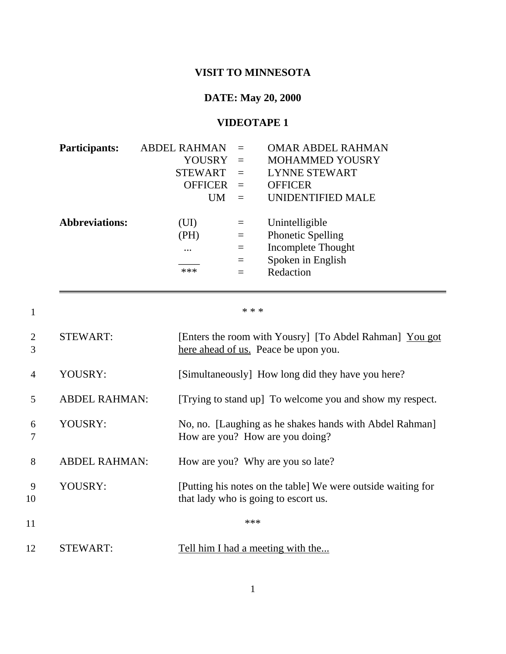## **VISIT TO MINNESOTA**

## **DATE: May 20, 2000**

## **VIDEOTAPE 1**

|                | <b>Participants:</b><br><b>Abbreviations:</b> | <b>ABDEL RAHMAN</b><br><b>YOUSRY</b><br><b>STEWART</b><br><b>OFFICER</b><br>UM<br>(UI)<br>(PH) | $=$<br>$=$<br>$=$<br>$=$<br>$=$<br>$\equiv$<br>$=$ | <b>OMAR ABDEL RAHMAN</b><br><b>MOHAMMED YOUSRY</b><br><b>LYNNE STEWART</b><br><b>OFFICER</b><br><b>UNIDENTIFIED MALE</b><br>Unintelligible<br><b>Phonetic Spelling</b> |
|----------------|-----------------------------------------------|------------------------------------------------------------------------------------------------|----------------------------------------------------|------------------------------------------------------------------------------------------------------------------------------------------------------------------------|
|                |                                               | $\cdots$                                                                                       | $=$                                                | Incomplete Thought                                                                                                                                                     |
|                |                                               | ***                                                                                            | $=$<br>$=$                                         | Spoken in English<br>Redaction                                                                                                                                         |
| $\mathbf{1}$   |                                               |                                                                                                | * * *                                              |                                                                                                                                                                        |
| 2<br>3         | <b>STEWART:</b>                               |                                                                                                |                                                    | [Enters the room with Yousry] [To Abdel Rahman] You got<br>here ahead of us. Peace be upon you.                                                                        |
| $\overline{4}$ | YOUSRY:                                       |                                                                                                |                                                    | [Simultaneously] How long did they have you here?                                                                                                                      |
| 5              | <b>ABDEL RAHMAN:</b>                          |                                                                                                |                                                    | [Trying to stand up] To welcome you and show my respect.                                                                                                               |
| 6<br>7         | YOUSRY:                                       |                                                                                                |                                                    | No, no. [Laughing as he shakes hands with Abdel Rahman]<br>How are you? How are you doing?                                                                             |
| 8              | <b>ABDEL RAHMAN:</b>                          |                                                                                                |                                                    | How are you? Why are you so late?                                                                                                                                      |
| 9<br>10        | YOUSRY:                                       |                                                                                                |                                                    | [Putting his notes on the table] We were outside waiting for<br>that lady who is going to escort us.                                                                   |
| 11             |                                               |                                                                                                | ***                                                |                                                                                                                                                                        |
| 12             | <b>STEWART:</b>                               |                                                                                                |                                                    | Tell him I had a meeting with the                                                                                                                                      |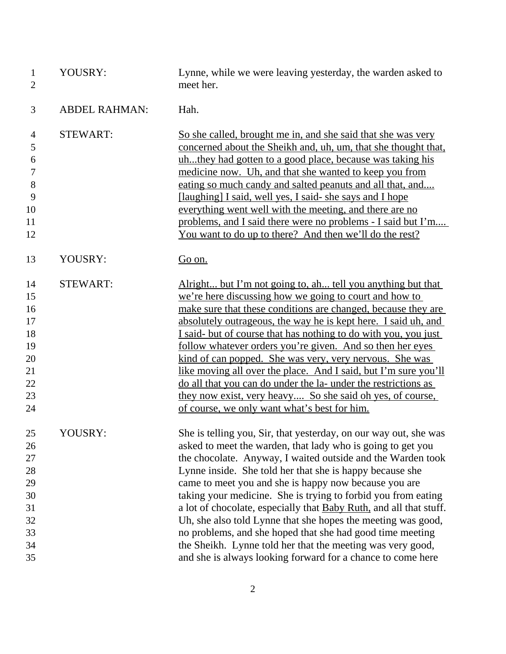| $\mathbf{1}$<br>$\overline{2}$ | YOUSRY:              | Lynne, while we were leaving yesterday, the warden asked to<br>meet her.                                                |
|--------------------------------|----------------------|-------------------------------------------------------------------------------------------------------------------------|
| 3                              | <b>ABDEL RAHMAN:</b> | Hah.                                                                                                                    |
| 4                              | <b>STEWART:</b>      | So she called, brought me in, and she said that she was very                                                            |
| 5                              |                      | concerned about the Sheikh and, uh, um, that she thought that,                                                          |
| 6                              |                      | uhthey had gotten to a good place, because was taking his                                                               |
| $\tau$                         |                      | medicine now. Uh, and that she wanted to keep you from                                                                  |
| $8\,$                          |                      | eating so much candy and salted peanuts and all that, and                                                               |
| 9                              |                      | [laughing] I said, well yes, I said- she says and I hope                                                                |
| 10<br>11                       |                      | everything went well with the meeting, and there are no                                                                 |
| 12                             |                      | problems, and I said there were no problems - I said but I'm<br>You want to do up to there? And then we'll do the rest? |
| 13                             | YOUSRY:              | Go on.                                                                                                                  |
| 14                             | <b>STEWART:</b>      | Alright but I'm not going to, ah tell you anything but that                                                             |
| 15                             |                      | we're here discussing how we going to court and how to                                                                  |
| 16                             |                      | make sure that these conditions are changed, because they are                                                           |
| 17                             |                      | absolutely outrageous, the way he is kept here. I said uh, and                                                          |
| 18                             |                      | I said- but of course that has nothing to do with you, you just                                                         |
| 19                             |                      | follow whatever orders you're given. And so then her eyes                                                               |
| 20                             |                      | kind of can popped. She was very, very nervous. She was                                                                 |
| 21                             |                      | like moving all over the place. And I said, but I'm sure you'll                                                         |
| 22                             |                      | do all that you can do under the la- under the restrictions as                                                          |
| 23                             |                      | they now exist, very heavy So she said oh yes, of course,                                                               |
| 24                             |                      | of course, we only want what's best for him.                                                                            |
| 25                             | YOUSRY:              | She is telling you, Sir, that yesterday, on our way out, she was                                                        |
| 26                             |                      | asked to meet the warden, that lady who is going to get you                                                             |
| 27                             |                      | the chocolate. Anyway, I waited outside and the Warden took                                                             |
| 28                             |                      | Lynne inside. She told her that she is happy because she                                                                |
| 29                             |                      | came to meet you and she is happy now because you are                                                                   |
| 30                             |                      | taking your medicine. She is trying to forbid you from eating                                                           |
| 31                             |                      | a lot of chocolate, especially that <b>Baby Ruth</b> , and all that stuff.                                              |
| 32                             |                      | Uh, she also told Lynne that she hopes the meeting was good,                                                            |
| 33                             |                      | no problems, and she hoped that she had good time meeting                                                               |
| 34                             |                      | the Sheikh. Lynne told her that the meeting was very good,                                                              |
| 35                             |                      | and she is always looking forward for a chance to come here                                                             |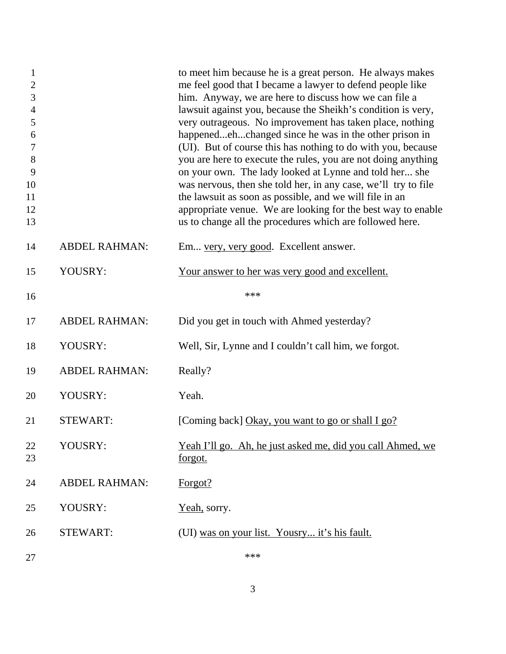| $\mathbf{1}$<br>$\overline{2}$<br>3<br>$\overline{4}$<br>5<br>6<br>$\tau$<br>8<br>9<br>10<br>11<br>12<br>13 |                      | to meet him because he is a great person. He always makes<br>me feel good that I became a lawyer to defend people like<br>him. Anyway, we are here to discuss how we can file a<br>lawsuit against you, because the Sheikh's condition is very,<br>very outrageous. No improvement has taken place, nothing<br>happenedehchanged since he was in the other prison in<br>(UI). But of course this has nothing to do with you, because<br>you are here to execute the rules, you are not doing anything<br>on your own. The lady looked at Lynne and told her she<br>was nervous, then she told her, in any case, we'll try to file<br>the lawsuit as soon as possible, and we will file in an<br>appropriate venue. We are looking for the best way to enable<br>us to change all the procedures which are followed here. |
|-------------------------------------------------------------------------------------------------------------|----------------------|--------------------------------------------------------------------------------------------------------------------------------------------------------------------------------------------------------------------------------------------------------------------------------------------------------------------------------------------------------------------------------------------------------------------------------------------------------------------------------------------------------------------------------------------------------------------------------------------------------------------------------------------------------------------------------------------------------------------------------------------------------------------------------------------------------------------------|
| 14                                                                                                          | <b>ABDEL RAHMAN:</b> | Em very, very good. Excellent answer.                                                                                                                                                                                                                                                                                                                                                                                                                                                                                                                                                                                                                                                                                                                                                                                    |
| 15                                                                                                          | YOUSRY:              | Your answer to her was very good and excellent.                                                                                                                                                                                                                                                                                                                                                                                                                                                                                                                                                                                                                                                                                                                                                                          |
| 16                                                                                                          |                      | ***                                                                                                                                                                                                                                                                                                                                                                                                                                                                                                                                                                                                                                                                                                                                                                                                                      |
| 17                                                                                                          | <b>ABDEL RAHMAN:</b> | Did you get in touch with Ahmed yesterday?                                                                                                                                                                                                                                                                                                                                                                                                                                                                                                                                                                                                                                                                                                                                                                               |
| 18                                                                                                          | YOUSRY:              | Well, Sir, Lynne and I couldn't call him, we forgot.                                                                                                                                                                                                                                                                                                                                                                                                                                                                                                                                                                                                                                                                                                                                                                     |
| 19                                                                                                          | <b>ABDEL RAHMAN:</b> | Really?                                                                                                                                                                                                                                                                                                                                                                                                                                                                                                                                                                                                                                                                                                                                                                                                                  |
| 20                                                                                                          | YOUSRY:              | Yeah.                                                                                                                                                                                                                                                                                                                                                                                                                                                                                                                                                                                                                                                                                                                                                                                                                    |
| 21                                                                                                          | <b>STEWART:</b>      | [Coming back] Okay, you want to go or shall I go?                                                                                                                                                                                                                                                                                                                                                                                                                                                                                                                                                                                                                                                                                                                                                                        |
| 22<br>23                                                                                                    | YOUSRY:              | <u>Yeah I'll go. Ah, he just asked me, did you call Ahmed, we</u><br><u>forgot.</u>                                                                                                                                                                                                                                                                                                                                                                                                                                                                                                                                                                                                                                                                                                                                      |
| 24                                                                                                          | <b>ABDEL RAHMAN:</b> | Forgot?                                                                                                                                                                                                                                                                                                                                                                                                                                                                                                                                                                                                                                                                                                                                                                                                                  |
| 25                                                                                                          | YOUSRY:              | Yeah, sorry.                                                                                                                                                                                                                                                                                                                                                                                                                                                                                                                                                                                                                                                                                                                                                                                                             |
| 26                                                                                                          | <b>STEWART:</b>      | (UI) was on your list. Yousry it's his fault.                                                                                                                                                                                                                                                                                                                                                                                                                                                                                                                                                                                                                                                                                                                                                                            |
| 27                                                                                                          |                      | ***                                                                                                                                                                                                                                                                                                                                                                                                                                                                                                                                                                                                                                                                                                                                                                                                                      |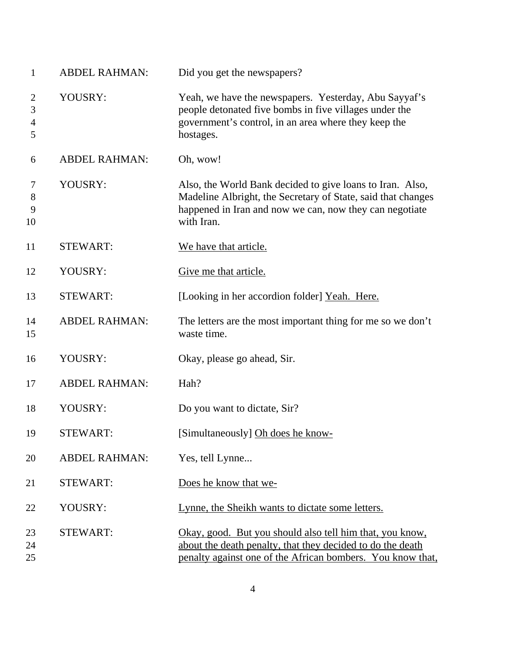| $\mathbf{1}$                               | <b>ABDEL RAHMAN:</b> | Did you get the newspapers?                                                                                                                                                                        |
|--------------------------------------------|----------------------|----------------------------------------------------------------------------------------------------------------------------------------------------------------------------------------------------|
| $\overline{2}$<br>3<br>$\overline{4}$<br>5 | YOUSRY:              | Yeah, we have the newspapers. Yesterday, Abu Sayyaf's<br>people detonated five bombs in five villages under the<br>government's control, in an area where they keep the<br>hostages.               |
| 6                                          | <b>ABDEL RAHMAN:</b> | Oh, wow!                                                                                                                                                                                           |
| 7<br>8<br>9<br>10                          | YOUSRY:              | Also, the World Bank decided to give loans to Iran. Also,<br>Madeline Albright, the Secretary of State, said that changes<br>happened in Iran and now we can, now they can negotiate<br>with Iran. |
| 11                                         | <b>STEWART:</b>      | We have that article.                                                                                                                                                                              |
| 12                                         | YOUSRY:              | Give me that article.                                                                                                                                                                              |
| 13                                         | <b>STEWART:</b>      | [Looking in her accordion folder] Yeah. Here.                                                                                                                                                      |
| 14<br>15                                   | <b>ABDEL RAHMAN:</b> | The letters are the most important thing for me so we don't<br>waste time.                                                                                                                         |
| 16                                         | YOUSRY:              | Okay, please go ahead, Sir.                                                                                                                                                                        |
| 17                                         | <b>ABDEL RAHMAN:</b> | Hah?                                                                                                                                                                                               |
| 18                                         | YOUSRY:              | Do you want to dictate, Sir?                                                                                                                                                                       |
| 19                                         | STEWART:             | [Simultaneously] Oh does he know-                                                                                                                                                                  |
| 20                                         | <b>ABDEL RAHMAN:</b> | Yes, tell Lynne                                                                                                                                                                                    |
| 21                                         | <b>STEWART:</b>      | Does he know that we-                                                                                                                                                                              |
| 22                                         | YOUSRY:              | Lynne, the Sheikh wants to dictate some letters.                                                                                                                                                   |
| 23<br>24<br>25                             | <b>STEWART:</b>      | Okay, good. But you should also tell him that, you know,<br>about the death penalty, that they decided to do the death<br>penalty against one of the African bombers. You know that,               |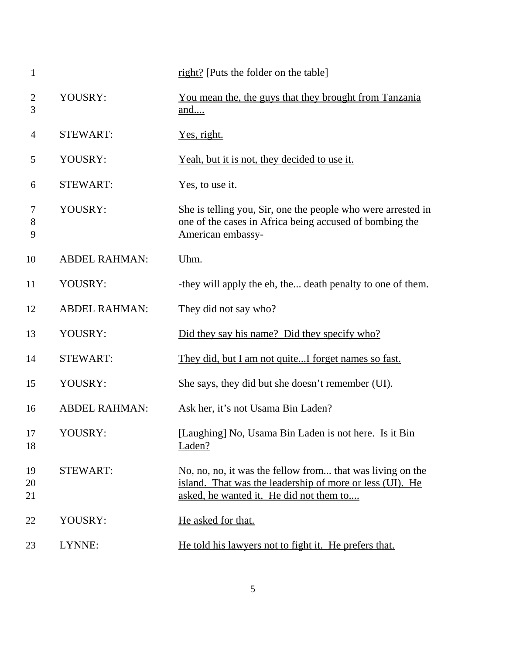| $\mathbf{1}$        |                      | right? [Puts the folder on the table]                                                                                                                            |
|---------------------|----------------------|------------------------------------------------------------------------------------------------------------------------------------------------------------------|
| $\overline{2}$<br>3 | YOUSRY:              | <u>You mean the, the guys that they brought from Tanzania</u><br>and                                                                                             |
| $\overline{4}$      | <b>STEWART:</b>      | <u>Yes, right.</u>                                                                                                                                               |
| 5                   | YOUSRY:              | <u>Yeah, but it is not, they decided to use it.</u>                                                                                                              |
| 6                   | <b>STEWART:</b>      | <u>Yes, to use it.</u>                                                                                                                                           |
| 7<br>8<br>9         | YOUSRY:              | She is telling you, Sir, one the people who were arrested in<br>one of the cases in Africa being accused of bombing the<br>American embassy-                     |
| 10                  | <b>ABDEL RAHMAN:</b> | Uhm.                                                                                                                                                             |
| 11                  | YOUSRY:              | -they will apply the eh, the death penalty to one of them.                                                                                                       |
| 12                  | <b>ABDEL RAHMAN:</b> | They did not say who?                                                                                                                                            |
| 13                  | YOUSRY:              | Did they say his name? Did they specify who?                                                                                                                     |
| 14                  | <b>STEWART:</b>      | They did, but I am not quiteI forget names so fast.                                                                                                              |
| 15                  | YOUSRY:              | She says, they did but she doesn't remember (UI).                                                                                                                |
| 16                  | <b>ABDEL RAHMAN:</b> | Ask her, it's not Usama Bin Laden?                                                                                                                               |
| 17<br>18            | YOUSRY:              | [Laughing] No, Usama Bin Laden is not here. Is it Bin<br>Laden?                                                                                                  |
| 19<br>20<br>21      | <b>STEWART:</b>      | No, no, no, it was the fellow from that was living on the<br>island. That was the leadership of more or less (UI). He<br>asked, he wanted it. He did not them to |
| 22                  | YOUSRY:              | He asked for that.                                                                                                                                               |
| 23                  | LYNNE:               | He told his lawyers not to fight it. He prefers that.                                                                                                            |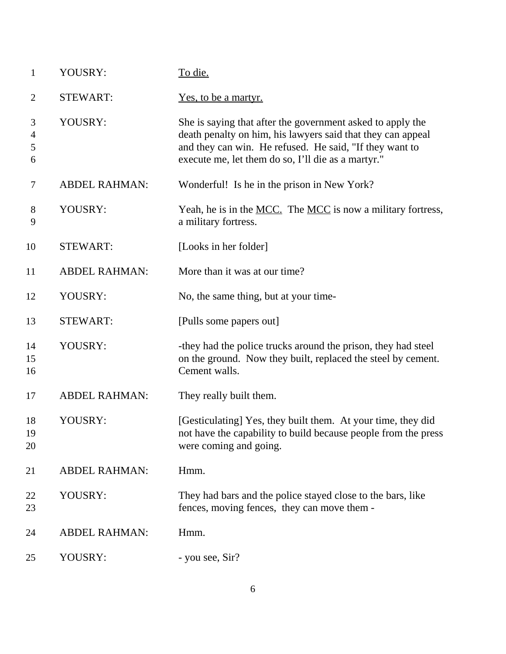| $\mathbf{1}$     | YOUSRY:              | To die.                                                                                                                                                                                                                                    |
|------------------|----------------------|--------------------------------------------------------------------------------------------------------------------------------------------------------------------------------------------------------------------------------------------|
| $\overline{2}$   | <b>STEWART:</b>      | Yes, to be a martyr.                                                                                                                                                                                                                       |
| 3<br>4<br>5<br>6 | YOUSRY:              | She is saying that after the government asked to apply the<br>death penalty on him, his lawyers said that they can appeal<br>and they can win. He refused. He said, "If they want to<br>execute me, let them do so, I'll die as a martyr." |
| $\tau$           | <b>ABDEL RAHMAN:</b> | Wonderful! Is he in the prison in New York?                                                                                                                                                                                                |
| 8<br>9           | YOUSRY:              | Yeah, he is in the <u>MCC.</u> The <u>MCC</u> is now a military fortress,<br>a military fortress.                                                                                                                                          |
| 10               | <b>STEWART:</b>      | [Looks in her folder]                                                                                                                                                                                                                      |
| 11               | <b>ABDEL RAHMAN:</b> | More than it was at our time?                                                                                                                                                                                                              |
| 12               | YOUSRY:              | No, the same thing, but at your time-                                                                                                                                                                                                      |
| 13               | <b>STEWART:</b>      | [Pulls some papers out]                                                                                                                                                                                                                    |
| 14<br>15<br>16   | YOUSRY:              | -they had the police trucks around the prison, they had steel<br>on the ground. Now they built, replaced the steel by cement.<br>Cement walls.                                                                                             |
| 17               | <b>ABDEL RAHMAN:</b> | They really built them.                                                                                                                                                                                                                    |
| 18<br>19<br>20   | YOUSRY:              | [Gesticulating] Yes, they built them. At your time, they did<br>not have the capability to build because people from the press<br>were coming and going.                                                                                   |
| 21               | <b>ABDEL RAHMAN:</b> | Hmm.                                                                                                                                                                                                                                       |
| 22<br>23         | YOUSRY:              | They had bars and the police stayed close to the bars, like<br>fences, moving fences, they can move them -                                                                                                                                 |
| 24               | <b>ABDEL RAHMAN:</b> | Hmm.                                                                                                                                                                                                                                       |
| 25               | YOUSRY:              | - you see, Sir?                                                                                                                                                                                                                            |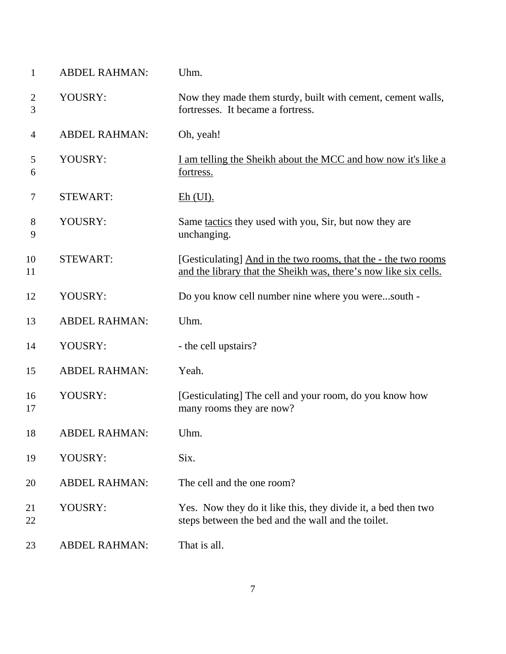| $\mathbf{1}$   | <b>ABDEL RAHMAN:</b> | Uhm.                                                                                                                               |
|----------------|----------------------|------------------------------------------------------------------------------------------------------------------------------------|
| 2<br>3         | YOUSRY:              | Now they made them sturdy, built with cement, cement walls,<br>fortresses. It became a fortress.                                   |
| $\overline{4}$ | <b>ABDEL RAHMAN:</b> | Oh, yeah!                                                                                                                          |
| 5<br>6         | YOUSRY:              | <u>I am telling the Sheikh about the MCC and how now it's like a</u><br>fortress.                                                  |
| 7              | <b>STEWART:</b>      | $Eh$ (UI).                                                                                                                         |
| 8<br>9         | YOUSRY:              | Same <u>tactics</u> they used with you, Sir, but now they are<br>unchanging.                                                       |
| 10<br>11       | <b>STEWART:</b>      | [Gesticulating] And in the two rooms, that the - the two rooms<br>and the library that the Sheikh was, there's now like six cells. |
| 12             | YOUSRY:              | Do you know cell number nine where you weresouth -                                                                                 |
| 13             | <b>ABDEL RAHMAN:</b> | Uhm.                                                                                                                               |
| 14             | YOUSRY:              | - the cell upstairs?                                                                                                               |
| 15             | <b>ABDEL RAHMAN:</b> | Yeah.                                                                                                                              |
| 16<br>17       | YOUSRY:              | [Gesticulating] The cell and your room, do you know how<br>many rooms they are now?                                                |
| 18             | <b>ABDEL RAHMAN:</b> | Uhm.                                                                                                                               |
| 19             | YOUSRY:              | Six.                                                                                                                               |
| 20             | <b>ABDEL RAHMAN:</b> | The cell and the one room?                                                                                                         |
| 21<br>22       | YOUSRY:              | Yes. Now they do it like this, they divide it, a bed then two<br>steps between the bed and the wall and the toilet.                |
| 23             | <b>ABDEL RAHMAN:</b> | That is all.                                                                                                                       |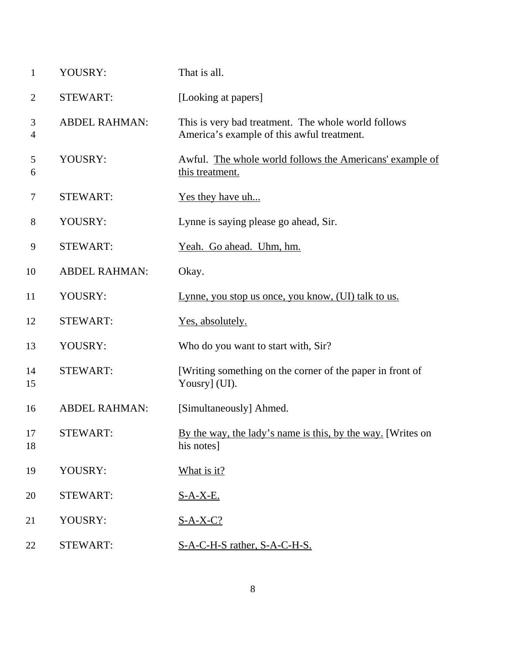| 1                   | YOUSRY:              | That is all.                                                                                      |
|---------------------|----------------------|---------------------------------------------------------------------------------------------------|
| $\overline{2}$      | <b>STEWART:</b>      | [Looking at papers]                                                                               |
| 3<br>$\overline{4}$ | <b>ABDEL RAHMAN:</b> | This is very bad treatment. The whole world follows<br>America's example of this awful treatment. |
| 5<br>6              | YOUSRY:              | Awful. The whole world follows the Americans' example of<br>this treatment.                       |
| $\tau$              | <b>STEWART:</b>      | <u>Yes they have uh</u>                                                                           |
| 8                   | YOUSRY:              | Lynne is saying please go ahead, Sir.                                                             |
| 9                   | <b>STEWART:</b>      | Yeah. Go ahead. Uhm, hm.                                                                          |
| 10                  | <b>ABDEL RAHMAN:</b> | Okay.                                                                                             |
| 11                  | YOUSRY:              | Lynne, you stop us once, you know, (UI) talk to us.                                               |
| 12                  | <b>STEWART:</b>      | Yes, absolutely.                                                                                  |
| 13                  | YOUSRY:              | Who do you want to start with, Sir?                                                               |
| 14<br>15            | <b>STEWART:</b>      | [Writing something on the corner of the paper in front of<br>Yousry] (UI).                        |
| 16                  | <b>ABDEL RAHMAN:</b> | [Simultaneously] Ahmed.                                                                           |
| 17<br>18            | STEWART:             | By the way, the lady's name is this, by the way. [Writes on<br>his notes]                         |
| 19                  | YOUSRY:              | What is it?                                                                                       |
| 20                  | <b>STEWART:</b>      | <u>S-A-X-E.</u>                                                                                   |
| 21                  | YOUSRY:              | $S-A-X-C?$                                                                                        |
| 22                  | <b>STEWART:</b>      | S-A-C-H-S rather, S-A-C-H-S.                                                                      |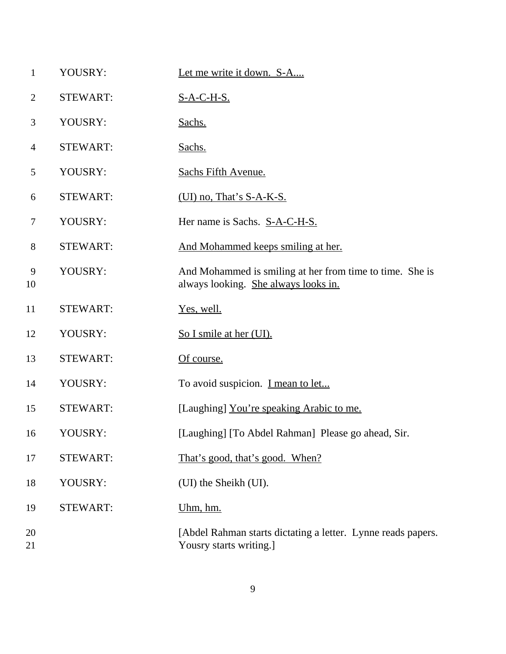| $\mathbf{1}$   | YOUSRY:         | Let me write it down. S-A                                                                        |
|----------------|-----------------|--------------------------------------------------------------------------------------------------|
| $\overline{2}$ | <b>STEWART:</b> | <u>S-A-C-H-S.</u>                                                                                |
| 3              | YOUSRY:         | Sachs.                                                                                           |
| $\overline{4}$ | <b>STEWART:</b> | Sachs.                                                                                           |
| 5              | YOUSRY:         | Sachs Fifth Avenue.                                                                              |
| 6              | <b>STEWART:</b> | (UI) no, That's $S-A-K-S$ .                                                                      |
| $\tau$         | YOUSRY:         | Her name is Sachs. S-A-C-H-S.                                                                    |
| 8              | <b>STEWART:</b> | And Mohammed keeps smiling at her.                                                               |
| 9<br>10        | YOUSRY:         | And Mohammed is smiling at her from time to time. She is<br>always looking. She always looks in. |
| 11             | <b>STEWART:</b> | Yes, well.                                                                                       |
| 12             | YOUSRY:         | So I smile at her (UI).                                                                          |
| 13             | <b>STEWART:</b> | Of course.                                                                                       |
| 14             | YOUSRY:         | To avoid suspicion. I mean to let                                                                |
| 15             | <b>STEWART:</b> | [Laughing] You're speaking Arabic to me.                                                         |
| 16             | YOUSRY:         | [Laughing] [To Abdel Rahman] Please go ahead, Sir.                                               |
| 17             | <b>STEWART:</b> | That's good, that's good. When?                                                                  |
| 18             | YOUSRY:         | (UI) the Sheikh (UI).                                                                            |
| 19             | <b>STEWART:</b> | Uhm, hm.                                                                                         |
| 20<br>21       |                 | [Abdel Rahman starts dictating a letter. Lynne reads papers.<br>Yousry starts writing.]          |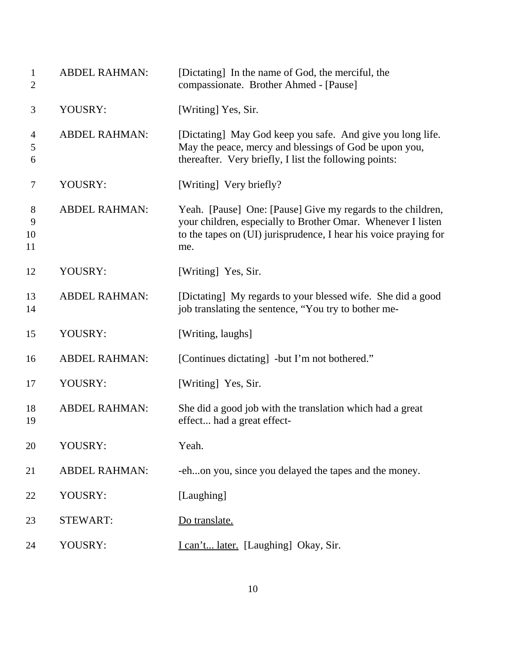| $\mathbf{1}$<br>$\overline{2}$ | <b>ABDEL RAHMAN:</b> | [Dictating] In the name of God, the merciful, the<br>compassionate. Brother Ahmed - [Pause]                                                                                                            |
|--------------------------------|----------------------|--------------------------------------------------------------------------------------------------------------------------------------------------------------------------------------------------------|
| 3                              | YOUSRY:              | [Writing] Yes, Sir.                                                                                                                                                                                    |
| 4<br>5<br>6                    | <b>ABDEL RAHMAN:</b> | [Dictating] May God keep you safe. And give you long life.<br>May the peace, mercy and blessings of God be upon you,<br>thereafter. Very briefly, I list the following points:                         |
| 7                              | YOUSRY:              | [Writing] Very briefly?                                                                                                                                                                                |
| 8<br>9<br>10<br>11             | <b>ABDEL RAHMAN:</b> | Yeah. [Pause] One: [Pause] Give my regards to the children,<br>your children, especially to Brother Omar. Whenever I listen<br>to the tapes on (UI) jurisprudence, I hear his voice praying for<br>me. |
| 12                             | YOUSRY:              | [Writing] Yes, Sir.                                                                                                                                                                                    |
| 13<br>14                       | <b>ABDEL RAHMAN:</b> | [Dictating] My regards to your blessed wife. She did a good<br>job translating the sentence, "You try to bother me-                                                                                    |
| 15                             | YOUSRY:              | [Writing, laughs]                                                                                                                                                                                      |
| 16                             | <b>ABDEL RAHMAN:</b> | [Continues dictating] -but I'm not bothered."                                                                                                                                                          |
| 17                             | YOUSRY:              | [Writing] Yes, Sir.                                                                                                                                                                                    |
| 18<br>19                       | <b>ABDEL RAHMAN:</b> | She did a good job with the translation which had a great<br>effect had a great effect-                                                                                                                |
| 20                             | YOUSRY:              | Yeah.                                                                                                                                                                                                  |
| 21                             | <b>ABDEL RAHMAN:</b> | -ehon you, since you delayed the tapes and the money.                                                                                                                                                  |
| 22                             | YOUSRY:              | [Laughing]                                                                                                                                                                                             |
| 23                             | <b>STEWART:</b>      | Do translate.                                                                                                                                                                                          |
| 24                             | YOUSRY:              | I can't later. [Laughing] Okay, Sir.                                                                                                                                                                   |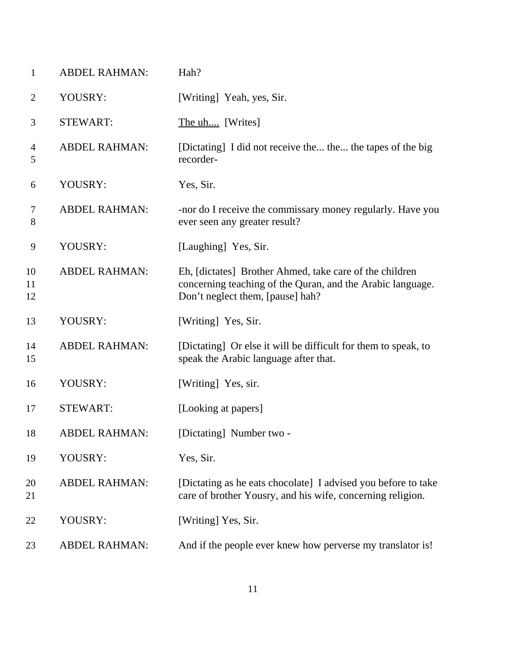| $\mathbf{1}$   | <b>ABDEL RAHMAN:</b> | Hah?                                                                                                                                                      |
|----------------|----------------------|-----------------------------------------------------------------------------------------------------------------------------------------------------------|
| 2              | YOUSRY:              | [Writing] Yeah, yes, Sir.                                                                                                                                 |
| 3              | <b>STEWART:</b>      | The uh [Writes]                                                                                                                                           |
| 4<br>5         | <b>ABDEL RAHMAN:</b> | [Dictating] I did not receive the the the tapes of the big<br>recorder-                                                                                   |
| 6              | YOUSRY:              | Yes, Sir.                                                                                                                                                 |
| 7<br>8         | <b>ABDEL RAHMAN:</b> | -nor do I receive the commissary money regularly. Have you<br>ever seen any greater result?                                                               |
| 9              | YOUSRY:              | [Laughing] Yes, Sir.                                                                                                                                      |
| 10<br>11<br>12 | <b>ABDEL RAHMAN:</b> | Eh, [dictates] Brother Ahmed, take care of the children<br>concerning teaching of the Quran, and the Arabic language.<br>Don't neglect them, [pause] hah? |
| 13             | YOUSRY:              | [Writing] Yes, Sir.                                                                                                                                       |
| 14<br>15       | <b>ABDEL RAHMAN:</b> | [Dictating] Or else it will be difficult for them to speak, to<br>speak the Arabic language after that.                                                   |
| 16             | YOUSRY:              | [Writing] Yes, sir.                                                                                                                                       |
| 17             | <b>STEWART:</b>      | [Looking at papers]                                                                                                                                       |
| 18             | <b>ABDEL RAHMAN:</b> | [Dictating] Number two -                                                                                                                                  |
| 19             | YOUSRY:              | Yes, Sir.                                                                                                                                                 |
| 20<br>21       | <b>ABDEL RAHMAN:</b> | [Dictating as he eats chocolate] I advised you before to take<br>care of brother Yousry, and his wife, concerning religion.                               |
| 22             | YOUSRY:              | [Writing] Yes, Sir.                                                                                                                                       |
| 23             | <b>ABDEL RAHMAN:</b> | And if the people ever knew how perverse my translator is!                                                                                                |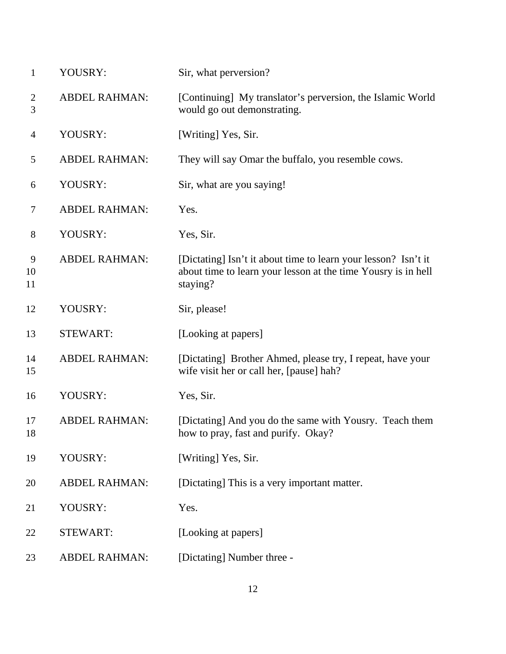| $\mathbf{1}$        | YOUSRY:              | Sir, what perversion?                                                                                                                       |
|---------------------|----------------------|---------------------------------------------------------------------------------------------------------------------------------------------|
| $\overline{2}$<br>3 | <b>ABDEL RAHMAN:</b> | [Continuing] My translator's perversion, the Islamic World<br>would go out demonstrating.                                                   |
| $\overline{4}$      | YOUSRY:              | [Writing] Yes, Sir.                                                                                                                         |
| 5                   | <b>ABDEL RAHMAN:</b> | They will say Omar the buffalo, you resemble cows.                                                                                          |
| 6                   | YOUSRY:              | Sir, what are you saying!                                                                                                                   |
| 7                   | <b>ABDEL RAHMAN:</b> | Yes.                                                                                                                                        |
| $8\phantom{.}$      | YOUSRY:              | Yes, Sir.                                                                                                                                   |
| 9<br>10<br>11       | <b>ABDEL RAHMAN:</b> | [Dictating] Isn't it about time to learn your lesson? Isn't it<br>about time to learn your lesson at the time Yousry is in hell<br>staying? |
| 12                  | YOUSRY:              | Sir, please!                                                                                                                                |
| 13                  | <b>STEWART:</b>      | [Looking at papers]                                                                                                                         |
| 14<br>15            | <b>ABDEL RAHMAN:</b> | [Dictating] Brother Ahmed, please try, I repeat, have your<br>wife visit her or call her, [pause] hah?                                      |
| 16                  | YOUSRY:              | Yes, Sir.                                                                                                                                   |
| 17<br>18            | <b>ABDEL RAHMAN:</b> | [Dictating] And you do the same with Yousry. Teach them<br>how to pray, fast and purify. Okay?                                              |
| 19                  | YOUSRY:              | [Writing] Yes, Sir.                                                                                                                         |
| 20                  | <b>ABDEL RAHMAN:</b> | [Dictating] This is a very important matter.                                                                                                |
| 21                  | YOUSRY:              | Yes.                                                                                                                                        |
| 22                  | <b>STEWART:</b>      | [Looking at papers]                                                                                                                         |
| 23                  | <b>ABDEL RAHMAN:</b> | [Dictating] Number three -                                                                                                                  |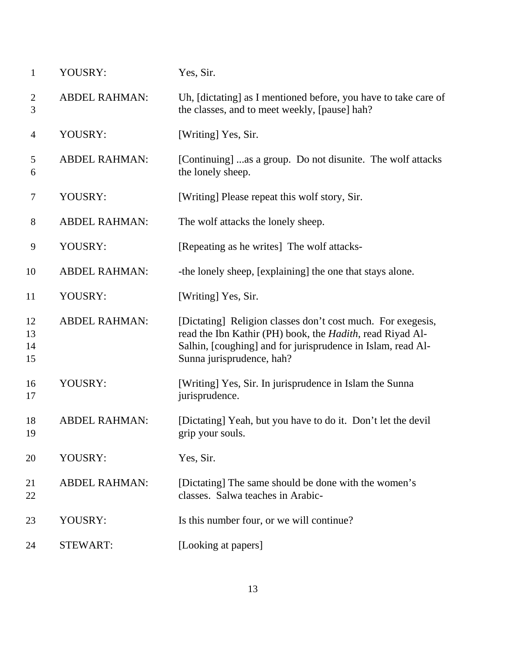| $\mathbf{1}$         | YOUSRY:              | Yes, Sir.                                                                                                                                                                                                                    |
|----------------------|----------------------|------------------------------------------------------------------------------------------------------------------------------------------------------------------------------------------------------------------------------|
| $\overline{2}$<br>3  | <b>ABDEL RAHMAN:</b> | Uh, [dictating] as I mentioned before, you have to take care of<br>the classes, and to meet weekly, [pause] hah?                                                                                                             |
| $\overline{4}$       | YOUSRY:              | [Writing] Yes, Sir.                                                                                                                                                                                                          |
| 5<br>6               | <b>ABDEL RAHMAN:</b> | [Continuing] as a group. Do not disunite. The wolf attacks<br>the lonely sheep.                                                                                                                                              |
| $\boldsymbol{7}$     | YOUSRY:              | [Writing] Please repeat this wolf story, Sir.                                                                                                                                                                                |
| $8\,$                | <b>ABDEL RAHMAN:</b> | The wolf attacks the lonely sheep.                                                                                                                                                                                           |
| 9                    | YOUSRY:              | [Repeating as he writes] The wolf attacks-                                                                                                                                                                                   |
| 10                   | <b>ABDEL RAHMAN:</b> | -the lonely sheep, [explaining] the one that stays alone.                                                                                                                                                                    |
| 11                   | YOUSRY:              | [Writing] Yes, Sir.                                                                                                                                                                                                          |
| 12<br>13<br>14<br>15 | <b>ABDEL RAHMAN:</b> | [Dictating] Religion classes don't cost much. For exegesis,<br>read the Ibn Kathir (PH) book, the <i>Hadith</i> , read Riyad Al-<br>Salhin, [coughing] and for jurisprudence in Islam, read Al-<br>Sunna jurisprudence, hah? |
| 16<br>17             | YOUSRY:              | [Writing] Yes, Sir. In jurisprudence in Islam the Sunna<br>jurisprudence.                                                                                                                                                    |
| 18<br>19             | <b>ABDEL RAHMAN:</b> | [Dictating] Yeah, but you have to do it. Don't let the devil<br>grip your souls.                                                                                                                                             |
| 20                   | YOUSRY:              | Yes, Sir.                                                                                                                                                                                                                    |
| 21<br>22             | <b>ABDEL RAHMAN:</b> | [Dictating] The same should be done with the women's<br>classes. Salwa teaches in Arabic-                                                                                                                                    |
| 23                   | YOUSRY:              | Is this number four, or we will continue?                                                                                                                                                                                    |
| 24                   | <b>STEWART:</b>      | [Looking at papers]                                                                                                                                                                                                          |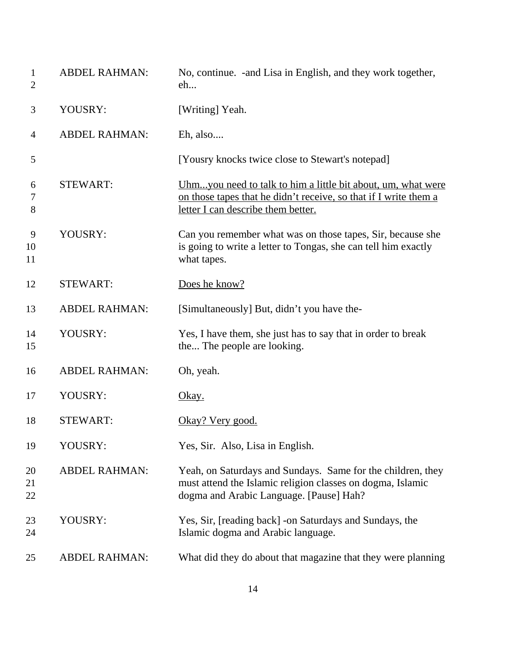| $\mathbf{1}$<br>$\overline{2}$ | <b>ABDEL RAHMAN:</b> | No, continue. - and Lisa in English, and they work together,<br>eh                                                                                                     |
|--------------------------------|----------------------|------------------------------------------------------------------------------------------------------------------------------------------------------------------------|
| 3                              | YOUSRY:              | [Writing] Yeah.                                                                                                                                                        |
| 4                              | <b>ABDEL RAHMAN:</b> | Eh, also                                                                                                                                                               |
| 5                              |                      | [Yousry knocks twice close to Stewart's notepad]                                                                                                                       |
| 6<br>7<br>8                    | <b>STEWART:</b>      | Uhmyou need to talk to him a little bit about, um, what were<br>on those tapes that he didn't receive, so that if I write them a<br>letter I can describe them better. |
| 9<br>10<br>11                  | YOUSRY:              | Can you remember what was on those tapes, Sir, because she<br>is going to write a letter to Tongas, she can tell him exactly<br>what tapes.                            |
| 12                             | <b>STEWART:</b>      | Does he know?                                                                                                                                                          |
| 13                             | <b>ABDEL RAHMAN:</b> | [Simultaneously] But, didn't you have the-                                                                                                                             |
| 14<br>15                       | YOUSRY:              | Yes, I have them, she just has to say that in order to break<br>the The people are looking.                                                                            |
| 16                             | <b>ABDEL RAHMAN:</b> | Oh, yeah.                                                                                                                                                              |
| 17                             | YOUSRY:              | <u>Okay.</u>                                                                                                                                                           |
| 18                             | <b>STEWART:</b>      | Okay? Very good.                                                                                                                                                       |
| 19                             | YOUSRY:              | Yes, Sir. Also, Lisa in English.                                                                                                                                       |
| 20<br>21<br>22                 | <b>ABDEL RAHMAN:</b> | Yeah, on Saturdays and Sundays. Same for the children, they<br>must attend the Islamic religion classes on dogma, Islamic<br>dogma and Arabic Language. [Pause] Hah?   |
| 23<br>24                       | YOUSRY:              | Yes, Sir, [reading back] -on Saturdays and Sundays, the<br>Islamic dogma and Arabic language.                                                                          |
| 25                             | <b>ABDEL RAHMAN:</b> | What did they do about that magazine that they were planning                                                                                                           |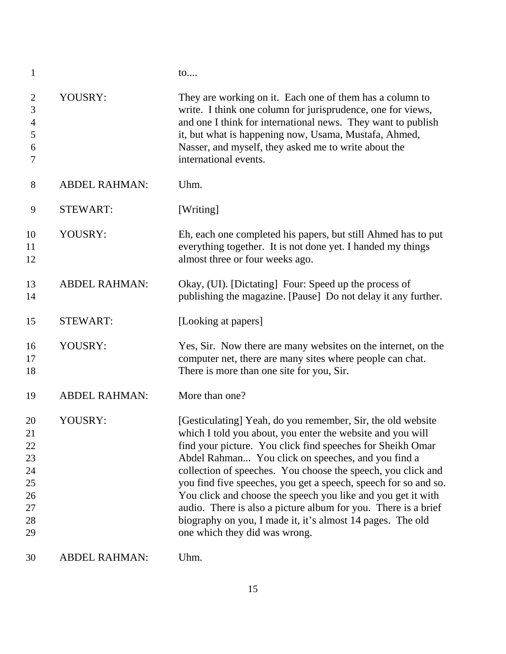| $\mathbf{1}$                                             |                      | to                                                                                                                                                                                                                                                                                                                                                                                                                                                                                                                                                                                                                |
|----------------------------------------------------------|----------------------|-------------------------------------------------------------------------------------------------------------------------------------------------------------------------------------------------------------------------------------------------------------------------------------------------------------------------------------------------------------------------------------------------------------------------------------------------------------------------------------------------------------------------------------------------------------------------------------------------------------------|
| $\overline{2}$<br>3<br>$\overline{4}$<br>5<br>6<br>7     | YOUSRY:              | They are working on it. Each one of them has a column to<br>write. I think one column for jurisprudence, one for views,<br>and one I think for international news. They want to publish<br>it, but what is happening now, Usama, Mustafa, Ahmed,<br>Nasser, and myself, they asked me to write about the<br>international events.                                                                                                                                                                                                                                                                                 |
| 8                                                        | <b>ABDEL RAHMAN:</b> | Uhm.                                                                                                                                                                                                                                                                                                                                                                                                                                                                                                                                                                                                              |
| 9                                                        | <b>STEWART:</b>      | [Writing]                                                                                                                                                                                                                                                                                                                                                                                                                                                                                                                                                                                                         |
| 10<br>11<br>12                                           | YOUSRY:              | Eh, each one completed his papers, but still Ahmed has to put<br>everything together. It is not done yet. I handed my things<br>almost three or four weeks ago.                                                                                                                                                                                                                                                                                                                                                                                                                                                   |
| 13<br>14                                                 | <b>ABDEL RAHMAN:</b> | Okay, (UI). [Dictating] Four: Speed up the process of<br>publishing the magazine. [Pause] Do not delay it any further.                                                                                                                                                                                                                                                                                                                                                                                                                                                                                            |
| 15                                                       | <b>STEWART:</b>      | [Looking at papers]                                                                                                                                                                                                                                                                                                                                                                                                                                                                                                                                                                                               |
| 16<br>17<br>18                                           | YOUSRY:              | Yes, Sir. Now there are many websites on the internet, on the<br>computer net, there are many sites where people can chat.<br>There is more than one site for you, Sir.                                                                                                                                                                                                                                                                                                                                                                                                                                           |
| 19                                                       | <b>ABDEL RAHMAN:</b> | More than one?                                                                                                                                                                                                                                                                                                                                                                                                                                                                                                                                                                                                    |
| 20<br>21<br>22<br>23<br>24<br>25<br>26<br>27<br>28<br>29 | YOUSRY:              | [Gesticulating] Yeah, do you remember, Sir, the old website<br>which I told you about, you enter the website and you will<br>find your picture. You click find speeches for Sheikh Omar<br>Abdel Rahman You click on speeches, and you find a<br>collection of speeches. You choose the speech, you click and<br>you find five speeches, you get a speech, speech for so and so.<br>You click and choose the speech you like and you get it with<br>audio. There is also a picture album for you. There is a brief<br>biography on you, I made it, it's almost 14 pages. The old<br>one which they did was wrong. |
| 30                                                       | <b>ABDEL RAHMAN:</b> | Uhm.                                                                                                                                                                                                                                                                                                                                                                                                                                                                                                                                                                                                              |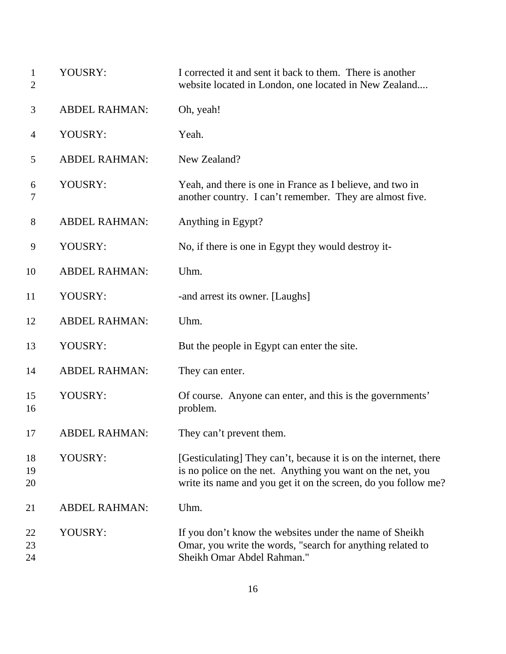| $\mathbf{1}$<br>$\overline{2}$ | YOUSRY:              | I corrected it and sent it back to them. There is another<br>website located in London, one located in New Zealand                                                                               |
|--------------------------------|----------------------|--------------------------------------------------------------------------------------------------------------------------------------------------------------------------------------------------|
| 3                              | <b>ABDEL RAHMAN:</b> | Oh, yeah!                                                                                                                                                                                        |
| 4                              | YOUSRY:              | Yeah.                                                                                                                                                                                            |
| 5                              | <b>ABDEL RAHMAN:</b> | New Zealand?                                                                                                                                                                                     |
| 6<br>7                         | YOUSRY:              | Yeah, and there is one in France as I believe, and two in<br>another country. I can't remember. They are almost five.                                                                            |
| 8                              | <b>ABDEL RAHMAN:</b> | Anything in Egypt?                                                                                                                                                                               |
| 9                              | YOUSRY:              | No, if there is one in Egypt they would destroy it-                                                                                                                                              |
| 10                             | <b>ABDEL RAHMAN:</b> | Uhm.                                                                                                                                                                                             |
| 11                             | YOUSRY:              | -and arrest its owner. [Laughs]                                                                                                                                                                  |
| 12                             | <b>ABDEL RAHMAN:</b> | Uhm.                                                                                                                                                                                             |
| 13                             | YOUSRY:              | But the people in Egypt can enter the site.                                                                                                                                                      |
| 14                             | <b>ABDEL RAHMAN:</b> | They can enter.                                                                                                                                                                                  |
| 15<br>16                       | YOUSRY:              | Of course. Anyone can enter, and this is the governments'<br>problem.                                                                                                                            |
| 17                             | <b>ABDEL RAHMAN:</b> | They can't prevent them.                                                                                                                                                                         |
| 18<br>19<br>20                 | YOUSRY:              | [Gesticulating] They can't, because it is on the internet, there<br>is no police on the net. Anything you want on the net, you<br>write its name and you get it on the screen, do you follow me? |
| 21                             | <b>ABDEL RAHMAN:</b> | Uhm.                                                                                                                                                                                             |
| 22<br>23<br>24                 | YOUSRY:              | If you don't know the websites under the name of Sheikh<br>Omar, you write the words, "search for anything related to<br>Sheikh Omar Abdel Rahman."                                              |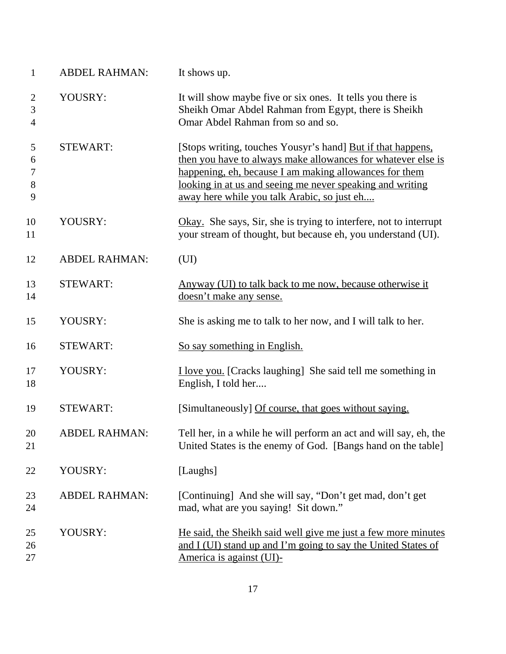| $\mathbf{1}$                          | <b>ABDEL RAHMAN:</b> | It shows up.                                                                                                                                                                                                                                                                                      |
|---------------------------------------|----------------------|---------------------------------------------------------------------------------------------------------------------------------------------------------------------------------------------------------------------------------------------------------------------------------------------------|
| $\overline{2}$<br>3<br>$\overline{4}$ | YOUSRY:              | It will show maybe five or six ones. It tells you there is<br>Sheikh Omar Abdel Rahman from Egypt, there is Sheikh<br>Omar Abdel Rahman from so and so.                                                                                                                                           |
| 5<br>6<br>7<br>$8\,$<br>9             | <b>STEWART:</b>      | [Stops writing, touches Yousyr's hand] But if that happens,<br>then you have to always make allowances for whatever else is<br>happening, eh, because I am making allowances for them<br>looking in at us and seeing me never speaking and writing<br>away here while you talk Arabic, so just eh |
| 10<br>11                              | YOUSRY:              | Okay. She says, Sir, she is trying to interfere, not to interrupt<br>your stream of thought, but because eh, you understand (UI).                                                                                                                                                                 |
| 12                                    | <b>ABDEL RAHMAN:</b> | (UI)                                                                                                                                                                                                                                                                                              |
| 13<br>14                              | <b>STEWART:</b>      | Anyway (UI) to talk back to me now, because otherwise it<br>doesn't make any sense.                                                                                                                                                                                                               |
| 15                                    | YOUSRY:              | She is asking me to talk to her now, and I will talk to her.                                                                                                                                                                                                                                      |
| 16                                    | <b>STEWART:</b>      | So say something in English.                                                                                                                                                                                                                                                                      |
| 17<br>18                              | YOUSRY:              | <b>I</b> love you. [Cracks laughing] She said tell me something in<br>English, I told her                                                                                                                                                                                                         |
| 19                                    | <b>STEWART:</b>      | [Simultaneously] Of course, that goes without saying.                                                                                                                                                                                                                                             |
| 20<br>21                              | <b>ABDEL RAHMAN:</b> | Tell her, in a while he will perform an act and will say, eh, the<br>United States is the enemy of God. [Bangs hand on the table]                                                                                                                                                                 |
| 22                                    | YOUSRY:              | [Laughs]                                                                                                                                                                                                                                                                                          |
| 23<br>24                              | <b>ABDEL RAHMAN:</b> | [Continuing] And she will say, "Don't get mad, don't get<br>mad, what are you saying! Sit down."                                                                                                                                                                                                  |
| 25<br>26<br>27                        | YOUSRY:              | He said, the Sheikh said well give me just a few more minutes<br>and I (UI) stand up and I'm going to say the United States of<br><u>America is against (UI)-</u>                                                                                                                                 |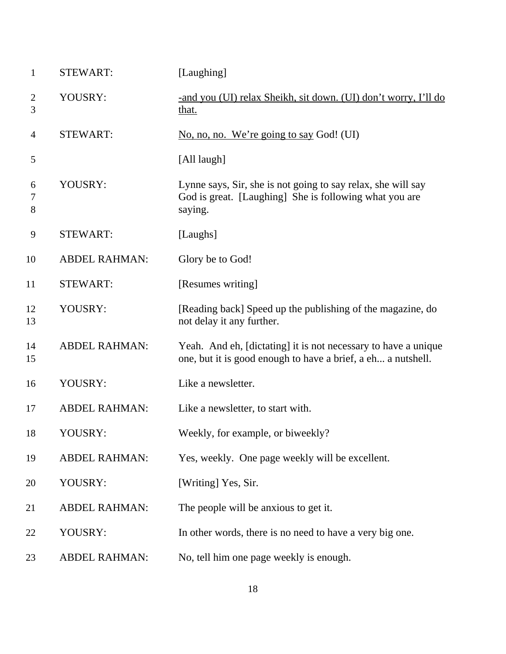| $\mathbf{1}$ | <b>STEWART:</b>      | [Laughing]                                                                                                                        |
|--------------|----------------------|-----------------------------------------------------------------------------------------------------------------------------------|
| 2<br>3       | YOUSRY:              | -and you (UI) relax Sheikh, sit down. (UI) don't worry, I'll do<br>that.                                                          |
| 4            | <b>STEWART:</b>      | No, no, no. We're going to say God! (UI)                                                                                          |
| 5            |                      | [All laugh]                                                                                                                       |
| 6<br>7<br>8  | YOUSRY:              | Lynne says, Sir, she is not going to say relax, she will say<br>God is great. [Laughing] She is following what you are<br>saying. |
| 9            | <b>STEWART:</b>      | [Laughs]                                                                                                                          |
| 10           | <b>ABDEL RAHMAN:</b> | Glory be to God!                                                                                                                  |
| 11           | <b>STEWART:</b>      | [Resumes writing]                                                                                                                 |
| 12<br>13     | YOUSRY:              | [Reading back] Speed up the publishing of the magazine, do<br>not delay it any further.                                           |
| 14<br>15     | <b>ABDEL RAHMAN:</b> | Yeah. And eh, [dictating] it is not necessary to have a unique<br>one, but it is good enough to have a brief, a eh a nutshell.    |
| 16           | YOUSRY:              | Like a newsletter.                                                                                                                |
| 17           | <b>ABDEL RAHMAN:</b> | Like a newsletter, to start with.                                                                                                 |
| 18           | YOUSRY:              | Weekly, for example, or biweekly?                                                                                                 |
| 19           | <b>ABDEL RAHMAN:</b> | Yes, weekly. One page weekly will be excellent.                                                                                   |
| 20           | YOUSRY:              | [Writing] Yes, Sir.                                                                                                               |
| 21           | <b>ABDEL RAHMAN:</b> | The people will be anxious to get it.                                                                                             |
| 22           | YOUSRY:              | In other words, there is no need to have a very big one.                                                                          |
| 23           | <b>ABDEL RAHMAN:</b> | No, tell him one page weekly is enough.                                                                                           |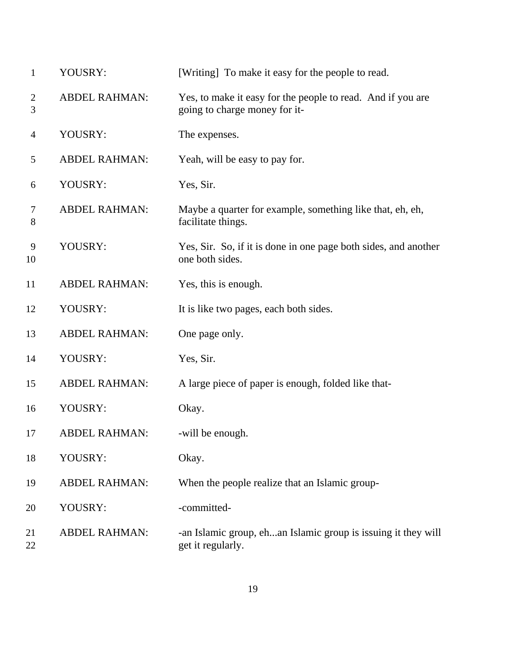| $\mathbf{1}$        | YOUSRY:              | [Writing] To make it easy for the people to read.                                            |
|---------------------|----------------------|----------------------------------------------------------------------------------------------|
| $\overline{2}$<br>3 | <b>ABDEL RAHMAN:</b> | Yes, to make it easy for the people to read. And if you are<br>going to charge money for it- |
| $\overline{4}$      | YOUSRY:              | The expenses.                                                                                |
| 5                   | <b>ABDEL RAHMAN:</b> | Yeah, will be easy to pay for.                                                               |
| 6                   | YOUSRY:              | Yes, Sir.                                                                                    |
| 7<br>8              | <b>ABDEL RAHMAN:</b> | Maybe a quarter for example, something like that, eh, eh,<br>facilitate things.              |
| 9<br>10             | YOUSRY:              | Yes, Sir. So, if it is done in one page both sides, and another<br>one both sides.           |
| 11                  | <b>ABDEL RAHMAN:</b> | Yes, this is enough.                                                                         |
| 12                  | YOUSRY:              | It is like two pages, each both sides.                                                       |
| 13                  | <b>ABDEL RAHMAN:</b> | One page only.                                                                               |
| 14                  | YOUSRY:              | Yes, Sir.                                                                                    |
| 15                  | <b>ABDEL RAHMAN:</b> | A large piece of paper is enough, folded like that-                                          |
| 16                  | YOUSRY:              | Okay.                                                                                        |
| 17                  | <b>ABDEL RAHMAN:</b> | -will be enough.                                                                             |
| 18                  | YOUSRY:              | Okay.                                                                                        |
| 19                  | <b>ABDEL RAHMAN:</b> | When the people realize that an Islamic group-                                               |
| 20                  | YOUSRY:              | -committed-                                                                                  |
| 21<br>22            | <b>ABDEL RAHMAN:</b> | -an Islamic group, ehan Islamic group is issuing it they will<br>get it regularly.           |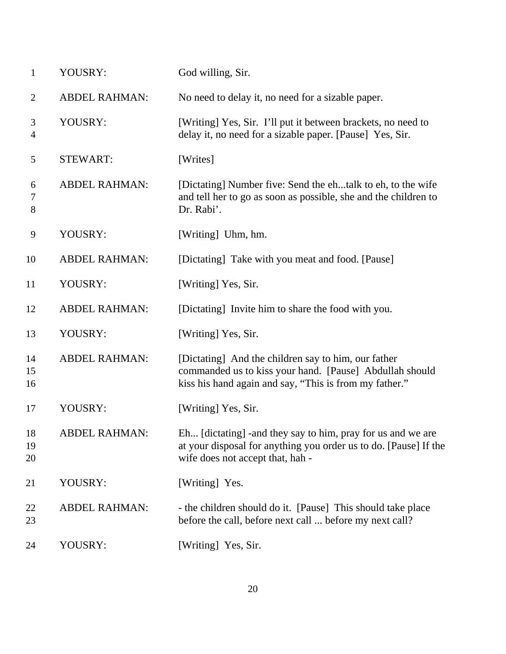| $\mathbf{1}$        | YOUSRY:              | God willing, Sir.                                                                                                                                                        |
|---------------------|----------------------|--------------------------------------------------------------------------------------------------------------------------------------------------------------------------|
| $\overline{2}$      | <b>ABDEL RAHMAN:</b> | No need to delay it, no need for a sizable paper.                                                                                                                        |
| 3<br>$\overline{4}$ | YOUSRY:              | [Writing] Yes, Sir. I'll put it between brackets, no need to<br>delay it, no need for a sizable paper. [Pause] Yes, Sir.                                                 |
| 5                   | <b>STEWART:</b>      | [Writes]                                                                                                                                                                 |
| 6<br>7<br>8         | <b>ABDEL RAHMAN:</b> | [Dictating] Number five: Send the ehtalk to eh, to the wife<br>and tell her to go as soon as possible, she and the children to<br>Dr. Rabi'.                             |
| 9                   | YOUSRY:              | [Writing] Uhm, hm.                                                                                                                                                       |
| 10                  | <b>ABDEL RAHMAN:</b> | [Dictating] Take with you meat and food. [Pause]                                                                                                                         |
| 11                  | YOUSRY:              | [Writing] Yes, Sir.                                                                                                                                                      |
| 12                  | <b>ABDEL RAHMAN:</b> | [Dictating] Invite him to share the food with you.                                                                                                                       |
| 13                  | YOUSRY:              | [Writing] Yes, Sir.                                                                                                                                                      |
| 14<br>15<br>16      | <b>ABDEL RAHMAN:</b> | [Dictating] And the children say to him, our father<br>commanded us to kiss your hand. [Pause] Abdullah should<br>kiss his hand again and say, "This is from my father." |
| 17                  | YOUSRY:              | [Writing] Yes, Sir.                                                                                                                                                      |
| 18<br>19<br>20      | ABDEL RAHMAN:        | Eh [dictating] - and they say to him, pray for us and we are<br>at your disposal for anything you order us to do. [Pause] If the<br>wife does not accept that, hah -     |
| 21                  | YOUSRY:              | [Writing] Yes.                                                                                                                                                           |
| 22<br>23            | <b>ABDEL RAHMAN:</b> | - the children should do it. [Pause] This should take place<br>before the call, before next call  before my next call?                                                   |
| 24                  | YOUSRY:              | [Writing] Yes, Sir.                                                                                                                                                      |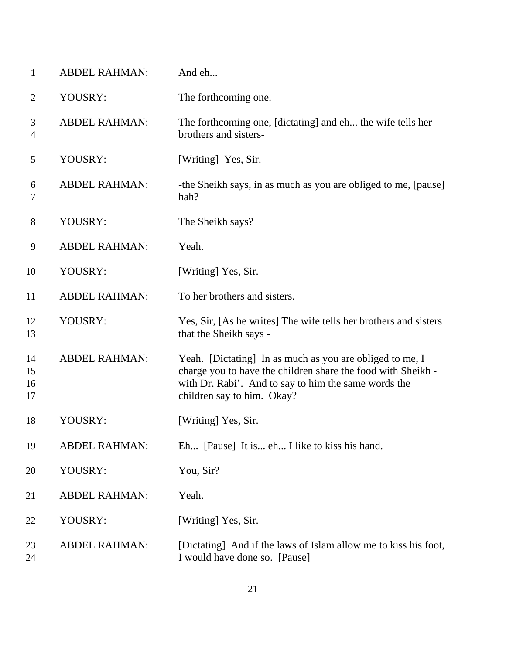| 1                    | <b>ABDEL RAHMAN:</b> | And eh                                                                                                                                                                                                         |
|----------------------|----------------------|----------------------------------------------------------------------------------------------------------------------------------------------------------------------------------------------------------------|
| 2                    | YOUSRY:              | The forthcoming one.                                                                                                                                                                                           |
| 3<br>$\overline{4}$  | <b>ABDEL RAHMAN:</b> | The forthcoming one, [dictating] and eh the wife tells her<br>brothers and sisters-                                                                                                                            |
| 5                    | YOUSRY:              | [Writing] Yes, Sir.                                                                                                                                                                                            |
| 6<br>7               | <b>ABDEL RAHMAN:</b> | -the Sheikh says, in as much as you are obliged to me, [pause]<br>hah?                                                                                                                                         |
| 8                    | YOUSRY:              | The Sheikh says?                                                                                                                                                                                               |
| 9                    | <b>ABDEL RAHMAN:</b> | Yeah.                                                                                                                                                                                                          |
| 10                   | YOUSRY:              | [Writing] Yes, Sir.                                                                                                                                                                                            |
| 11                   | <b>ABDEL RAHMAN:</b> | To her brothers and sisters.                                                                                                                                                                                   |
| 12<br>13             | YOUSRY:              | Yes, Sir, [As he writes] The wife tells her brothers and sisters<br>that the Sheikh says -                                                                                                                     |
| 14<br>15<br>16<br>17 | <b>ABDEL RAHMAN:</b> | Yeah. [Dictating] In as much as you are obliged to me, I<br>charge you to have the children share the food with Sheikh -<br>with Dr. Rabi'. And to say to him the same words the<br>children say to him. Okay? |
| 18                   | YOUSRY:              | [Writing] Yes, Sir.                                                                                                                                                                                            |
| 19                   | <b>ABDEL RAHMAN:</b> | Eh [Pause] It is eh I like to kiss his hand.                                                                                                                                                                   |
| 20                   | YOUSRY:              | You, Sir?                                                                                                                                                                                                      |
| 21                   | <b>ABDEL RAHMAN:</b> | Yeah.                                                                                                                                                                                                          |
| 22                   | YOUSRY:              | [Writing] Yes, Sir.                                                                                                                                                                                            |
| 23<br>24             | <b>ABDEL RAHMAN:</b> | [Dictating] And if the laws of Islam allow me to kiss his foot,<br>I would have done so. [Pause]                                                                                                               |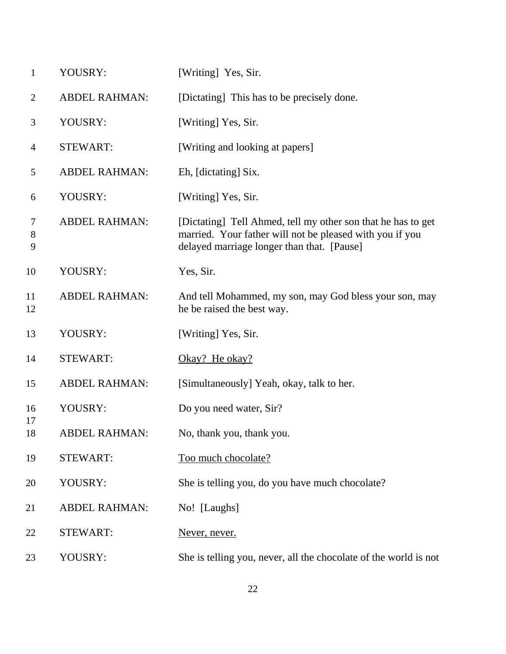| $\mathbf{1}$    | YOUSRY:              | [Writing] Yes, Sir.                                                                                                                                                    |
|-----------------|----------------------|------------------------------------------------------------------------------------------------------------------------------------------------------------------------|
| $\overline{2}$  | <b>ABDEL RAHMAN:</b> | [Dictating] This has to be precisely done.                                                                                                                             |
| 3               | YOUSRY:              | [Writing] Yes, Sir.                                                                                                                                                    |
| 4               | <b>STEWART:</b>      | [Writing and looking at papers]                                                                                                                                        |
| 5               | <b>ABDEL RAHMAN:</b> | Eh, [dictating] Six.                                                                                                                                                   |
| 6               | YOUSRY:              | [Writing] Yes, Sir.                                                                                                                                                    |
| 7<br>$8\,$<br>9 | <b>ABDEL RAHMAN:</b> | [Dictating] Tell Ahmed, tell my other son that he has to get<br>married. Your father will not be pleased with you if you<br>delayed marriage longer than that. [Pause] |
| 10              | YOUSRY:              | Yes, Sir.                                                                                                                                                              |
| 11<br>12        | <b>ABDEL RAHMAN:</b> | And tell Mohammed, my son, may God bless your son, may<br>he be raised the best way.                                                                                   |
| 13              | YOUSRY:              | [Writing] Yes, Sir.                                                                                                                                                    |
| 14              | <b>STEWART:</b>      | Okay? He okay?                                                                                                                                                         |
| 15              | <b>ABDEL RAHMAN:</b> | [Simultaneously] Yeah, okay, talk to her.                                                                                                                              |
| 16              | YOUSRY:              | Do you need water, Sir?                                                                                                                                                |
| 17<br>18        | <b>ABDEL RAHMAN:</b> | No, thank you, thank you.                                                                                                                                              |
| 19              | <b>STEWART:</b>      | Too much chocolate?                                                                                                                                                    |
| 20              | YOUSRY:              | She is telling you, do you have much chocolate?                                                                                                                        |
| 21              | <b>ABDEL RAHMAN:</b> | No! [Laughs]                                                                                                                                                           |
| 22              | <b>STEWART:</b>      | Never, never.                                                                                                                                                          |
| 23              | YOUSRY:              | She is telling you, never, all the chocolate of the world is not                                                                                                       |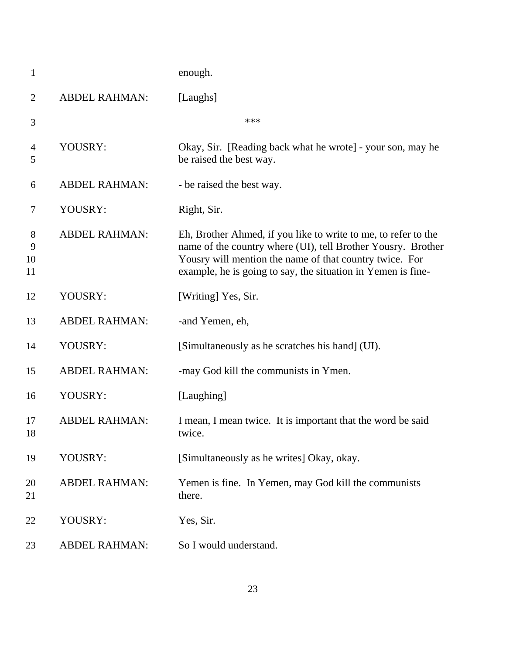| $\mathbf{1}$       |                      | enough.                                                                                                                                                                                                                                                   |
|--------------------|----------------------|-----------------------------------------------------------------------------------------------------------------------------------------------------------------------------------------------------------------------------------------------------------|
| $\overline{2}$     | <b>ABDEL RAHMAN:</b> | [Laughs]                                                                                                                                                                                                                                                  |
| 3                  |                      | ***                                                                                                                                                                                                                                                       |
| 4<br>5             | YOUSRY:              | Okay, Sir. [Reading back what he wrote] - your son, may he<br>be raised the best way.                                                                                                                                                                     |
| 6                  | <b>ABDEL RAHMAN:</b> | - be raised the best way.                                                                                                                                                                                                                                 |
| 7                  | YOUSRY:              | Right, Sir.                                                                                                                                                                                                                                               |
| 8<br>9<br>10<br>11 | <b>ABDEL RAHMAN:</b> | Eh, Brother Ahmed, if you like to write to me, to refer to the<br>name of the country where (UI), tell Brother Yousry. Brother<br>Yousry will mention the name of that country twice. For<br>example, he is going to say, the situation in Yemen is fine- |
| 12                 | YOUSRY:              | [Writing] Yes, Sir.                                                                                                                                                                                                                                       |
| 13                 | <b>ABDEL RAHMAN:</b> | -and Yemen, eh,                                                                                                                                                                                                                                           |
| 14                 | YOUSRY:              | [Simultaneously as he scratches his hand] (UI).                                                                                                                                                                                                           |
| 15                 | <b>ABDEL RAHMAN:</b> | -may God kill the communists in Ymen.                                                                                                                                                                                                                     |
| 16                 | YOUSRY:              | [Laughing]                                                                                                                                                                                                                                                |
| 17<br>18           | <b>ABDEL RAHMAN:</b> | I mean, I mean twice. It is important that the word be said<br>twice.                                                                                                                                                                                     |
| 19                 | YOUSRY:              | [Simultaneously as he writes] Okay, okay.                                                                                                                                                                                                                 |
| 20<br>21           | <b>ABDEL RAHMAN:</b> | Yemen is fine. In Yemen, may God kill the communists<br>there.                                                                                                                                                                                            |
| 22                 | YOUSRY:              | Yes, Sir.                                                                                                                                                                                                                                                 |
| 23                 | <b>ABDEL RAHMAN:</b> | So I would understand.                                                                                                                                                                                                                                    |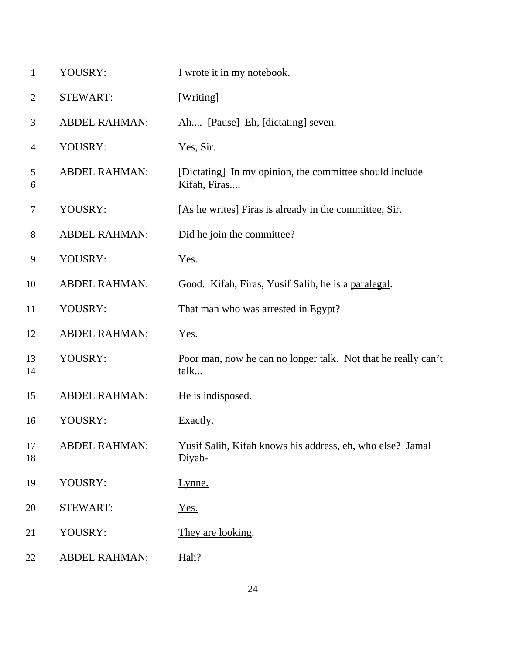| $\mathbf{1}$   | YOUSRY:              | I wrote it in my notebook.                                              |
|----------------|----------------------|-------------------------------------------------------------------------|
| $\overline{2}$ | <b>STEWART:</b>      | [Writing]                                                               |
| 3              | <b>ABDEL RAHMAN:</b> | Ah [Pause] Eh, [dictating] seven.                                       |
| $\overline{4}$ | YOUSRY:              | Yes, Sir.                                                               |
| 5<br>6         | <b>ABDEL RAHMAN:</b> | [Dictating] In my opinion, the committee should include<br>Kifah, Firas |
| $\tau$         | YOUSRY:              | [As he writes] Firas is already in the committee, Sir.                  |
| 8              | <b>ABDEL RAHMAN:</b> | Did he join the committee?                                              |
| 9              | YOUSRY:              | Yes.                                                                    |
| 10             | <b>ABDEL RAHMAN:</b> | Good. Kifah, Firas, Yusif Salih, he is a paralegal.                     |
| 11             | YOUSRY:              | That man who was arrested in Egypt?                                     |
| 12             | <b>ABDEL RAHMAN:</b> | Yes.                                                                    |
| 13<br>14       | YOUSRY:              | Poor man, now he can no longer talk. Not that he really can't<br>talk   |
| 15             | <b>ABDEL RAHMAN:</b> | He is indisposed.                                                       |
| 16             | YOUSRY:              | Exactly.                                                                |
| 17<br>18       | <b>ABDEL RAHMAN:</b> | Yusif Salih, Kifah knows his address, eh, who else? Jamal<br>Diyab-     |
| 19             | YOUSRY:              | Lynne.                                                                  |
| 20             | <b>STEWART:</b>      | Yes.                                                                    |
| 21             | YOUSRY:              | They are looking.                                                       |
| 22             | <b>ABDEL RAHMAN:</b> | Hah?                                                                    |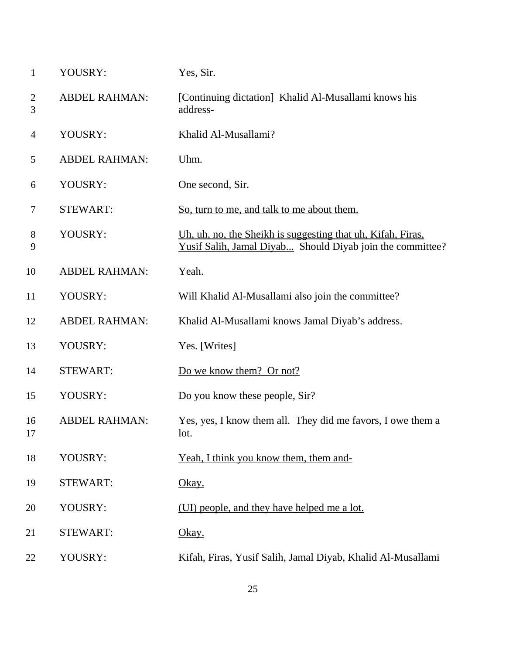| $\mathbf{1}$        | YOUSRY:              | Yes, Sir.                                                                                                                |
|---------------------|----------------------|--------------------------------------------------------------------------------------------------------------------------|
| $\overline{2}$<br>3 | <b>ABDEL RAHMAN:</b> | [Continuing dictation] Khalid Al-Musallami knows his<br>address-                                                         |
| $\overline{4}$      | YOUSRY:              | Khalid Al-Musallami?                                                                                                     |
| 5                   | <b>ABDEL RAHMAN:</b> | Uhm.                                                                                                                     |
| 6                   | YOUSRY:              | One second, Sir.                                                                                                         |
| 7                   | <b>STEWART:</b>      | So, turn to me, and talk to me about them.                                                                               |
| 8<br>9              | YOUSRY:              | Uh, uh, no, the Sheikh is suggesting that uh, Kifah, Firas,<br>Yusif Salih, Jamal Diyab Should Diyab join the committee? |
| 10                  | <b>ABDEL RAHMAN:</b> | Yeah.                                                                                                                    |
| 11                  | YOUSRY:              | Will Khalid Al-Musallami also join the committee?                                                                        |
| 12                  | <b>ABDEL RAHMAN:</b> | Khalid Al-Musallami knows Jamal Diyab's address.                                                                         |
| 13                  | YOUSRY:              | Yes. [Writes]                                                                                                            |
| 14                  | <b>STEWART:</b>      | Do we know them? Or not?                                                                                                 |
| 15                  | YOUSRY:              | Do you know these people, Sir?                                                                                           |
| 16<br>17            | <b>ABDEL RAHMAN:</b> | Yes, yes, I know them all. They did me favors, I owe them a<br>lot.                                                      |
| 18                  | YOUSRY:              | Yeah, I think you know them, them and-                                                                                   |
| 19                  | <b>STEWART:</b>      | Okay.                                                                                                                    |
| 20                  | YOUSRY:              | (UI) people, and they have helped me a lot.                                                                              |
| 21                  | <b>STEWART:</b>      | Okay.                                                                                                                    |
| 22                  | YOUSRY:              | Kifah, Firas, Yusif Salih, Jamal Diyab, Khalid Al-Musallami                                                              |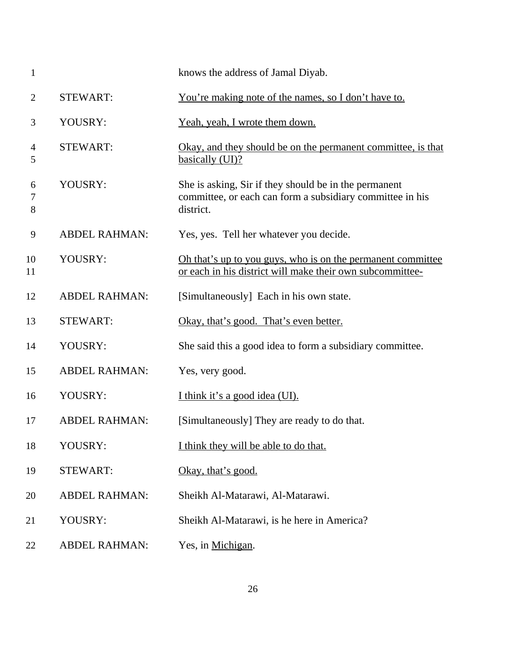| $\mathbf{1}$   |                      | knows the address of Jamal Diyab.                                                                                               |
|----------------|----------------------|---------------------------------------------------------------------------------------------------------------------------------|
| $\overline{2}$ | <b>STEWART:</b>      | <u>You're making note of the names, so I don't have to.</u>                                                                     |
| 3              | YOUSRY:              | Yeah, yeah, I wrote them down.                                                                                                  |
| 4<br>5         | <b>STEWART:</b>      | <u>Okay, and they should be on the permanent committee, is that</u><br>basically (UI)?                                          |
| 6<br>7<br>8    | YOUSRY:              | She is asking, Sir if they should be in the permanent<br>committee, or each can form a subsidiary committee in his<br>district. |
| 9              | <b>ABDEL RAHMAN:</b> | Yes, yes. Tell her whatever you decide.                                                                                         |
| 10<br>11       | YOUSRY:              | <u>Oh that's up to you guys, who is on the permanent committee</u><br>or each in his district will make their own subcommittee- |
| 12             | <b>ABDEL RAHMAN:</b> | [Simultaneously] Each in his own state.                                                                                         |
| 13             | <b>STEWART:</b>      | Okay, that's good. That's even better.                                                                                          |
| 14             | YOUSRY:              | She said this a good idea to form a subsidiary committee.                                                                       |
| 15             | <b>ABDEL RAHMAN:</b> | Yes, very good.                                                                                                                 |
| 16             | YOUSRY:              | I think it's a good idea (UI).                                                                                                  |
| 17             | <b>ABDEL RAHMAN:</b> | [Simultaneously] They are ready to do that.                                                                                     |
| 18             | YOUSRY:              | I think they will be able to do that.                                                                                           |
| 19             | <b>STEWART:</b>      | Okay, that's good.                                                                                                              |
| 20             | <b>ABDEL RAHMAN:</b> | Sheikh Al-Matarawi, Al-Matarawi.                                                                                                |
| 21             | YOUSRY:              | Sheikh Al-Matarawi, is he here in America?                                                                                      |
| 22             | <b>ABDEL RAHMAN:</b> | Yes, in Michigan.                                                                                                               |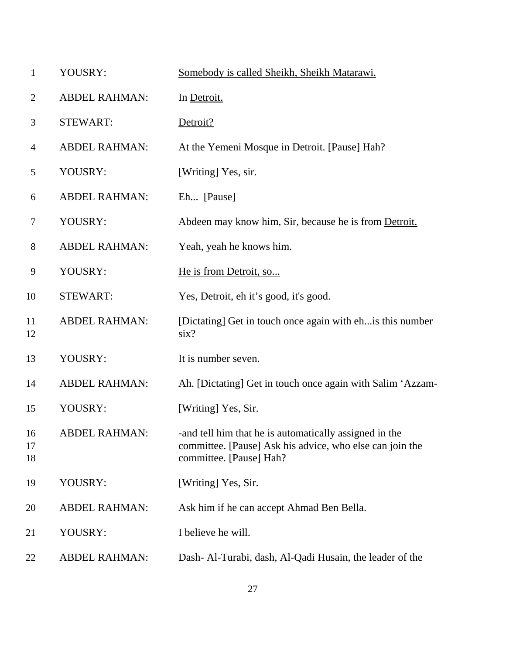| $\mathbf{1}$   | YOUSRY:              | Somebody is called Sheikh, Sheikh Matarawi.                                                                                                  |
|----------------|----------------------|----------------------------------------------------------------------------------------------------------------------------------------------|
| $\overline{2}$ | <b>ABDEL RAHMAN:</b> | In Detroit.                                                                                                                                  |
| 3              | <b>STEWART:</b>      | Detroit?                                                                                                                                     |
| 4              | <b>ABDEL RAHMAN:</b> | At the Yemeni Mosque in Detroit. [Pause] Hah?                                                                                                |
| 5              | YOUSRY:              | [Writing] Yes, sir.                                                                                                                          |
| 6              | <b>ABDEL RAHMAN:</b> | Eh [Pause]                                                                                                                                   |
| $\tau$         | YOUSRY:              | Abdeen may know him, Sir, because he is from Detroit.                                                                                        |
| 8              | <b>ABDEL RAHMAN:</b> | Yeah, yeah he knows him.                                                                                                                     |
| 9              | YOUSRY:              | He is from Detroit, so                                                                                                                       |
| 10             | <b>STEWART:</b>      | <u>Yes, Detroit, eh it's good, it's good.</u>                                                                                                |
| 11<br>12       | <b>ABDEL RAHMAN:</b> | [Dictating] Get in touch once again with eh is this number<br>$\text{six?}$                                                                  |
| 13             | YOUSRY:              | It is number seven.                                                                                                                          |
| 14             | <b>ABDEL RAHMAN:</b> | Ah. [Dictating] Get in touch once again with Salim 'Azzam-                                                                                   |
| 15             | YOUSRY:              | [Writing] Yes, Sir.                                                                                                                          |
| 16<br>17<br>18 | <b>ABDEL RAHMAN:</b> | and tell him that he is automatically assigned in the<br>committee. [Pause] Ask his advice, who else can join the<br>committee. [Pause] Hah? |
| 19             | YOUSRY:              | [Writing] Yes, Sir.                                                                                                                          |
| 20             | <b>ABDEL RAHMAN:</b> | Ask him if he can accept Ahmad Ben Bella.                                                                                                    |
| 21             | YOUSRY:              | I believe he will.                                                                                                                           |
| 22             | <b>ABDEL RAHMAN:</b> | Dash- Al-Turabi, dash, Al-Qadi Husain, the leader of the                                                                                     |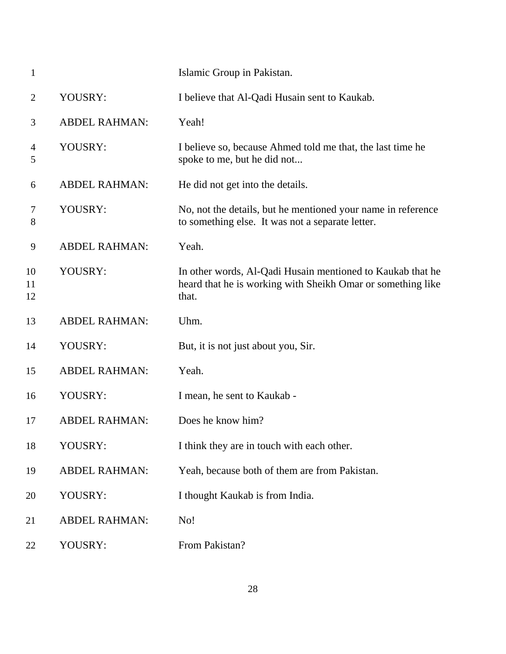| $\mathbf{1}$        |                      | Islamic Group in Pakistan.                                                                                                         |
|---------------------|----------------------|------------------------------------------------------------------------------------------------------------------------------------|
| $\overline{2}$      | YOUSRY:              | I believe that Al-Qadi Husain sent to Kaukab.                                                                                      |
| 3                   | <b>ABDEL RAHMAN:</b> | Yeah!                                                                                                                              |
| $\overline{4}$<br>5 | YOUSRY:              | I believe so, because Ahmed told me that, the last time he<br>spoke to me, but he did not                                          |
| 6                   | <b>ABDEL RAHMAN:</b> | He did not get into the details.                                                                                                   |
| 7<br>8              | YOUSRY:              | No, not the details, but he mentioned your name in reference<br>to something else. It was not a separate letter.                   |
| 9                   | <b>ABDEL RAHMAN:</b> | Yeah.                                                                                                                              |
| 10<br>11<br>12      | YOUSRY:              | In other words, Al-Qadi Husain mentioned to Kaukab that he<br>heard that he is working with Sheikh Omar or something like<br>that. |
| 13                  | <b>ABDEL RAHMAN:</b> | Uhm.                                                                                                                               |
| 14                  | YOUSRY:              | But, it is not just about you, Sir.                                                                                                |
| 15                  | <b>ABDEL RAHMAN:</b> | Yeah.                                                                                                                              |
| 16                  | YOUSRY:              | I mean, he sent to Kaukab -                                                                                                        |
| 17                  | <b>ABDEL RAHMAN:</b> | Does he know him?                                                                                                                  |
| 18                  | YOUSRY:              | I think they are in touch with each other.                                                                                         |
| 19                  | <b>ABDEL RAHMAN:</b> | Yeah, because both of them are from Pakistan.                                                                                      |
| 20                  | YOUSRY:              | I thought Kaukab is from India.                                                                                                    |
|                     |                      |                                                                                                                                    |
| 21                  | <b>ABDEL RAHMAN:</b> | No!                                                                                                                                |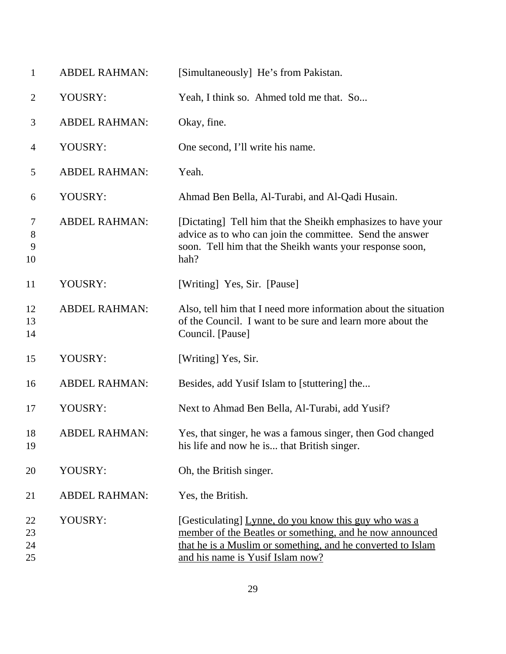| $\mathbf{1}$         | <b>ABDEL RAHMAN:</b> | [Simultaneously] He's from Pakistan.                                                                                                                                                                                 |
|----------------------|----------------------|----------------------------------------------------------------------------------------------------------------------------------------------------------------------------------------------------------------------|
| $\overline{2}$       | YOUSRY:              | Yeah, I think so. Ahmed told me that. So                                                                                                                                                                             |
| 3                    | <b>ABDEL RAHMAN:</b> | Okay, fine.                                                                                                                                                                                                          |
| 4                    | YOUSRY:              | One second, I'll write his name.                                                                                                                                                                                     |
| 5                    | <b>ABDEL RAHMAN:</b> | Yeah.                                                                                                                                                                                                                |
| 6                    | YOUSRY:              | Ahmad Ben Bella, Al-Turabi, and Al-Qadi Husain.                                                                                                                                                                      |
| 7<br>8<br>9<br>10    | <b>ABDEL RAHMAN:</b> | [Dictating] Tell him that the Sheikh emphasizes to have your<br>advice as to who can join the committee. Send the answer<br>soon. Tell him that the Sheikh wants your response soon,<br>hah?                         |
| 11                   | YOUSRY:              | [Writing] Yes, Sir. [Pause]                                                                                                                                                                                          |
| 12<br>13<br>14       | <b>ABDEL RAHMAN:</b> | Also, tell him that I need more information about the situation<br>of the Council. I want to be sure and learn more about the<br>Council. [Pause]                                                                    |
| 15                   | YOUSRY:              | [Writing] Yes, Sir.                                                                                                                                                                                                  |
| 16                   | <b>ABDEL RAHMAN:</b> | Besides, add Yusif Islam to [stuttering] the                                                                                                                                                                         |
| 17                   | YOUSRY:              | Next to Ahmad Ben Bella, Al-Turabi, add Yusif?                                                                                                                                                                       |
| 18<br>19             | <b>ABDEL RAHMAN:</b> | Yes, that singer, he was a famous singer, then God changed<br>his life and now he is that British singer.                                                                                                            |
| 20                   | YOUSRY:              | Oh, the British singer.                                                                                                                                                                                              |
| 21                   | <b>ABDEL RAHMAN:</b> | Yes, the British.                                                                                                                                                                                                    |
| 22<br>23<br>24<br>25 | YOUSRY:              | [Gesticulating] Lynne, do you know this guy who was a<br>member of the Beatles or something, and he now announced<br>that he is a Muslim or something, and he converted to Islam<br>and his name is Yusif Islam now? |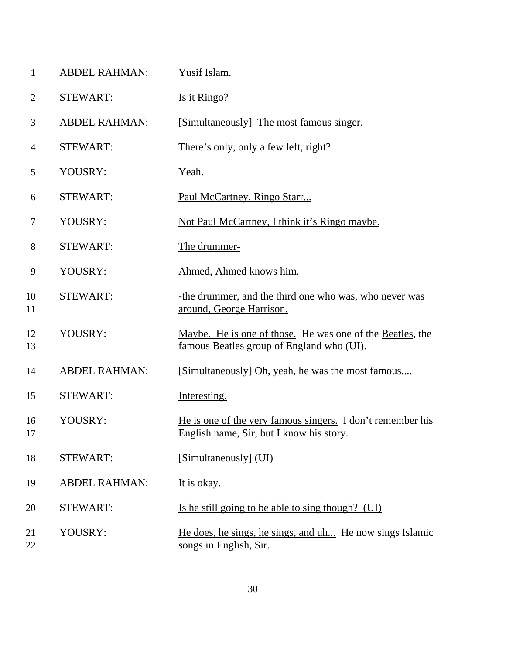| $\mathbf{1}$   | <b>ABDEL RAHMAN:</b> | Yusif Islam.                                                                                           |
|----------------|----------------------|--------------------------------------------------------------------------------------------------------|
| $\overline{2}$ | <b>STEWART:</b>      | Is it Ringo?                                                                                           |
| 3              | <b>ABDEL RAHMAN:</b> | [Simultaneously] The most famous singer.                                                               |
| $\overline{4}$ | <b>STEWART:</b>      | There's only, only a few left, right?                                                                  |
| 5              | YOUSRY:              | Yeah.                                                                                                  |
| 6              | <b>STEWART:</b>      | Paul McCartney, Ringo Starr                                                                            |
| 7              | YOUSRY:              | Not Paul McCartney, I think it's Ringo maybe.                                                          |
| 8              | <b>STEWART:</b>      | The drummer-                                                                                           |
| 9              | YOUSRY:              | Ahmed, Ahmed knows him.                                                                                |
| 10<br>11       | <b>STEWART:</b>      | -the drummer, and the third one who was, who never was<br>around, George Harrison.                     |
| 12<br>13       | YOUSRY:              | Maybe. He is one of those. He was one of the Beatles, the<br>famous Beatles group of England who (UI). |
| 14             | <b>ABDEL RAHMAN:</b> | [Simultaneously] Oh, yeah, he was the most famous                                                      |
| 15             | <b>STEWART:</b>      | Interesting.                                                                                           |
| 16<br>17       | YOUSRY:              | He is one of the very famous singers. I don't remember his<br>English name, Sir, but I know his story  |
| 18             | <b>STEWART:</b>      | [Simultaneously] (UI)                                                                                  |
| 19             | <b>ABDEL RAHMAN:</b> | It is okay.                                                                                            |
| 20             | <b>STEWART:</b>      | Is he still going to be able to sing though? (UI)                                                      |
| 21<br>22       | YOUSRY:              | He does, he sings, he sings, and uh He now sings Islamic<br>songs in English, Sir.                     |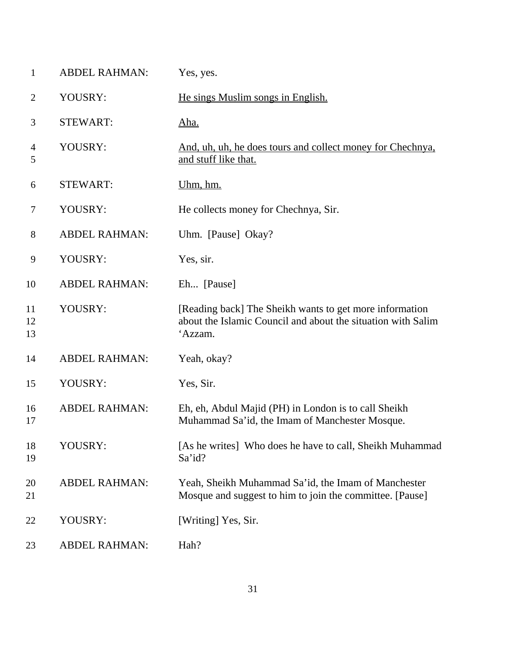| $\mathbf{1}$   | <b>ABDEL RAHMAN:</b> | Yes, yes.                                                                                                                          |
|----------------|----------------------|------------------------------------------------------------------------------------------------------------------------------------|
| $\overline{2}$ | YOUSRY:              | He sings Muslim songs in English.                                                                                                  |
| 3              | <b>STEWART:</b>      | <u>Aha.</u>                                                                                                                        |
| 4<br>5         | YOUSRY:              | And, uh, uh, he does tours and collect money for Chechnya,<br>and stuff like that.                                                 |
| 6              | <b>STEWART:</b>      | Uhm, hm.                                                                                                                           |
| 7              | YOUSRY:              | He collects money for Chechnya, Sir.                                                                                               |
| 8              | <b>ABDEL RAHMAN:</b> | Uhm. [Pause] Okay?                                                                                                                 |
| 9              | YOUSRY:              | Yes, sir.                                                                                                                          |
| 10             | <b>ABDEL RAHMAN:</b> | Eh [Pause]                                                                                                                         |
| 11<br>12<br>13 | YOUSRY:              | [Reading back] The Sheikh wants to get more information<br>about the Islamic Council and about the situation with Salim<br>'Azzam. |
| 14             | <b>ABDEL RAHMAN:</b> | Yeah, okay?                                                                                                                        |
| 15             | YOUSRY:              | Yes, Sir.                                                                                                                          |
| 16<br>17       | <b>ABDEL RAHMAN:</b> | Eh, eh, Abdul Majid (PH) in London is to call Sheikh<br>Muhammad Sa'id, the Imam of Manchester Mosque.                             |
| 18<br>19       | YOUSRY:              | [As he writes] Who does he have to call, Sheikh Muhammad<br>Sa'id?                                                                 |
| 20<br>21       | <b>ABDEL RAHMAN:</b> | Yeah, Sheikh Muhammad Sa'id, the Imam of Manchester<br>Mosque and suggest to him to join the committee. [Pause]                    |
| 22             | YOUSRY:              | [Writing] Yes, Sir.                                                                                                                |
| 23             | <b>ABDEL RAHMAN:</b> | Hah?                                                                                                                               |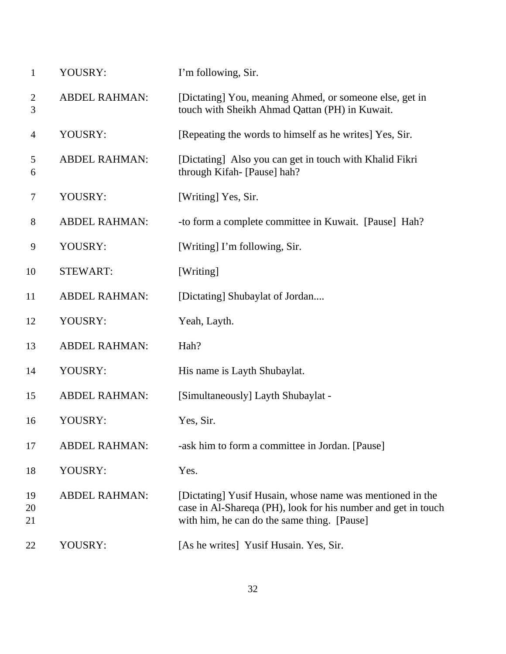| $\mathbf{1}$        | YOUSRY:              | I'm following, Sir.                                                                                                                                                       |
|---------------------|----------------------|---------------------------------------------------------------------------------------------------------------------------------------------------------------------------|
| $\overline{2}$<br>3 | <b>ABDEL RAHMAN:</b> | [Dictating] You, meaning Ahmed, or someone else, get in<br>touch with Sheikh Ahmad Qattan (PH) in Kuwait.                                                                 |
| $\overline{4}$      | YOUSRY:              | [Repeating the words to himself as he writes] Yes, Sir.                                                                                                                   |
| 5<br>6              | <b>ABDEL RAHMAN:</b> | [Dictating] Also you can get in touch with Khalid Fikri<br>through Kifah- [Pause] hah?                                                                                    |
| $\tau$              | YOUSRY:              | [Writing] Yes, Sir.                                                                                                                                                       |
| 8                   | <b>ABDEL RAHMAN:</b> | -to form a complete committee in Kuwait. [Pause] Hah?                                                                                                                     |
| 9                   | YOUSRY:              | [Writing] I'm following, Sir.                                                                                                                                             |
| 10                  | <b>STEWART:</b>      | [Writing]                                                                                                                                                                 |
| 11                  | <b>ABDEL RAHMAN:</b> | [Dictating] Shubaylat of Jordan                                                                                                                                           |
| 12                  | YOUSRY:              | Yeah, Layth.                                                                                                                                                              |
| 13                  | <b>ABDEL RAHMAN:</b> | Hah?                                                                                                                                                                      |
| 14                  | YOUSRY:              | His name is Layth Shubaylat.                                                                                                                                              |
| 15                  | <b>ABDEL RAHMAN:</b> | [Simultaneously] Layth Shubaylat -                                                                                                                                        |
| 16                  | YOUSRY:              | Yes, Sir.                                                                                                                                                                 |
| 17                  | <b>ABDEL RAHMAN:</b> | -ask him to form a committee in Jordan. [Pause]                                                                                                                           |
| 18                  | YOUSRY:              | Yes.                                                                                                                                                                      |
| 19<br>20<br>21      | <b>ABDEL RAHMAN:</b> | [Dictating] Yusif Husain, whose name was mentioned in the<br>case in Al-Shareqa (PH), look for his number and get in touch<br>with him, he can do the same thing. [Pause] |
| 22                  | YOUSRY:              | [As he writes] Yusif Husain. Yes, Sir.                                                                                                                                    |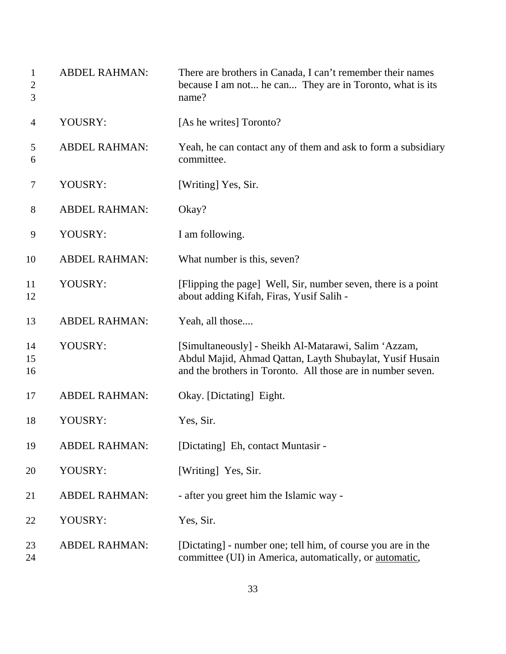| $\mathbf{1}$<br>$\overline{c}$<br>3 | <b>ABDEL RAHMAN:</b> | There are brothers in Canada, I can't remember their names<br>because I am not he can They are in Toronto, what is its<br>name?                                                 |
|-------------------------------------|----------------------|---------------------------------------------------------------------------------------------------------------------------------------------------------------------------------|
| $\overline{4}$                      | YOUSRY:              | [As he writes] Toronto?                                                                                                                                                         |
| 5<br>6                              | <b>ABDEL RAHMAN:</b> | Yeah, he can contact any of them and ask to form a subsidiary<br>committee.                                                                                                     |
| 7                                   | YOUSRY:              | [Writing] Yes, Sir.                                                                                                                                                             |
| 8                                   | <b>ABDEL RAHMAN:</b> | Okay?                                                                                                                                                                           |
| 9                                   | YOUSRY:              | I am following.                                                                                                                                                                 |
| 10                                  | <b>ABDEL RAHMAN:</b> | What number is this, seven?                                                                                                                                                     |
| 11<br>12                            | YOUSRY:              | [Flipping the page] Well, Sir, number seven, there is a point<br>about adding Kifah, Firas, Yusif Salih -                                                                       |
| 13                                  | <b>ABDEL RAHMAN:</b> | Yeah, all those                                                                                                                                                                 |
| 14<br>15<br>16                      | YOUSRY:              | [Simultaneously] - Sheikh Al-Matarawi, Salim 'Azzam,<br>Abdul Majid, Ahmad Qattan, Layth Shubaylat, Yusif Husain<br>and the brothers in Toronto. All those are in number seven. |
| 17                                  | <b>ABDEL RAHMAN:</b> | Okay. [Dictating] Eight.                                                                                                                                                        |
| 18                                  | YOUSRY:              | Yes, Sir.                                                                                                                                                                       |
| 19                                  | <b>ABDEL RAHMAN:</b> | [Dictating] Eh, contact Muntasir -                                                                                                                                              |
| 20                                  | YOUSRY:              | [Writing] Yes, Sir.                                                                                                                                                             |
| 21                                  | <b>ABDEL RAHMAN:</b> | - after you greet him the Islamic way -                                                                                                                                         |
| 22                                  | YOUSRY:              | Yes, Sir.                                                                                                                                                                       |
| 23<br>24                            | <b>ABDEL RAHMAN:</b> | [Dictating] - number one; tell him, of course you are in the<br>committee (UI) in America, automatically, or automatic,                                                         |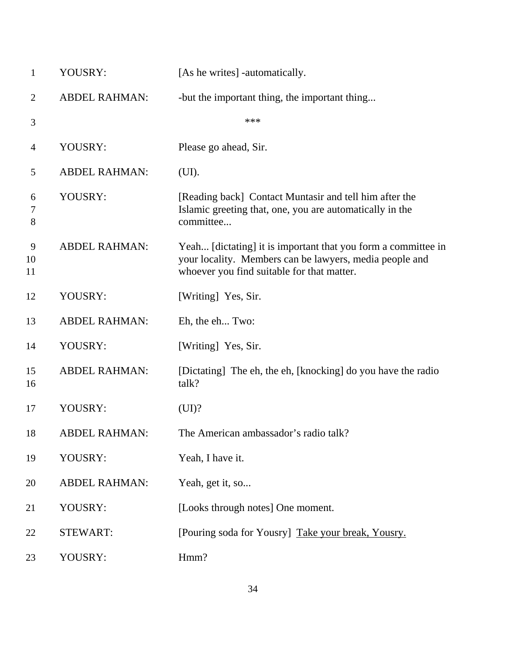| $\mathbf{1}$   | YOUSRY:              | [As he writes] -automatically.                                                                                                                                         |
|----------------|----------------------|------------------------------------------------------------------------------------------------------------------------------------------------------------------------|
| $\overline{2}$ | <b>ABDEL RAHMAN:</b> | -but the important thing, the important thing                                                                                                                          |
| $\mathfrak{Z}$ |                      | ***                                                                                                                                                                    |
| $\overline{4}$ | YOUSRY:              | Please go ahead, Sir.                                                                                                                                                  |
| 5              | <b>ABDEL RAHMAN:</b> | (UI).                                                                                                                                                                  |
| 6<br>7<br>8    | YOUSRY:              | [Reading back] Contact Muntasir and tell him after the<br>Islamic greeting that, one, you are automatically in the<br>committee                                        |
| 9<br>10<br>11  | <b>ABDEL RAHMAN:</b> | Yeah [dictating] it is important that you form a committee in<br>your locality. Members can be lawyers, media people and<br>whoever you find suitable for that matter. |
| 12             | YOUSRY:              | [Writing] Yes, Sir.                                                                                                                                                    |
| 13             | <b>ABDEL RAHMAN:</b> | Eh, the eh Two:                                                                                                                                                        |
| 14             | YOUSRY:              | [Writing] Yes, Sir.                                                                                                                                                    |
| 15<br>16       | <b>ABDEL RAHMAN:</b> | [Dictating] The eh, the eh, [knocking] do you have the radio<br>talk?                                                                                                  |
| 17             | YOUSRY:              | (UI)?                                                                                                                                                                  |
| 18             | <b>ABDEL RAHMAN:</b> | The American ambassador's radio talk?                                                                                                                                  |
| 19             | YOUSRY:              | Yeah, I have it.                                                                                                                                                       |
| 20             | <b>ABDEL RAHMAN:</b> | Yeah, get it, so                                                                                                                                                       |
| 21             | YOUSRY:              | [Looks through notes] One moment.                                                                                                                                      |
| 22             | <b>STEWART:</b>      | [Pouring soda for Yousry] Take your break, Yousry.                                                                                                                     |
| 23             | YOUSRY:              | Hmm?                                                                                                                                                                   |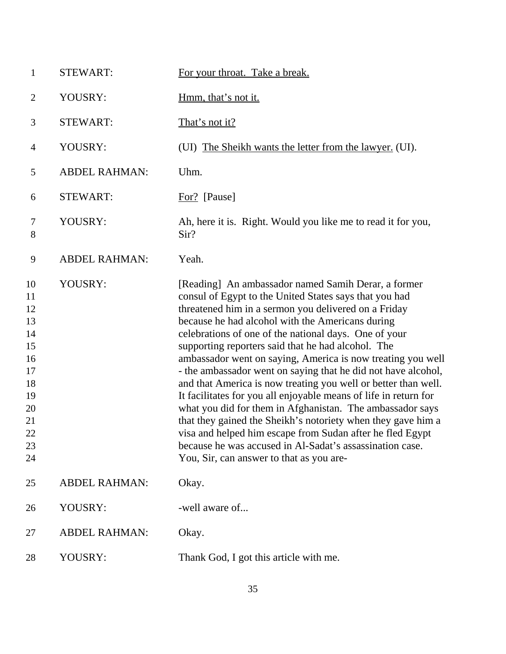| $\mathbf{1}$                                                                           | <b>STEWART:</b>      | For your throat. Take a break.                                                                                                                                                                                                                                                                                                                                                                                                                                                                                                                                                                                                                                                                                                                                                                                                                                                                                   |
|----------------------------------------------------------------------------------------|----------------------|------------------------------------------------------------------------------------------------------------------------------------------------------------------------------------------------------------------------------------------------------------------------------------------------------------------------------------------------------------------------------------------------------------------------------------------------------------------------------------------------------------------------------------------------------------------------------------------------------------------------------------------------------------------------------------------------------------------------------------------------------------------------------------------------------------------------------------------------------------------------------------------------------------------|
| $\overline{2}$                                                                         | YOUSRY:              | Hmm, that's not it.                                                                                                                                                                                                                                                                                                                                                                                                                                                                                                                                                                                                                                                                                                                                                                                                                                                                                              |
| 3                                                                                      | <b>STEWART:</b>      | That's not it?                                                                                                                                                                                                                                                                                                                                                                                                                                                                                                                                                                                                                                                                                                                                                                                                                                                                                                   |
| $\overline{4}$                                                                         | YOUSRY:              | (UI) The Sheikh wants the letter from the lawyer. (UI).                                                                                                                                                                                                                                                                                                                                                                                                                                                                                                                                                                                                                                                                                                                                                                                                                                                          |
| 5                                                                                      | <b>ABDEL RAHMAN:</b> | Uhm.                                                                                                                                                                                                                                                                                                                                                                                                                                                                                                                                                                                                                                                                                                                                                                                                                                                                                                             |
| 6                                                                                      | <b>STEWART:</b>      | For? [Pause]                                                                                                                                                                                                                                                                                                                                                                                                                                                                                                                                                                                                                                                                                                                                                                                                                                                                                                     |
| 7<br>8                                                                                 | YOUSRY:              | Ah, here it is. Right. Would you like me to read it for you,<br>Sir?                                                                                                                                                                                                                                                                                                                                                                                                                                                                                                                                                                                                                                                                                                                                                                                                                                             |
| 9                                                                                      | <b>ABDEL RAHMAN:</b> | Yeah.                                                                                                                                                                                                                                                                                                                                                                                                                                                                                                                                                                                                                                                                                                                                                                                                                                                                                                            |
| 10<br>11<br>12<br>13<br>14<br>15<br>16<br>17<br>18<br>19<br>20<br>21<br>22<br>23<br>24 | YOUSRY:              | [Reading] An ambassador named Samih Derar, a former<br>consul of Egypt to the United States says that you had<br>threatened him in a sermon you delivered on a Friday<br>because he had alcohol with the Americans during<br>celebrations of one of the national days. One of your<br>supporting reporters said that he had alcohol. The<br>ambassador went on saying, America is now treating you well<br>- the ambassador went on saying that he did not have alcohol,<br>and that America is now treating you well or better than well.<br>It facilitates for you all enjoyable means of life in return for<br>what you did for them in Afghanistan. The ambassador says<br>that they gained the Sheikh's notoriety when they gave him a<br>visa and helped him escape from Sudan after he fled Egypt<br>because he was accused in Al-Sadat's assassination case.<br>You, Sir, can answer to that as you are- |
| 25                                                                                     | <b>ABDEL RAHMAN:</b> | Okay.                                                                                                                                                                                                                                                                                                                                                                                                                                                                                                                                                                                                                                                                                                                                                                                                                                                                                                            |
| 26                                                                                     | YOUSRY:              | -well aware of                                                                                                                                                                                                                                                                                                                                                                                                                                                                                                                                                                                                                                                                                                                                                                                                                                                                                                   |
| 27                                                                                     | <b>ABDEL RAHMAN:</b> | Okay.                                                                                                                                                                                                                                                                                                                                                                                                                                                                                                                                                                                                                                                                                                                                                                                                                                                                                                            |
| 28                                                                                     | YOUSRY:              | Thank God, I got this article with me.                                                                                                                                                                                                                                                                                                                                                                                                                                                                                                                                                                                                                                                                                                                                                                                                                                                                           |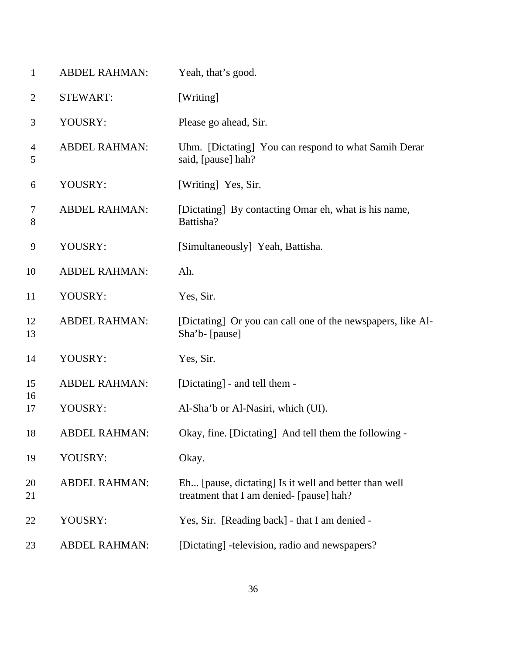| $\mathbf{1}$        | <b>ABDEL RAHMAN:</b> | Yeah, that's good.                                                                                |
|---------------------|----------------------|---------------------------------------------------------------------------------------------------|
| $\overline{2}$      | <b>STEWART:</b>      | [Writing]                                                                                         |
| 3                   | YOUSRY:              | Please go ahead, Sir.                                                                             |
| $\overline{4}$<br>5 | <b>ABDEL RAHMAN:</b> | Uhm. [Dictating] You can respond to what Samih Derar<br>said, [pause] hah?                        |
| 6                   | YOUSRY:              | [Writing] Yes, Sir.                                                                               |
| 7<br>$8\,$          | <b>ABDEL RAHMAN:</b> | [Dictating] By contacting Omar eh, what is his name,<br>Battisha?                                 |
| $\mathbf{9}$        | YOUSRY:              | [Simultaneously] Yeah, Battisha.                                                                  |
| 10                  | <b>ABDEL RAHMAN:</b> | Ah.                                                                                               |
| 11                  | YOUSRY:              | Yes, Sir.                                                                                         |
| 12<br>13            | <b>ABDEL RAHMAN:</b> | [Dictating] Or you can call one of the newspapers, like Al-<br>Sha'b- [pause]                     |
| 14                  | YOUSRY:              | Yes, Sir.                                                                                         |
| 15                  | <b>ABDEL RAHMAN:</b> | [Dictating] - and tell them -                                                                     |
| 16<br>17            | YOUSRY:              | Al-Sha'b or Al-Nasiri, which (UI).                                                                |
| 18                  | ABDEL RAHMAN:        | Okay, fine. [Dictating] And tell them the following -                                             |
| 19                  | YOUSRY:              | Okay.                                                                                             |
| 20<br>21            | <b>ABDEL RAHMAN:</b> | Eh [pause, dictating] Is it well and better than well<br>treatment that I am denied- [pause] hah? |
| 22                  | YOUSRY:              | Yes, Sir. [Reading back] - that I am denied -                                                     |
| 23                  | <b>ABDEL RAHMAN:</b> | [Dictating] -television, radio and newspapers?                                                    |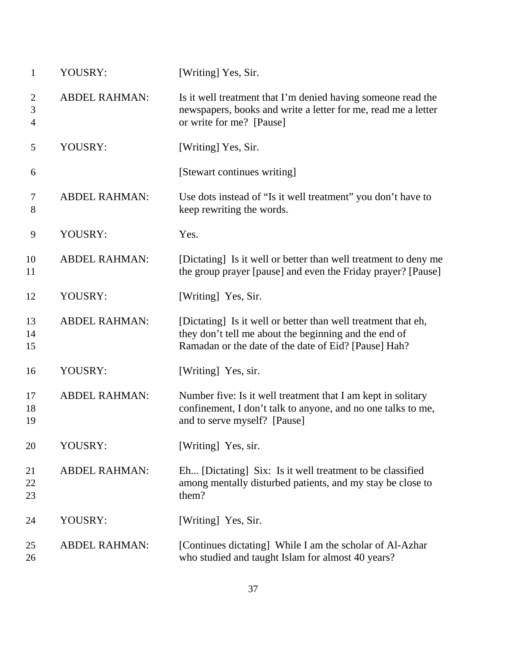| $\mathbf{1}$                          | YOUSRY:              | [Writing] Yes, Sir.                                                                                                                                                            |
|---------------------------------------|----------------------|--------------------------------------------------------------------------------------------------------------------------------------------------------------------------------|
| $\overline{2}$<br>3<br>$\overline{4}$ | <b>ABDEL RAHMAN:</b> | Is it well treatment that I'm denied having someone read the<br>newspapers, books and write a letter for me, read me a letter<br>or write for me? [Pause]                      |
| 5                                     | YOUSRY:              | [Writing] Yes, Sir.                                                                                                                                                            |
| 6                                     |                      | [Stewart continues writing]                                                                                                                                                    |
| 7<br>8                                | <b>ABDEL RAHMAN:</b> | Use dots instead of "Is it well treatment" you don't have to<br>keep rewriting the words.                                                                                      |
| 9                                     | YOUSRY:              | Yes.                                                                                                                                                                           |
| 10<br>11                              | <b>ABDEL RAHMAN:</b> | [Dictating] Is it well or better than well treatment to deny me<br>the group prayer [pause] and even the Friday prayer? [Pause]                                                |
| 12                                    | YOUSRY:              | [Writing] Yes, Sir.                                                                                                                                                            |
| 13<br>14<br>15                        | <b>ABDEL RAHMAN:</b> | [Dictating] Is it well or better than well treatment that eh,<br>they don't tell me about the beginning and the end of<br>Ramadan or the date of the date of Eid? [Pause] Hah? |
| 16                                    | YOUSRY:              | [Writing] Yes, sir.                                                                                                                                                            |
| 17<br>18<br>19                        | <b>ABDEL RAHMAN:</b> | Number five: Is it well treatment that I am kept in solitary<br>confinement, I don't talk to anyone, and no one talks to me,<br>and to serve myself? [Pause]                   |
| 20                                    | YOUSRY:              | [Writing] Yes, sir.                                                                                                                                                            |
| 21<br>22<br>23                        | <b>ABDEL RAHMAN:</b> | Eh [Dictating] Six: Is it well treatment to be classified<br>among mentally disturbed patients, and my stay be close to<br>them?                                               |
| 24                                    | YOUSRY:              | [Writing] Yes, Sir.                                                                                                                                                            |
| 25<br>26                              | <b>ABDEL RAHMAN:</b> | [Continues dictating] While I am the scholar of Al-Azhar<br>who studied and taught Islam for almost 40 years?                                                                  |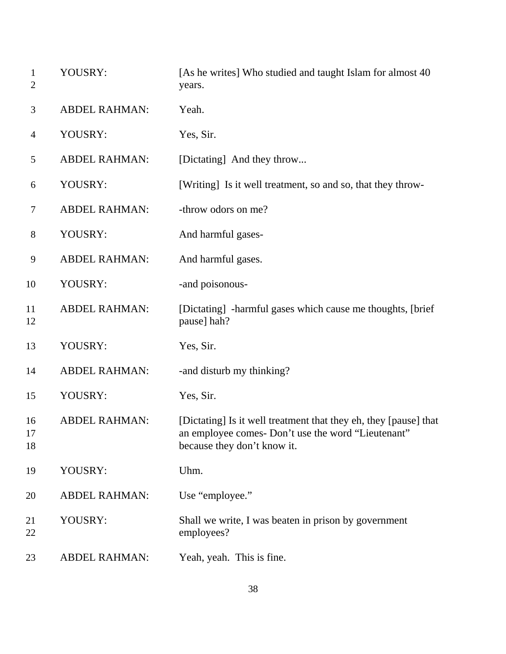| $\mathbf{1}$<br>$\overline{2}$ | YOUSRY:              | [As he writes] Who studied and taught Islam for almost 40<br>years.                                                                                   |
|--------------------------------|----------------------|-------------------------------------------------------------------------------------------------------------------------------------------------------|
| 3                              | <b>ABDEL RAHMAN:</b> | Yeah.                                                                                                                                                 |
| $\overline{4}$                 | YOUSRY:              | Yes, Sir.                                                                                                                                             |
| 5                              | <b>ABDEL RAHMAN:</b> | [Dictating] And they throw                                                                                                                            |
| 6                              | YOUSRY:              | [Writing] Is it well treatment, so and so, that they throw-                                                                                           |
| 7                              | <b>ABDEL RAHMAN:</b> | -throw odors on me?                                                                                                                                   |
| $8\,$                          | YOUSRY:              | And harmful gases-                                                                                                                                    |
| 9                              | <b>ABDEL RAHMAN:</b> | And harmful gases.                                                                                                                                    |
| 10                             | YOUSRY:              | -and poisonous-                                                                                                                                       |
| 11<br>12                       | <b>ABDEL RAHMAN:</b> | [Dictating] -harmful gases which cause me thoughts, [brief]<br>pause] hah?                                                                            |
| 13                             | YOUSRY:              | Yes, Sir.                                                                                                                                             |
| 14                             | <b>ABDEL RAHMAN:</b> | -and disturb my thinking?                                                                                                                             |
| 15                             | YOUSRY:              | Yes, Sir.                                                                                                                                             |
| 16<br>17<br>18                 | <b>ABDEL RAHMAN:</b> | [Dictating] Is it well treatment that they eh, they [pause] that<br>an employee comes- Don't use the word "Lieutenant"<br>because they don't know it. |
| 19                             | YOUSRY:              | Uhm.                                                                                                                                                  |
| 20                             | <b>ABDEL RAHMAN:</b> | Use "employee."                                                                                                                                       |
| 21<br>22                       | YOUSRY:              | Shall we write, I was beaten in prison by government<br>employees?                                                                                    |
| 23                             | <b>ABDEL RAHMAN:</b> | Yeah, yeah. This is fine.                                                                                                                             |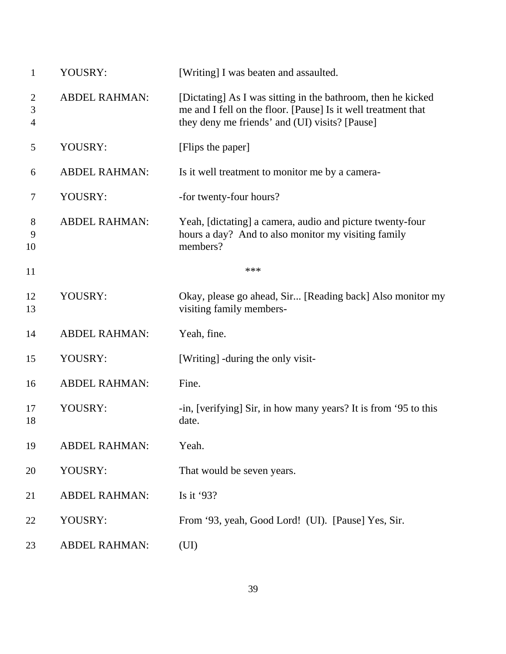| $\mathbf{1}$             | YOUSRY:              | [Writing] I was beaten and assaulted.                                                                                                                                           |
|--------------------------|----------------------|---------------------------------------------------------------------------------------------------------------------------------------------------------------------------------|
| $\overline{2}$<br>3<br>4 | <b>ABDEL RAHMAN:</b> | [Dictating] As I was sitting in the bathroom, then he kicked<br>me and I fell on the floor. [Pause] Is it well treatment that<br>they deny me friends' and (UI) visits? [Pause] |
| 5                        | YOUSRY:              | [Flips the paper]                                                                                                                                                               |
| 6                        | <b>ABDEL RAHMAN:</b> | Is it well treatment to monitor me by a camera-                                                                                                                                 |
| 7                        | YOUSRY:              | -for twenty-four hours?                                                                                                                                                         |
| 8<br>9<br>10             | <b>ABDEL RAHMAN:</b> | Yeah, [dictating] a camera, audio and picture twenty-four<br>hours a day? And to also monitor my visiting family<br>members?                                                    |
| 11                       |                      | ***                                                                                                                                                                             |
| 12<br>13                 | YOUSRY:              | Okay, please go ahead, Sir [Reading back] Also monitor my<br>visiting family members-                                                                                           |
| 14                       | <b>ABDEL RAHMAN:</b> | Yeah, fine.                                                                                                                                                                     |
| 15                       | YOUSRY:              | [Writing] -during the only visit-                                                                                                                                               |
| 16                       | <b>ABDEL RAHMAN:</b> | Fine.                                                                                                                                                                           |
| 17<br>18                 | YOUSRY:              | -in, [verifying] Sir, in how many years? It is from '95 to this<br>date.                                                                                                        |
| 19                       | <b>ABDEL RAHMAN:</b> | Yeah.                                                                                                                                                                           |
| 20                       | YOUSRY:              | That would be seven years.                                                                                                                                                      |
| 21                       | <b>ABDEL RAHMAN:</b> | Is it $93?$                                                                                                                                                                     |
| 22                       | YOUSRY:              | From '93, yeah, Good Lord! (UI). [Pause] Yes, Sir.                                                                                                                              |
| 23                       | <b>ABDEL RAHMAN:</b> | (UI)                                                                                                                                                                            |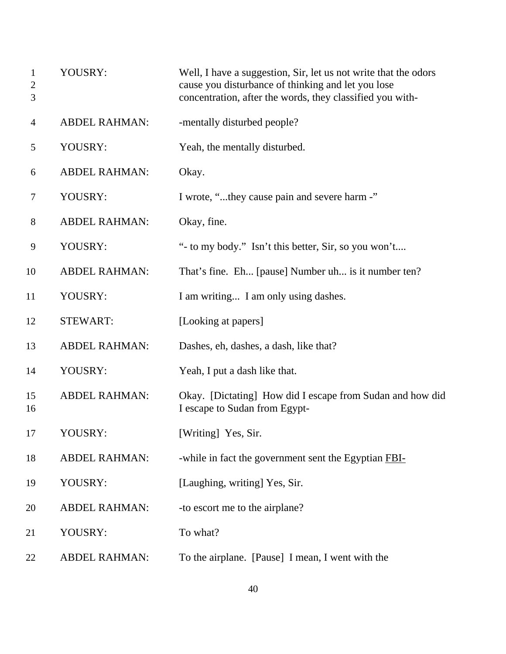| $\mathbf{1}$<br>$\overline{c}$<br>3 | YOUSRY:              | Well, I have a suggestion, Sir, let us not write that the odors<br>cause you disturbance of thinking and let you lose<br>concentration, after the words, they classified you with- |
|-------------------------------------|----------------------|------------------------------------------------------------------------------------------------------------------------------------------------------------------------------------|
| 4                                   | <b>ABDEL RAHMAN:</b> | -mentally disturbed people?                                                                                                                                                        |
| 5                                   | YOUSRY:              | Yeah, the mentally disturbed.                                                                                                                                                      |
| 6                                   | <b>ABDEL RAHMAN:</b> | Okay.                                                                                                                                                                              |
| $\tau$                              | YOUSRY:              | I wrote, "they cause pain and severe harm -"                                                                                                                                       |
| 8                                   | <b>ABDEL RAHMAN:</b> | Okay, fine.                                                                                                                                                                        |
| 9                                   | YOUSRY:              | "- to my body." Isn't this better, Sir, so you won't                                                                                                                               |
| 10                                  | <b>ABDEL RAHMAN:</b> | That's fine. Eh [pause] Number uh is it number ten?                                                                                                                                |
| 11                                  | YOUSRY:              | I am writing I am only using dashes.                                                                                                                                               |
| 12                                  | <b>STEWART:</b>      | [Looking at papers]                                                                                                                                                                |
| 13                                  | <b>ABDEL RAHMAN:</b> | Dashes, eh, dashes, a dash, like that?                                                                                                                                             |
| 14                                  | YOUSRY:              | Yeah, I put a dash like that.                                                                                                                                                      |
| 15<br>16                            | <b>ABDEL RAHMAN:</b> | Okay. [Dictating] How did I escape from Sudan and how did<br>I escape to Sudan from Egypt-                                                                                         |
| 17                                  | YOUSRY:              | [Writing] Yes, Sir.                                                                                                                                                                |
| 18                                  | <b>ABDEL RAHMAN:</b> | -while in fact the government sent the Egyptian FBI-                                                                                                                               |
| 19                                  | YOUSRY:              | [Laughing, writing] Yes, Sir.                                                                                                                                                      |
| 20                                  | <b>ABDEL RAHMAN:</b> | -to escort me to the airplane?                                                                                                                                                     |
| 21                                  | YOUSRY:              | To what?                                                                                                                                                                           |
| 22                                  | <b>ABDEL RAHMAN:</b> | To the airplane. [Pause] I mean, I went with the                                                                                                                                   |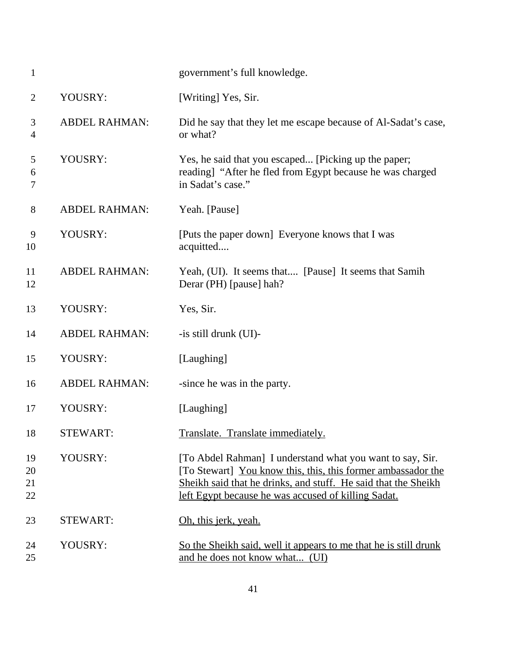| $\mathbf{1}$         |                      | government's full knowledge.                                                                                                                                                                                                                       |
|----------------------|----------------------|----------------------------------------------------------------------------------------------------------------------------------------------------------------------------------------------------------------------------------------------------|
| $\overline{2}$       | YOUSRY:              | [Writing] Yes, Sir.                                                                                                                                                                                                                                |
| 3<br>$\overline{4}$  | <b>ABDEL RAHMAN:</b> | Did he say that they let me escape because of Al-Sadat's case,<br>or what?                                                                                                                                                                         |
| 5<br>6<br>7          | YOUSRY:              | Yes, he said that you escaped [Picking up the paper;<br>reading] "After he fled from Egypt because he was charged<br>in Sadat's case."                                                                                                             |
| 8                    | <b>ABDEL RAHMAN:</b> | Yeah. [Pause]                                                                                                                                                                                                                                      |
| 9<br>10              | YOUSRY:              | [Puts the paper down] Everyone knows that I was<br>acquitted                                                                                                                                                                                       |
| 11<br>12             | <b>ABDEL RAHMAN:</b> | Yeah, (UI). It seems that [Pause] It seems that Samih<br>Derar (PH) [pause] hah?                                                                                                                                                                   |
| 13                   | YOUSRY:              | Yes, Sir.                                                                                                                                                                                                                                          |
| 14                   | <b>ABDEL RAHMAN:</b> | -is still drunk (UI)-                                                                                                                                                                                                                              |
| 15                   | YOUSRY:              | [Laughing]                                                                                                                                                                                                                                         |
| 16                   | <b>ABDEL RAHMAN:</b> | -since he was in the party.                                                                                                                                                                                                                        |
| 17                   | YOUSRY:              | [Laughing]                                                                                                                                                                                                                                         |
| 18                   | STEWART:             | Translate. Translate immediately.                                                                                                                                                                                                                  |
| 19<br>20<br>21<br>22 | YOUSRY:              | [To Abdel Rahman] I understand what you want to say, Sir.<br>[To Stewart] You know this, this, this former ambassador the<br>Sheikh said that he drinks, and stuff. He said that the Sheikh<br>left Egypt because he was accused of killing Sadat. |
| 23                   | <b>STEWART:</b>      | Oh, this jerk, yeah.                                                                                                                                                                                                                               |
| 24<br>25             | YOUSRY:              | So the Sheikh said, well it appears to me that he is still drunk<br>and he does not know what (UI)                                                                                                                                                 |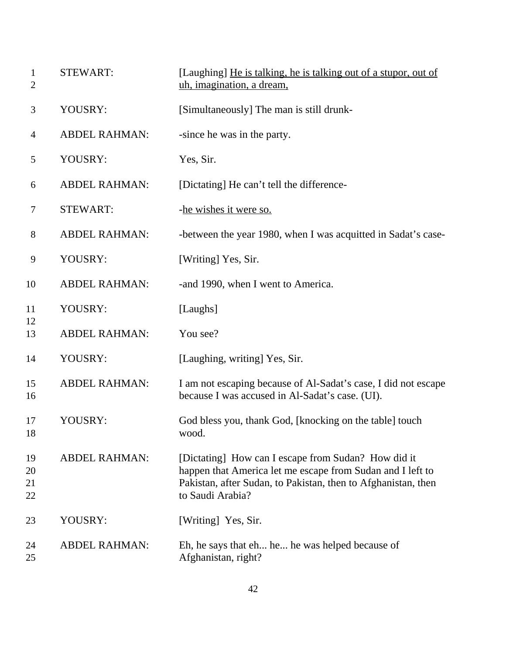| $\mathbf{1}$<br>$\overline{2}$ | <b>STEWART:</b>      | [Laughing] He is talking, he is talking out of a stupor, out of<br>uh, imagination, a dream,                                                                                                           |
|--------------------------------|----------------------|--------------------------------------------------------------------------------------------------------------------------------------------------------------------------------------------------------|
| 3                              | YOUSRY:              | [Simultaneously] The man is still drunk-                                                                                                                                                               |
| $\overline{4}$                 | <b>ABDEL RAHMAN:</b> | -since he was in the party.                                                                                                                                                                            |
| 5                              | YOUSRY:              | Yes, Sir.                                                                                                                                                                                              |
| 6                              | <b>ABDEL RAHMAN:</b> | [Dictating] He can't tell the difference-                                                                                                                                                              |
| 7                              | <b>STEWART:</b>      | -he wishes it were so.                                                                                                                                                                                 |
| $8\,$                          | <b>ABDEL RAHMAN:</b> | -between the year 1980, when I was acquitted in Sadat's case-                                                                                                                                          |
| 9                              | YOUSRY:              | [Writing] Yes, Sir.                                                                                                                                                                                    |
| 10                             | <b>ABDEL RAHMAN:</b> | -and 1990, when I went to America.                                                                                                                                                                     |
| 11                             | YOUSRY:              | [Laughs]                                                                                                                                                                                               |
| 12<br>13                       | <b>ABDEL RAHMAN:</b> | You see?                                                                                                                                                                                               |
| 14                             | YOUSRY:              | [Laughing, writing] Yes, Sir.                                                                                                                                                                          |
| 15<br>16                       | <b>ABDEL RAHMAN:</b> | I am not escaping because of Al-Sadat's case, I did not escape<br>because I was accused in Al-Sadat's case. (UI).                                                                                      |
| 17<br>18                       | YOUSRY:              | God bless you, thank God, [knocking on the table] touch<br>wood.                                                                                                                                       |
| 19<br>20<br>21<br>22           | <b>ABDEL RAHMAN:</b> | [Dictating] How can I escape from Sudan? How did it<br>happen that America let me escape from Sudan and I left to<br>Pakistan, after Sudan, to Pakistan, then to Afghanistan, then<br>to Saudi Arabia? |
| 23                             | YOUSRY:              | [Writing] Yes, Sir.                                                                                                                                                                                    |
| 24<br>25                       | <b>ABDEL RAHMAN:</b> | Eh, he says that eh he he was helped because of<br>Afghanistan, right?                                                                                                                                 |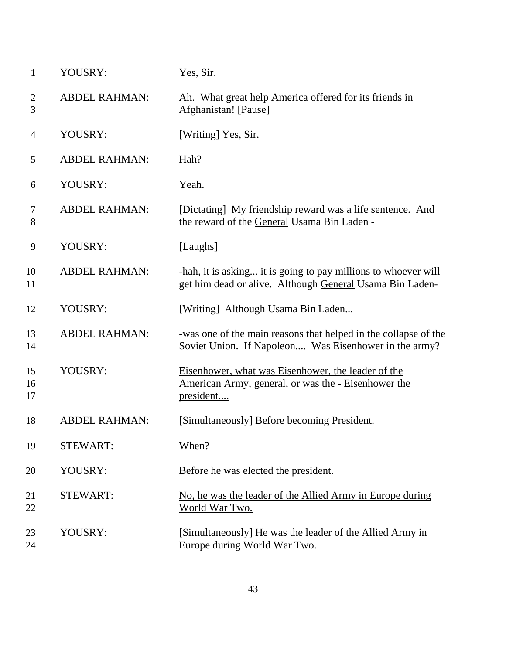| $\mathbf{1}$        | YOUSRY:              | Yes, Sir.                                                                                                                     |
|---------------------|----------------------|-------------------------------------------------------------------------------------------------------------------------------|
| $\overline{2}$<br>3 | <b>ABDEL RAHMAN:</b> | Ah. What great help America offered for its friends in<br>Afghanistan! [Pause]                                                |
| 4                   | YOUSRY:              | [Writing] Yes, Sir.                                                                                                           |
| 5                   | <b>ABDEL RAHMAN:</b> | Hah?                                                                                                                          |
| 6                   | YOUSRY:              | Yeah.                                                                                                                         |
| $\tau$<br>8         | <b>ABDEL RAHMAN:</b> | [Dictating] My friendship reward was a life sentence. And<br>the reward of the General Usama Bin Laden -                      |
| 9                   | YOUSRY:              | [Laughs]                                                                                                                      |
| 10<br>11            | <b>ABDEL RAHMAN:</b> | -hah, it is asking it is going to pay millions to whoever will<br>get him dead or alive. Although General Usama Bin Laden-    |
| 12                  | YOUSRY:              | [Writing] Although Usama Bin Laden                                                                                            |
| 13<br>14            | <b>ABDEL RAHMAN:</b> | -was one of the main reasons that helped in the collapse of the<br>Soviet Union. If Napoleon Was Eisenhower in the army?      |
| 15<br>16<br>17      | YOUSRY:              | Eisenhower, what was Eisenhower, the leader of the<br><u>American Army, general, or was the - Eisenhower the</u><br>president |
| 18                  | <b>ABDEL RAHMAN:</b> | [Simultaneously] Before becoming President.                                                                                   |
| 19                  | <b>STEWART:</b>      | When?                                                                                                                         |
| 20                  | YOUSRY:              | Before he was elected the president.                                                                                          |
| 21<br>22            | <b>STEWART:</b>      | No, he was the leader of the Allied Army in Europe during<br>World War Two.                                                   |
| 23<br>24            | YOUSRY:              | [Simultaneously] He was the leader of the Allied Army in<br>Europe during World War Two.                                      |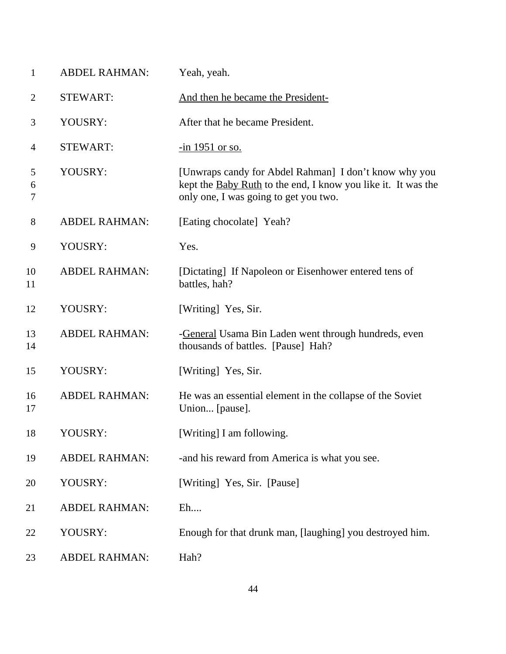| $\mathbf{1}$   | <b>ABDEL RAHMAN:</b> | Yeah, yeah.                                                                                                                                                     |
|----------------|----------------------|-----------------------------------------------------------------------------------------------------------------------------------------------------------------|
| $\overline{2}$ | <b>STEWART:</b>      | And then he became the President-                                                                                                                               |
| 3              | YOUSRY:              | After that he became President.                                                                                                                                 |
| $\overline{4}$ | <b>STEWART:</b>      | $\frac{-\text{in}}{1951}$ or so.                                                                                                                                |
| 5<br>6<br>7    | YOUSRY:              | [Unwraps candy for Abdel Rahman] I don't know why you<br>kept the Baby Ruth to the end, I know you like it. It was the<br>only one, I was going to get you two. |
| $8\phantom{1}$ | <b>ABDEL RAHMAN:</b> | [Eating chocolate] Yeah?                                                                                                                                        |
| 9              | YOUSRY:              | Yes.                                                                                                                                                            |
| 10<br>11       | <b>ABDEL RAHMAN:</b> | [Dictating] If Napoleon or Eisenhower entered tens of<br>battles, hah?                                                                                          |
| 12             | YOUSRY:              | [Writing] Yes, Sir.                                                                                                                                             |
| 13<br>14       | <b>ABDEL RAHMAN:</b> | -General Usama Bin Laden went through hundreds, even<br>thousands of battles. [Pause] Hah?                                                                      |
| 15             | YOUSRY:              | [Writing] Yes, Sir.                                                                                                                                             |
| 16<br>17       | <b>ABDEL RAHMAN:</b> | He was an essential element in the collapse of the Soviet<br>Union [pause].                                                                                     |
| 18             | YOUSRY:              | [Writing] I am following.                                                                                                                                       |
| 19             | <b>ABDEL RAHMAN:</b> | -and his reward from America is what you see.                                                                                                                   |
| 20             | YOUSRY:              | [Writing] Yes, Sir. [Pause]                                                                                                                                     |
| 21             | <b>ABDEL RAHMAN:</b> | $E$ h                                                                                                                                                           |
| 22             | YOUSRY:              | Enough for that drunk man, [laughing] you destroyed him.                                                                                                        |
| 23             | <b>ABDEL RAHMAN:</b> | Hah?                                                                                                                                                            |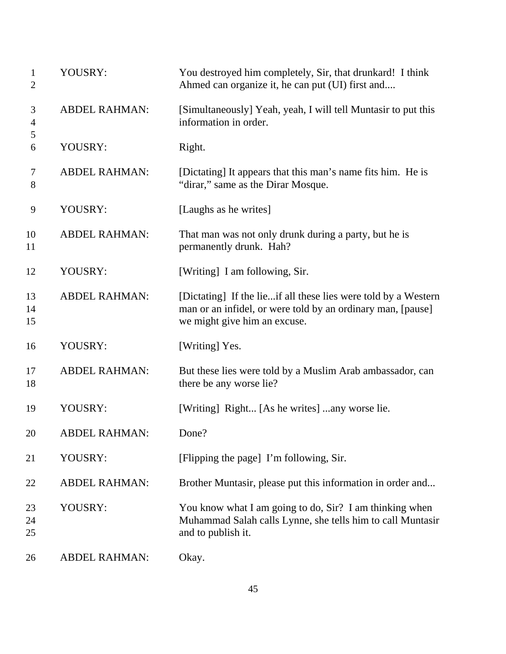| $\mathbf{1}$<br>$\mathbf{2}$ | YOUSRY:              | You destroyed him completely, Sir, that drunkard! I think<br>Ahmed can organize it, he can put (UI) first and                                                 |
|------------------------------|----------------------|---------------------------------------------------------------------------------------------------------------------------------------------------------------|
| 3<br>$\overline{4}$          | <b>ABDEL RAHMAN:</b> | [Simultaneously] Yeah, yeah, I will tell Muntasir to put this<br>information in order.                                                                        |
| 5<br>6                       | YOUSRY:              | Right.                                                                                                                                                        |
| $\tau$<br>8                  | <b>ABDEL RAHMAN:</b> | [Dictating] It appears that this man's name fits him. He is<br>"dirar," same as the Dirar Mosque.                                                             |
| 9                            | YOUSRY:              | [Laughs as he writes]                                                                                                                                         |
| 10<br>11                     | <b>ABDEL RAHMAN:</b> | That man was not only drunk during a party, but he is<br>permanently drunk. Hah?                                                                              |
| 12                           | YOUSRY:              | [Writing] I am following, Sir.                                                                                                                                |
| 13<br>14<br>15               | <b>ABDEL RAHMAN:</b> | [Dictating] If the lieif all these lies were told by a Western<br>man or an infidel, or were told by an ordinary man, [pause]<br>we might give him an excuse. |
| 16                           | YOUSRY:              | [Writing] Yes.                                                                                                                                                |
| 17<br>18                     | <b>ABDEL RAHMAN:</b> | But these lies were told by a Muslim Arab ambassador, can<br>there be any worse lie?                                                                          |
| 19                           | YOUSRY:              | [Writing] Right [As he writes] any worse lie.                                                                                                                 |
| 20                           | <b>ABDEL RAHMAN:</b> | Done?                                                                                                                                                         |
| 21                           | YOUSRY:              | [Flipping the page] I'm following, Sir.                                                                                                                       |
| 22                           | <b>ABDEL RAHMAN:</b> | Brother Muntasir, please put this information in order and                                                                                                    |
| 23<br>24<br>25               | YOUSRY:              | You know what I am going to do, Sir? I am thinking when<br>Muhammad Salah calls Lynne, she tells him to call Muntasir<br>and to publish it.                   |
| 26                           | <b>ABDEL RAHMAN:</b> | Okay.                                                                                                                                                         |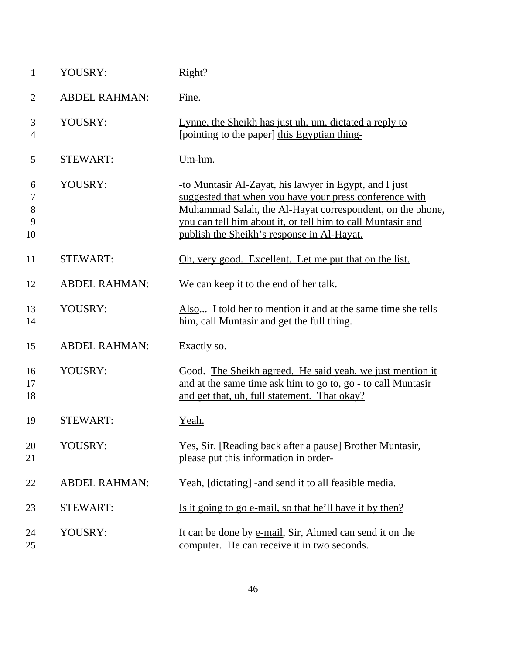| $\mathbf{1}$           | YOUSRY:              | Right?                                                                                                                                                                                                                                                                                      |
|------------------------|----------------------|---------------------------------------------------------------------------------------------------------------------------------------------------------------------------------------------------------------------------------------------------------------------------------------------|
| $\overline{2}$         | <b>ABDEL RAHMAN:</b> | Fine.                                                                                                                                                                                                                                                                                       |
| 3<br>4                 | YOUSRY:              | Lynne, the Sheikh has just uh, um, dictated a reply to<br>[pointing to the paper] this Egyptian thing-                                                                                                                                                                                      |
| 5                      | <b>STEWART:</b>      | $Um-hm.$                                                                                                                                                                                                                                                                                    |
| 6<br>7<br>8<br>9<br>10 | YOUSRY:              | -to Muntasir Al-Zayat, his lawyer in Egypt, and I just<br>suggested that when you have your press conference with<br>Muhammad Salah, the Al-Hayat correspondent, on the phone,<br>you can tell him about it, or tell him to call Muntasir and<br>publish the Sheikh's response in Al-Hayat. |
| 11                     | <b>STEWART:</b>      | Oh, very good. Excellent. Let me put that on the list.                                                                                                                                                                                                                                      |
| 12                     | <b>ABDEL RAHMAN:</b> | We can keep it to the end of her talk.                                                                                                                                                                                                                                                      |
| 13<br>14               | YOUSRY:              | Also I told her to mention it and at the same time she tells<br>him, call Muntasir and get the full thing.                                                                                                                                                                                  |
| 15                     | <b>ABDEL RAHMAN:</b> | Exactly so.                                                                                                                                                                                                                                                                                 |
| 16<br>17<br>18         | YOUSRY:              | Good. The Sheikh agreed. He said yeah, we just mention it<br>and at the same time ask him to go to, go - to call Muntasir<br>and get that, uh, full statement. That okay?                                                                                                                   |
| 19                     | <b>STEWART:</b>      | Yeah.                                                                                                                                                                                                                                                                                       |
| 20<br>21               | YOUSRY:              | Yes, Sir. [Reading back after a pause] Brother Muntasir,<br>please put this information in order-                                                                                                                                                                                           |
| 22                     | <b>ABDEL RAHMAN:</b> | Yeah, [dictating] -and send it to all feasible media.                                                                                                                                                                                                                                       |
| 23                     | <b>STEWART:</b>      | Is it going to go e-mail, so that he'll have it by then?                                                                                                                                                                                                                                    |
| 24<br>25               | YOUSRY:              | It can be done by <u>e-mail</u> , Sir, Ahmed can send it on the<br>computer. He can receive it in two seconds.                                                                                                                                                                              |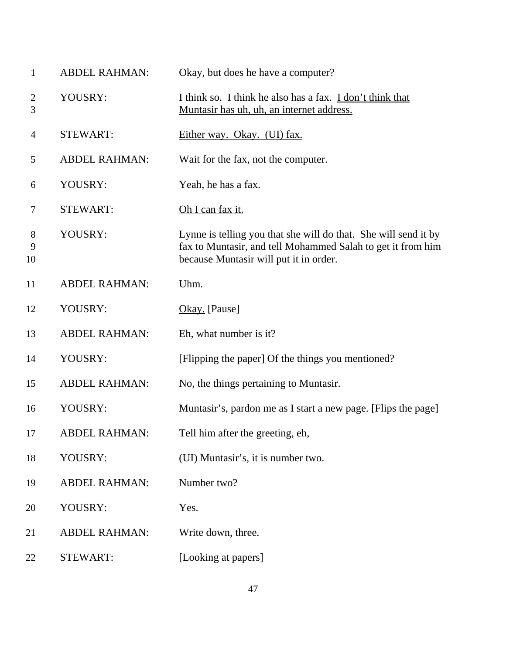| 1                         | <b>ABDEL RAHMAN:</b> | Okay, but does he have a computer?                                                                                                                                       |
|---------------------------|----------------------|--------------------------------------------------------------------------------------------------------------------------------------------------------------------------|
| $\overline{c}$<br>3       | YOUSRY:              | I think so. I think he also has a fax. I don't think that<br>Muntasir has uh, uh, an internet address.                                                                   |
| $\overline{4}$            | <b>STEWART:</b>      | Either way. Okay. (UI) fax.                                                                                                                                              |
| 5                         | <b>ABDEL RAHMAN:</b> | Wait for the fax, not the computer.                                                                                                                                      |
| 6                         | YOUSRY:              | Yeah, he has a fax.                                                                                                                                                      |
| 7                         | <b>STEWART:</b>      | Oh I can fax it.                                                                                                                                                         |
| $8\phantom{1}$<br>9<br>10 | YOUSRY:              | Lynne is telling you that she will do that. She will send it by<br>fax to Muntasir, and tell Mohammed Salah to get it from him<br>because Muntasir will put it in order. |
| 11                        | <b>ABDEL RAHMAN:</b> | Uhm.                                                                                                                                                                     |
| 12                        | YOUSRY:              | Okay. [Pause]                                                                                                                                                            |
| 13                        | <b>ABDEL RAHMAN:</b> | Eh, what number is it?                                                                                                                                                   |
| 14                        | YOUSRY:              | [Flipping the paper] Of the things you mentioned?                                                                                                                        |
| 15                        | <b>ABDEL RAHMAN:</b> | No, the things pertaining to Muntasir.                                                                                                                                   |
| 16                        | YOUSRY:              | Muntasir's, pardon me as I start a new page. [Flips the page]                                                                                                            |
| 17                        | <b>ABDEL RAHMAN:</b> | Tell him after the greeting, eh,                                                                                                                                         |
| 18                        | YOUSRY:              | (UI) Muntasir's, it is number two.                                                                                                                                       |
| 19                        | <b>ABDEL RAHMAN:</b> | Number two?                                                                                                                                                              |
| 20                        | YOUSRY:              | Yes.                                                                                                                                                                     |
| 21                        | <b>ABDEL RAHMAN:</b> | Write down, three.                                                                                                                                                       |
| 22                        | <b>STEWART:</b>      | [Looking at papers]                                                                                                                                                      |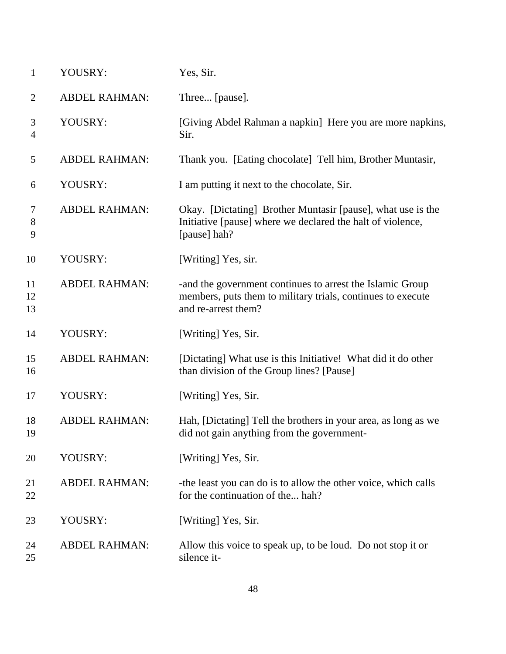| $\mathbf{1}$   | YOUSRY:              | Yes, Sir.                                                                                                                                       |
|----------------|----------------------|-------------------------------------------------------------------------------------------------------------------------------------------------|
| 2              | <b>ABDEL RAHMAN:</b> | Three [pause].                                                                                                                                  |
| 3<br>4         | YOUSRY:              | [Giving Abdel Rahman a napkin] Here you are more napkins,<br>Sir.                                                                               |
| 5              | <b>ABDEL RAHMAN:</b> | Thank you. [Eating chocolate] Tell him, Brother Muntasir,                                                                                       |
| 6              | YOUSRY:              | I am putting it next to the chocolate, Sir.                                                                                                     |
| 7<br>8<br>9    | <b>ABDEL RAHMAN:</b> | Okay. [Dictating] Brother Muntasir [pause], what use is the<br>Initiative [pause] where we declared the halt of violence,<br>[pause] hah?       |
| 10             | YOUSRY:              | [Writing] Yes, sir.                                                                                                                             |
| 11<br>12<br>13 | <b>ABDEL RAHMAN:</b> | -and the government continues to arrest the Islamic Group<br>members, puts them to military trials, continues to execute<br>and re-arrest them? |
| 14             | YOUSRY:              | [Writing] Yes, Sir.                                                                                                                             |
| 15<br>16       | <b>ABDEL RAHMAN:</b> | [Dictating] What use is this Initiative! What did it do other<br>than division of the Group lines? [Pause]                                      |
| 17             | YOUSRY:              | [Writing] Yes, Sir.                                                                                                                             |
| 18<br>19       | <b>ABDEL RAHMAN:</b> | Hah, [Dictating] Tell the brothers in your area, as long as we<br>did not gain anything from the government-                                    |
| 20             | YOUSRY:              | [Writing] Yes, Sir.                                                                                                                             |
| 21<br>22       | <b>ABDEL RAHMAN:</b> | -the least you can do is to allow the other voice, which calls<br>for the continuation of the hah?                                              |
| 23             | YOUSRY:              | [Writing] Yes, Sir.                                                                                                                             |
| 24<br>25       | <b>ABDEL RAHMAN:</b> | Allow this voice to speak up, to be loud. Do not stop it or<br>silence it-                                                                      |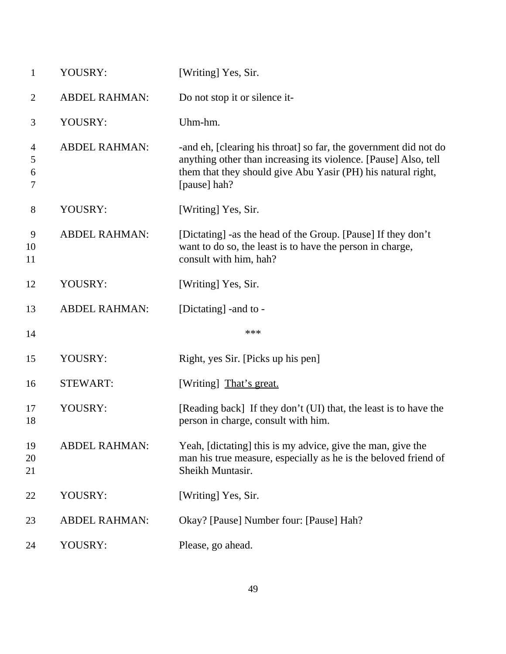| $\mathbf{1}$             | YOUSRY:              | [Writing] Yes, Sir.                                                                                                                                                                                                 |
|--------------------------|----------------------|---------------------------------------------------------------------------------------------------------------------------------------------------------------------------------------------------------------------|
| $\overline{2}$           | <b>ABDEL RAHMAN:</b> | Do not stop it or silence it-                                                                                                                                                                                       |
| 3                        | YOUSRY:              | Uhm-hm.                                                                                                                                                                                                             |
| 4<br>5<br>6<br>7         | <b>ABDEL RAHMAN:</b> | -and eh, [clearing his throat] so far, the government did not do<br>anything other than increasing its violence. [Pause] Also, tell<br>them that they should give Abu Yasir (PH) his natural right,<br>[pause] hah? |
| $8\,$                    | YOUSRY:              | [Writing] Yes, Sir.                                                                                                                                                                                                 |
| $\mathbf{9}$<br>10<br>11 | <b>ABDEL RAHMAN:</b> | [Dictating] -as the head of the Group. [Pause] If they don't<br>want to do so, the least is to have the person in charge,<br>consult with him, hah?                                                                 |
| 12                       | YOUSRY:              | [Writing] Yes, Sir.                                                                                                                                                                                                 |
| 13                       | <b>ABDEL RAHMAN:</b> | [Dictating] - and to -                                                                                                                                                                                              |
| 14                       |                      | ***                                                                                                                                                                                                                 |
| 15                       | YOUSRY:              | Right, yes Sir. [Picks up his pen]                                                                                                                                                                                  |
| 16                       | <b>STEWART:</b>      | [Writing] That's great.                                                                                                                                                                                             |
| 17<br>18                 | YOUSRY:              | [Reading back] If they don't (UI) that, the least is to have the<br>person in charge, consult with him.                                                                                                             |
| 19<br>20<br>21           | <b>ABDEL RAHMAN:</b> | Yeah, [dictating] this is my advice, give the man, give the<br>man his true measure, especially as he is the beloved friend of<br>Sheikh Muntasir.                                                                  |
| 22                       | YOUSRY:              | [Writing] Yes, Sir.                                                                                                                                                                                                 |
| 23                       | <b>ABDEL RAHMAN:</b> | Okay? [Pause] Number four: [Pause] Hah?                                                                                                                                                                             |
| 24                       | YOUSRY:              | Please, go ahead.                                                                                                                                                                                                   |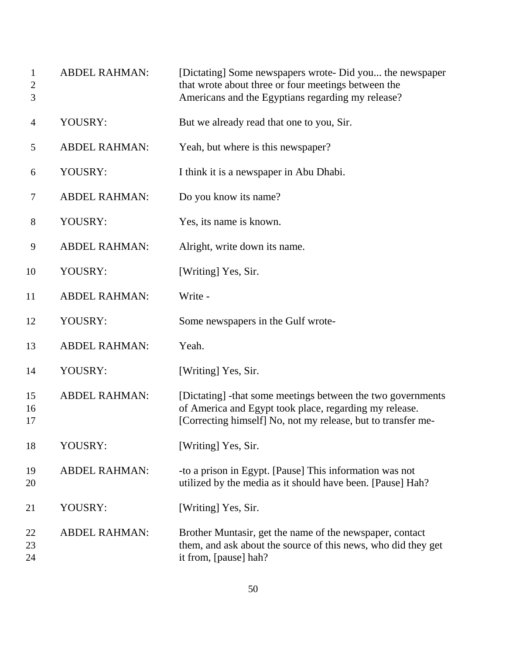| $\mathbf{1}$<br>$\overline{2}$<br>3 | <b>ABDEL RAHMAN:</b> | [Dictating] Some newspapers wrote- Did you the newspaper<br>that wrote about three or four meetings between the<br>Americans and the Egyptians regarding my release?                  |
|-------------------------------------|----------------------|---------------------------------------------------------------------------------------------------------------------------------------------------------------------------------------|
| 4                                   | YOUSRY:              | But we already read that one to you, Sir.                                                                                                                                             |
| 5                                   | <b>ABDEL RAHMAN:</b> | Yeah, but where is this newspaper?                                                                                                                                                    |
| 6                                   | YOUSRY:              | I think it is a newspaper in Abu Dhabi.                                                                                                                                               |
| $\tau$                              | <b>ABDEL RAHMAN:</b> | Do you know its name?                                                                                                                                                                 |
| 8                                   | YOUSRY:              | Yes, its name is known.                                                                                                                                                               |
| 9                                   | <b>ABDEL RAHMAN:</b> | Alright, write down its name.                                                                                                                                                         |
| 10                                  | YOUSRY:              | [Writing] Yes, Sir.                                                                                                                                                                   |
| 11                                  | <b>ABDEL RAHMAN:</b> | Write -                                                                                                                                                                               |
| 12                                  | YOUSRY:              | Some newspapers in the Gulf wrote-                                                                                                                                                    |
| 13                                  | <b>ABDEL RAHMAN:</b> | Yeah.                                                                                                                                                                                 |
| 14                                  | YOUSRY:              | [Writing] Yes, Sir.                                                                                                                                                                   |
| 15<br>16<br>17                      | <b>ABDEL RAHMAN:</b> | [Dictating] -that some meetings between the two governments<br>of America and Egypt took place, regarding my release.<br>[Correcting himself] No, not my release, but to transfer me- |
| 18                                  | YOUSRY:              | [Writing] Yes, Sir.                                                                                                                                                                   |
| 19<br>20                            | <b>ABDEL RAHMAN:</b> | -to a prison in Egypt. [Pause] This information was not<br>utilized by the media as it should have been. [Pause] Hah?                                                                 |
| 21                                  | YOUSRY:              | [Writing] Yes, Sir.                                                                                                                                                                   |
| 22<br>23<br>24                      | <b>ABDEL RAHMAN:</b> | Brother Muntasir, get the name of the newspaper, contact<br>them, and ask about the source of this news, who did they get<br>it from, [pause] hah?                                    |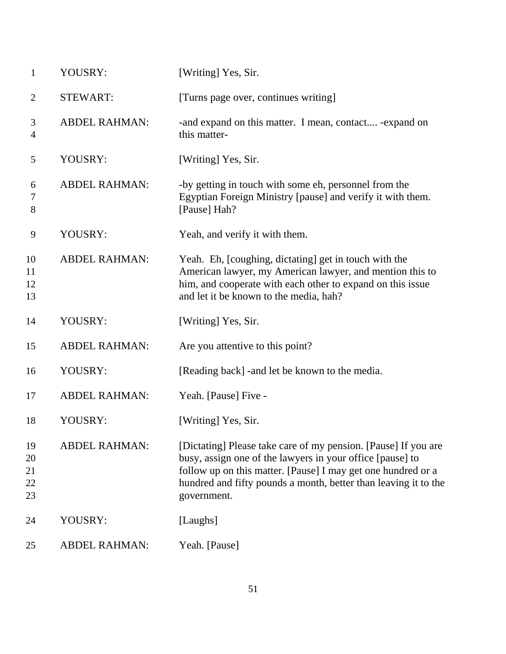| $\mathbf{1}$               | YOUSRY:              | [Writing] Yes, Sir.                                                                                                                                                                                                                                                           |
|----------------------------|----------------------|-------------------------------------------------------------------------------------------------------------------------------------------------------------------------------------------------------------------------------------------------------------------------------|
| $\overline{2}$             | <b>STEWART:</b>      | [Turns page over, continues writing]                                                                                                                                                                                                                                          |
| 3<br>4                     | <b>ABDEL RAHMAN:</b> | -and expand on this matter. I mean, contact -expand on<br>this matter-                                                                                                                                                                                                        |
| 5                          | YOUSRY:              | [Writing] Yes, Sir.                                                                                                                                                                                                                                                           |
| 6<br>7<br>8                | <b>ABDEL RAHMAN:</b> | -by getting in touch with some eh, personnel from the<br>Egyptian Foreign Ministry [pause] and verify it with them.<br>[Pause] Hah?                                                                                                                                           |
| 9                          | YOUSRY:              | Yeah, and verify it with them.                                                                                                                                                                                                                                                |
| 10<br>11<br>12<br>13       | <b>ABDEL RAHMAN:</b> | Yeah. Eh, [coughing, dictating] get in touch with the<br>American lawyer, my American lawyer, and mention this to<br>him, and cooperate with each other to expand on this issue<br>and let it be known to the media, hah?                                                     |
| 14                         | YOUSRY:              | [Writing] Yes, Sir.                                                                                                                                                                                                                                                           |
| 15                         | <b>ABDEL RAHMAN:</b> | Are you attentive to this point?                                                                                                                                                                                                                                              |
| 16                         | YOUSRY:              | [Reading back] - and let be known to the media.                                                                                                                                                                                                                               |
| 17                         | <b>ABDEL RAHMAN:</b> | Yeah. [Pause] Five -                                                                                                                                                                                                                                                          |
| 18                         | YOUSRY:              | [Writing] Yes, Sir.                                                                                                                                                                                                                                                           |
| 19<br>20<br>21<br>22<br>23 | <b>ABDEL RAHMAN:</b> | [Dictating] Please take care of my pension. [Pause] If you are<br>busy, assign one of the lawyers in your office [pause] to<br>follow up on this matter. [Pause] I may get one hundred or a<br>hundred and fifty pounds a month, better than leaving it to the<br>government. |
| 24                         | YOUSRY:              | [Laughs]                                                                                                                                                                                                                                                                      |
| 25                         | <b>ABDEL RAHMAN:</b> | Yeah. [Pause]                                                                                                                                                                                                                                                                 |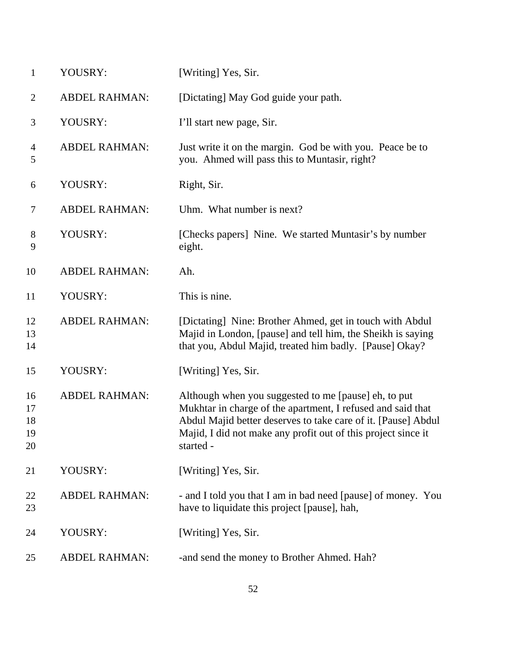| $\mathbf{1}$               | YOUSRY:              | [Writing] Yes, Sir.                                                                                                                                                                                                                                                |
|----------------------------|----------------------|--------------------------------------------------------------------------------------------------------------------------------------------------------------------------------------------------------------------------------------------------------------------|
| $\overline{2}$             | <b>ABDEL RAHMAN:</b> | [Dictating] May God guide your path.                                                                                                                                                                                                                               |
| 3                          | YOUSRY:              | I'll start new page, Sir.                                                                                                                                                                                                                                          |
| $\overline{4}$<br>5        | <b>ABDEL RAHMAN:</b> | Just write it on the margin. God be with you. Peace be to<br>you. Ahmed will pass this to Muntasir, right?                                                                                                                                                         |
| 6                          | YOUSRY:              | Right, Sir.                                                                                                                                                                                                                                                        |
| 7                          | <b>ABDEL RAHMAN:</b> | Uhm. What number is next?                                                                                                                                                                                                                                          |
| $8\,$<br>9                 | YOUSRY:              | [Checks papers] Nine. We started Muntasir's by number<br>eight.                                                                                                                                                                                                    |
| 10                         | <b>ABDEL RAHMAN:</b> | Ah.                                                                                                                                                                                                                                                                |
| 11                         | YOUSRY:              | This is nine.                                                                                                                                                                                                                                                      |
| 12<br>13<br>14             | <b>ABDEL RAHMAN:</b> | [Dictating] Nine: Brother Ahmed, get in touch with Abdul<br>Majid in London, [pause] and tell him, the Sheikh is saying<br>that you, Abdul Majid, treated him badly. [Pause] Okay?                                                                                 |
| 15                         | YOUSRY:              | [Writing] Yes, Sir.                                                                                                                                                                                                                                                |
| 16<br>17<br>18<br>19<br>20 | <b>ABDEL RAHMAN:</b> | Although when you suggested to me [pause] eh, to put<br>Mukhtar in charge of the apartment, I refused and said that<br>Abdul Majid better deserves to take care of it. [Pause] Abdul<br>Majid, I did not make any profit out of this project since it<br>started - |
| 21                         | YOUSRY:              | [Writing] Yes, Sir.                                                                                                                                                                                                                                                |
| 22<br>23                   | <b>ABDEL RAHMAN:</b> | - and I told you that I am in bad need [pause] of money. You<br>have to liquidate this project [pause], hah,                                                                                                                                                       |
| 24                         | YOUSRY:              | [Writing] Yes, Sir.                                                                                                                                                                                                                                                |
| 25                         | <b>ABDEL RAHMAN:</b> | -and send the money to Brother Ahmed. Hah?                                                                                                                                                                                                                         |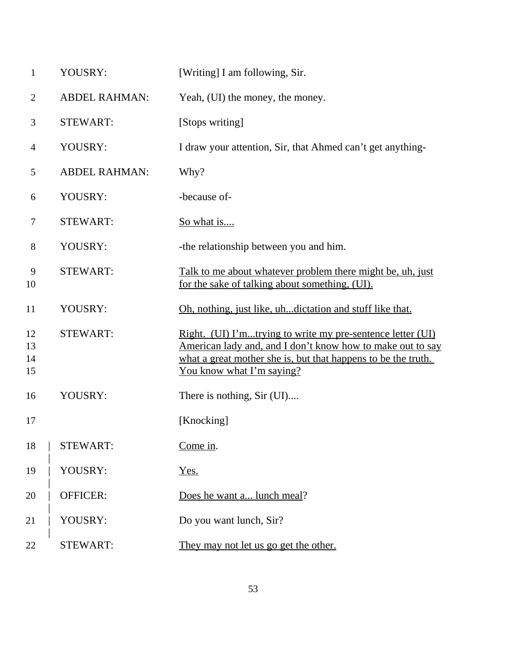| $\mathbf{1}$         | YOUSRY:              | [Writing] I am following, Sir.                                                                                                                                                                                         |
|----------------------|----------------------|------------------------------------------------------------------------------------------------------------------------------------------------------------------------------------------------------------------------|
| $\overline{2}$       | <b>ABDEL RAHMAN:</b> | Yeah, (UI) the money, the money.                                                                                                                                                                                       |
| 3                    | <b>STEWART:</b>      | [Stops writing]                                                                                                                                                                                                        |
| $\overline{4}$       | YOUSRY:              | I draw your attention, Sir, that Ahmed can't get anything-                                                                                                                                                             |
| 5                    | <b>ABDEL RAHMAN:</b> | Why?                                                                                                                                                                                                                   |
| 6                    | YOUSRY:              | -because of-                                                                                                                                                                                                           |
| 7                    | <b>STEWART:</b>      | <u>So what is</u>                                                                                                                                                                                                      |
| $8\,$                | YOUSRY:              | -the relationship between you and him.                                                                                                                                                                                 |
| 9<br>10              | <b>STEWART:</b>      | Talk to me about whatever problem there might be, uh, just<br>for the sake of talking about something, (UI).                                                                                                           |
| 11                   | YOUSRY:              | Oh, nothing, just like, uh dictation and stuff like that.                                                                                                                                                              |
| 12<br>13<br>14<br>15 | <b>STEWART:</b>      | Right. (UI) I'mtrying to write my pre-sentence letter (UI)<br>American lady and, and I don't know how to make out to say<br>what a great mother she is, but that happens to be the truth.<br>You know what I'm saying? |
| 16                   | YOUSRY:              | There is nothing, Sir (UI)                                                                                                                                                                                             |
| 17                   |                      | [Knocking]                                                                                                                                                                                                             |
| 18                   | <b>STEWART:</b>      | Come in.                                                                                                                                                                                                               |
| 19                   | YOUSRY:              | Yes.                                                                                                                                                                                                                   |
| 20                   | <b>OFFICER:</b>      | Does he want a lunch meal?                                                                                                                                                                                             |
| 21                   | YOUSRY:              | Do you want lunch, Sir?                                                                                                                                                                                                |
| 22                   | <b>STEWART:</b>      | They may not let us go get the other.                                                                                                                                                                                  |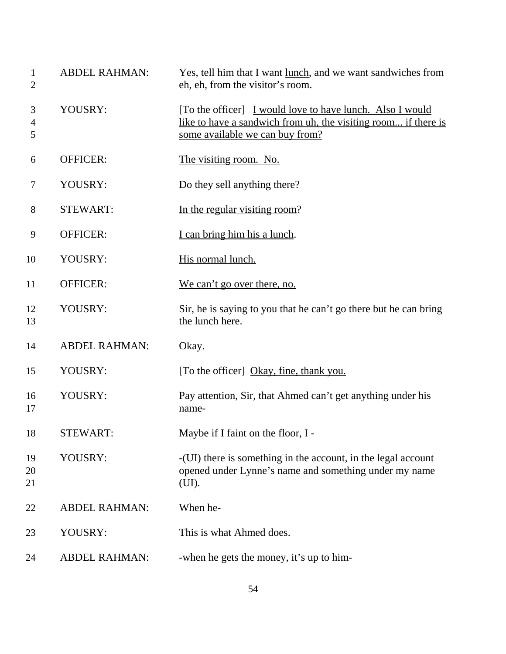| $\mathbf{1}$<br>$\mathbf{2}$ | <b>ABDEL RAHMAN:</b> | Yes, tell him that I want lunch, and we want sandwiches from<br>eh, eh, from the visitor's room.                                                               |
|------------------------------|----------------------|----------------------------------------------------------------------------------------------------------------------------------------------------------------|
| 3<br>$\overline{4}$<br>5     | YOUSRY:              | [To the officer] I would love to have lunch. Also I would<br>like to have a sandwich from uh, the visiting room if there is<br>some available we can buy from? |
| 6                            | <b>OFFICER:</b>      | The visiting room. No.                                                                                                                                         |
| 7                            | YOUSRY:              | Do they sell anything there?                                                                                                                                   |
| 8                            | <b>STEWART:</b>      | In the regular visiting room?                                                                                                                                  |
| 9                            | OFFICER:             | I can bring him his a lunch.                                                                                                                                   |
| 10                           | YOUSRY:              | His normal lunch.                                                                                                                                              |
| 11                           | OFFICER:             | We can't go over there, no.                                                                                                                                    |
| 12<br>13                     | YOUSRY:              | Sir, he is saying to you that he can't go there but he can bring<br>the lunch here.                                                                            |
| 14                           | <b>ABDEL RAHMAN:</b> | Okay.                                                                                                                                                          |
| 15                           | YOUSRY:              | [To the officer] Okay, fine, thank you.                                                                                                                        |
| 16<br>17                     | YOUSRY:              | Pay attention, Sir, that Ahmed can't get anything under his<br>name-                                                                                           |
| 18                           | STEWART:             | <u>Maybe if I faint on the floor, I -</u>                                                                                                                      |
| 19<br>20<br>21               | YOUSRY:              | -(UI) there is something in the account, in the legal account<br>opened under Lynne's name and something under my name<br>(UI).                                |
| 22                           | <b>ABDEL RAHMAN:</b> | When he-                                                                                                                                                       |
| 23                           | YOUSRY:              | This is what Ahmed does.                                                                                                                                       |
| 24                           | <b>ABDEL RAHMAN:</b> | -when he gets the money, it's up to him-                                                                                                                       |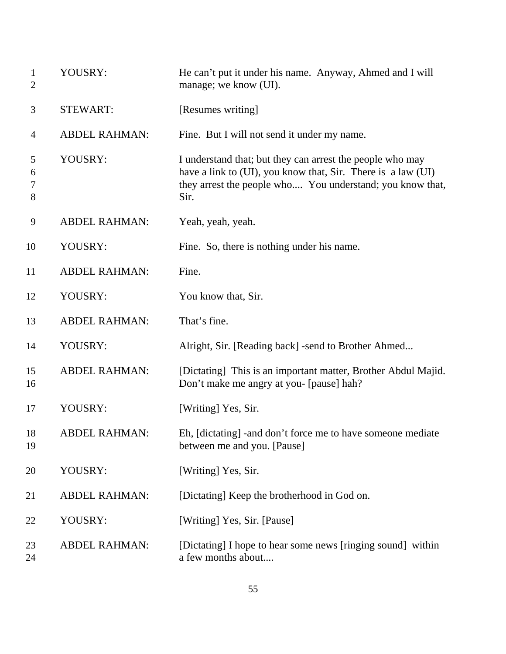| $\mathbf{1}$<br>$\overline{2}$ | YOUSRY:              | He can't put it under his name. Anyway, Ahmed and I will<br>manage; we know (UI).                                                                                                              |
|--------------------------------|----------------------|------------------------------------------------------------------------------------------------------------------------------------------------------------------------------------------------|
| 3                              | <b>STEWART:</b>      | [Resumes writing]                                                                                                                                                                              |
| 4                              | <b>ABDEL RAHMAN:</b> | Fine. But I will not send it under my name.                                                                                                                                                    |
| 5<br>6<br>7<br>8               | YOUSRY:              | I understand that; but they can arrest the people who may<br>have a link to (UI), you know that, Sir. There is a law (UI)<br>they arrest the people who You understand; you know that,<br>Sir. |
| 9                              | <b>ABDEL RAHMAN:</b> | Yeah, yeah, yeah.                                                                                                                                                                              |
| 10                             | YOUSRY:              | Fine. So, there is nothing under his name.                                                                                                                                                     |
| 11                             | <b>ABDEL RAHMAN:</b> | Fine.                                                                                                                                                                                          |
| 12                             | YOUSRY:              | You know that, Sir.                                                                                                                                                                            |
| 13                             | <b>ABDEL RAHMAN:</b> | That's fine.                                                                                                                                                                                   |
| 14                             | YOUSRY:              | Alright, Sir. [Reading back] -send to Brother Ahmed                                                                                                                                            |
| 15<br>16                       | <b>ABDEL RAHMAN:</b> | [Dictating] This is an important matter, Brother Abdul Majid.<br>Don't make me angry at you- [pause] hah?                                                                                      |
| 17                             | YOUSRY:              | [Writing] Yes, Sir.                                                                                                                                                                            |
| 18<br>19                       | <b>ABDEL RAHMAN:</b> | Eh, [dictating] -and don't force me to have someone mediate<br>between me and you. [Pause]                                                                                                     |
| 20                             | YOUSRY:              | [Writing] Yes, Sir.                                                                                                                                                                            |
| 21                             | <b>ABDEL RAHMAN:</b> | [Dictating] Keep the brotherhood in God on.                                                                                                                                                    |
| 22                             | YOUSRY:              | [Writing] Yes, Sir. [Pause]                                                                                                                                                                    |
| 23<br>24                       | <b>ABDEL RAHMAN:</b> | [Dictating] I hope to hear some news [ringing sound] within<br>a few months about                                                                                                              |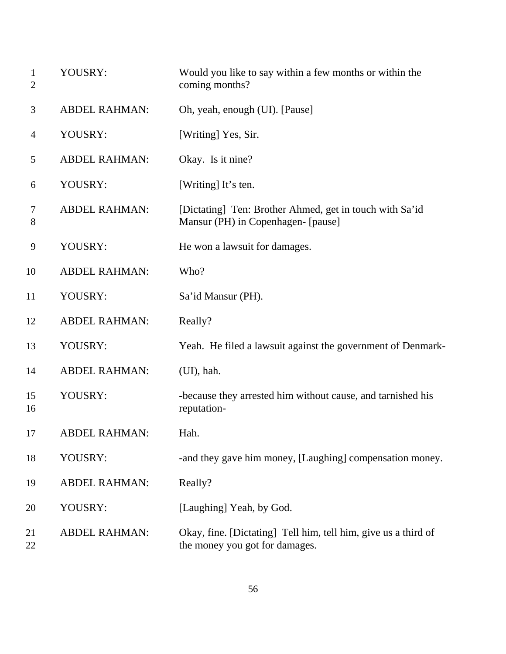| $\mathbf{1}$<br>2 | YOUSRY:              | Would you like to say within a few months or within the<br>coming months?                        |
|-------------------|----------------------|--------------------------------------------------------------------------------------------------|
| 3                 | <b>ABDEL RAHMAN:</b> | Oh, yeah, enough (UI). [Pause]                                                                   |
| 4                 | YOUSRY:              | [Writing] Yes, Sir.                                                                              |
| 5                 | <b>ABDEL RAHMAN:</b> | Okay. Is it nine?                                                                                |
| 6                 | YOUSRY:              | [Writing] It's ten.                                                                              |
| 7<br>8            | <b>ABDEL RAHMAN:</b> | [Dictating] Ten: Brother Ahmed, get in touch with Sa'id<br>Mansur (PH) in Copenhagen- [pause]    |
| 9                 | YOUSRY:              | He won a lawsuit for damages.                                                                    |
| 10                | <b>ABDEL RAHMAN:</b> | Who?                                                                                             |
| 11                | YOUSRY:              | Sa'id Mansur (PH).                                                                               |
| 12                | <b>ABDEL RAHMAN:</b> | Really?                                                                                          |
| 13                | YOUSRY:              | Yeah. He filed a lawsuit against the government of Denmark-                                      |
| 14                | <b>ABDEL RAHMAN:</b> | $(UI)$ , hah.                                                                                    |
| 15<br>16          | YOUSRY:              | -because they arrested him without cause, and tarnished his<br>reputation-                       |
| 17                | <b>ABDEL RAHMAN:</b> | Hah.                                                                                             |
| 18                | YOUSRY:              | -and they gave him money, [Laughing] compensation money.                                         |
| 19                | <b>ABDEL RAHMAN:</b> | Really?                                                                                          |
| 20                | YOUSRY:              | [Laughing] Yeah, by God.                                                                         |
| 21<br>22          | <b>ABDEL RAHMAN:</b> | Okay, fine. [Dictating] Tell him, tell him, give us a third of<br>the money you got for damages. |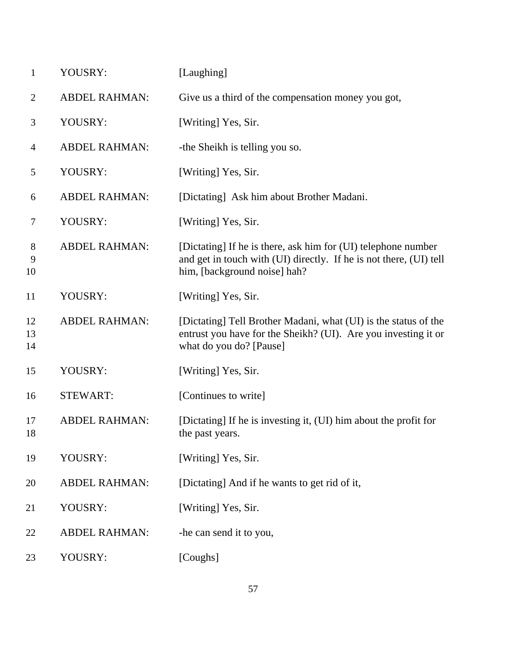| $\mathbf{1}$              | YOUSRY:              | [Laughing]                                                                                                                                                          |
|---------------------------|----------------------|---------------------------------------------------------------------------------------------------------------------------------------------------------------------|
| $\overline{2}$            | <b>ABDEL RAHMAN:</b> | Give us a third of the compensation money you got,                                                                                                                  |
| 3                         | YOUSRY:              | [Writing] Yes, Sir.                                                                                                                                                 |
| 4                         | <b>ABDEL RAHMAN:</b> | -the Sheikh is telling you so.                                                                                                                                      |
| 5                         | YOUSRY:              | [Writing] Yes, Sir.                                                                                                                                                 |
| 6                         | <b>ABDEL RAHMAN:</b> | [Dictating] Ask him about Brother Madani.                                                                                                                           |
| 7                         | YOUSRY:              | [Writing] Yes, Sir.                                                                                                                                                 |
| $8\phantom{1}$<br>9<br>10 | <b>ABDEL RAHMAN:</b> | [Dictating] If he is there, ask him for (UI) telephone number<br>and get in touch with (UI) directly. If he is not there, (UI) tell<br>him, [background noise] hah? |
| 11                        | YOUSRY:              | [Writing] Yes, Sir.                                                                                                                                                 |
| 12<br>13<br>14            | <b>ABDEL RAHMAN:</b> | [Dictating] Tell Brother Madani, what (UI) is the status of the<br>entrust you have for the Sheikh? (UI). Are you investing it or<br>what do you do? [Pause]        |
| 15                        | YOUSRY:              | [Writing] Yes, Sir.                                                                                                                                                 |
| 16                        | <b>STEWART:</b>      | [Continues to write]                                                                                                                                                |
| 17<br>18                  | <b>ABDEL RAHMAN:</b> | [Dictating] If he is investing it, (UI) him about the profit for<br>the past years.                                                                                 |
| 19                        | YOUSRY:              | [Writing] Yes, Sir.                                                                                                                                                 |
| 20                        | <b>ABDEL RAHMAN:</b> | [Dictating] And if he wants to get rid of it,                                                                                                                       |
| 21                        | YOUSRY:              | [Writing] Yes, Sir.                                                                                                                                                 |
| 22                        | <b>ABDEL RAHMAN:</b> | -he can send it to you,                                                                                                                                             |
| 23                        | YOUSRY:              | [Coughs]                                                                                                                                                            |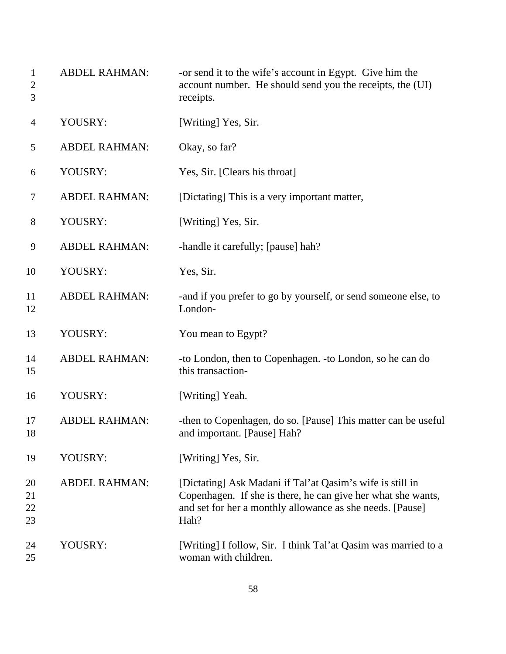| $\mathbf{1}$<br>$\overline{2}$<br>$\mathfrak{Z}$ | <b>ABDEL RAHMAN:</b> | -or send it to the wife's account in Egypt. Give him the<br>account number. He should send you the receipts, the (UI)<br>receipts.                                                             |
|--------------------------------------------------|----------------------|------------------------------------------------------------------------------------------------------------------------------------------------------------------------------------------------|
| 4                                                | YOUSRY:              | [Writing] Yes, Sir.                                                                                                                                                                            |
| 5                                                | <b>ABDEL RAHMAN:</b> | Okay, so far?                                                                                                                                                                                  |
| 6                                                | YOUSRY:              | Yes, Sir. [Clears his throat]                                                                                                                                                                  |
| 7                                                | <b>ABDEL RAHMAN:</b> | [Dictating] This is a very important matter,                                                                                                                                                   |
| 8                                                | YOUSRY:              | [Writing] Yes, Sir.                                                                                                                                                                            |
| 9                                                | <b>ABDEL RAHMAN:</b> | -handle it carefully; [pause] hah?                                                                                                                                                             |
| 10                                               | YOUSRY:              | Yes, Sir.                                                                                                                                                                                      |
| 11<br>12                                         | <b>ABDEL RAHMAN:</b> | -and if you prefer to go by yourself, or send someone else, to<br>London-                                                                                                                      |
| 13                                               | YOUSRY:              | You mean to Egypt?                                                                                                                                                                             |
| 14<br>15                                         | <b>ABDEL RAHMAN:</b> | -to London, then to Copenhagen. -to London, so he can do<br>this transaction-                                                                                                                  |
| 16                                               | YOUSRY:              | [Writing] Yeah.                                                                                                                                                                                |
| 17<br>18                                         | <b>ABDEL RAHMAN:</b> | -then to Copenhagen, do so. [Pause] This matter can be useful<br>and important. [Pause] Hah?                                                                                                   |
| 19                                               | YOUSRY:              | [Writing] Yes, Sir.                                                                                                                                                                            |
| 20<br>21<br>22<br>23                             | <b>ABDEL RAHMAN:</b> | [Dictating] Ask Madani if Tal'at Qasim's wife is still in<br>Copenhagen. If she is there, he can give her what she wants,<br>and set for her a monthly allowance as she needs. [Pause]<br>Hah? |
| 24<br>25                                         | YOUSRY:              | [Writing] I follow, Sir. I think Tal'at Qasim was married to a<br>woman with children.                                                                                                         |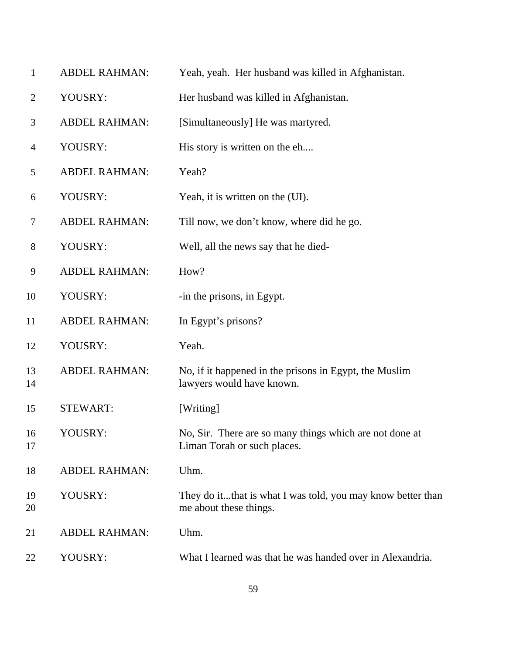| $\mathbf{1}$   | <b>ABDEL RAHMAN:</b> | Yeah, yeah. Her husband was killed in Afghanistan.                                     |
|----------------|----------------------|----------------------------------------------------------------------------------------|
| $\overline{2}$ | YOUSRY:              | Her husband was killed in Afghanistan.                                                 |
| 3              | <b>ABDEL RAHMAN:</b> | [Simultaneously] He was martyred.                                                      |
| $\overline{4}$ | YOUSRY:              | His story is written on the eh                                                         |
| 5              | <b>ABDEL RAHMAN:</b> | Yeah?                                                                                  |
| 6              | YOUSRY:              | Yeah, it is written on the (UI).                                                       |
| $\tau$         | <b>ABDEL RAHMAN:</b> | Till now, we don't know, where did he go.                                              |
| 8              | YOUSRY:              | Well, all the news say that he died-                                                   |
| 9              | <b>ABDEL RAHMAN:</b> | How?                                                                                   |
| 10             | YOUSRY:              | -in the prisons, in Egypt.                                                             |
| 11             | <b>ABDEL RAHMAN:</b> | In Egypt's prisons?                                                                    |
| 12             | YOUSRY:              | Yeah.                                                                                  |
| 13<br>14       | <b>ABDEL RAHMAN:</b> | No, if it happened in the prisons in Egypt, the Muslim<br>lawyers would have known.    |
| 15             | <b>STEWART:</b>      | [Writing]                                                                              |
| 16<br>17       | YOUSRY:              | No, Sir. There are so many things which are not done at<br>Liman Torah or such places. |
| 18             | <b>ABDEL RAHMAN:</b> | Uhm.                                                                                   |
| 19<br>20       | YOUSRY:              | They do itthat is what I was told, you may know better than<br>me about these things.  |
| 21             | <b>ABDEL RAHMAN:</b> | Uhm.                                                                                   |
| 22             | YOUSRY:              | What I learned was that he was handed over in Alexandria.                              |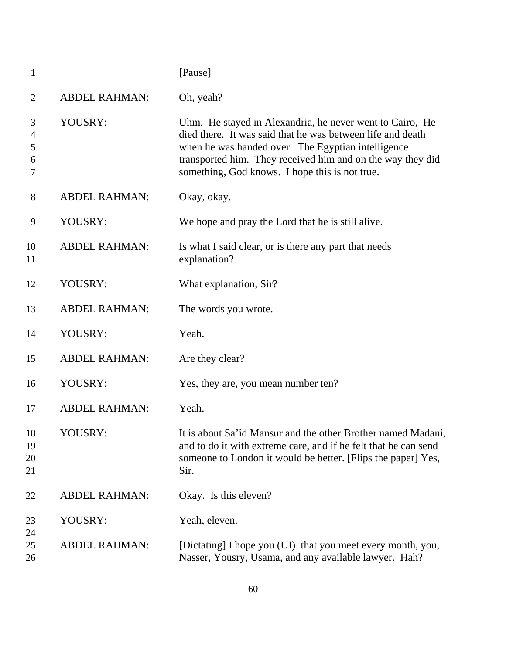| $\mathbf{1}$          |                      | [Pause]                                                                                                                                                                                                                                                                                      |
|-----------------------|----------------------|----------------------------------------------------------------------------------------------------------------------------------------------------------------------------------------------------------------------------------------------------------------------------------------------|
| 2                     | <b>ABDEL RAHMAN:</b> | Oh, yeah?                                                                                                                                                                                                                                                                                    |
| 3<br>4<br>5<br>6<br>7 | YOUSRY:              | Uhm. He stayed in Alexandria, he never went to Cairo, He<br>died there. It was said that he was between life and death<br>when he was handed over. The Egyptian intelligence<br>transported him. They received him and on the way they did<br>something, God knows. I hope this is not true. |
| 8                     | <b>ABDEL RAHMAN:</b> | Okay, okay.                                                                                                                                                                                                                                                                                  |
| 9                     | YOUSRY:              | We hope and pray the Lord that he is still alive.                                                                                                                                                                                                                                            |
| 10<br>11              | <b>ABDEL RAHMAN:</b> | Is what I said clear, or is there any part that needs<br>explanation?                                                                                                                                                                                                                        |
| 12                    | YOUSRY:              | What explanation, Sir?                                                                                                                                                                                                                                                                       |
| 13                    | <b>ABDEL RAHMAN:</b> | The words you wrote.                                                                                                                                                                                                                                                                         |
| 14                    | YOUSRY:              | Yeah.                                                                                                                                                                                                                                                                                        |
| 15                    | <b>ABDEL RAHMAN:</b> | Are they clear?                                                                                                                                                                                                                                                                              |
| 16                    | YOUSRY:              | Yes, they are, you mean number ten?                                                                                                                                                                                                                                                          |
| 17                    | <b>ABDEL RAHMAN:</b> | Yeah.                                                                                                                                                                                                                                                                                        |
| 18<br>19<br>20<br>21  | YOUSRY:              | It is about Sa'id Mansur and the other Brother named Madani,<br>and to do it with extreme care, and if he felt that he can send<br>someone to London it would be better. [Flips the paper] Yes,<br>Sir.                                                                                      |
| 22                    | <b>ABDEL RAHMAN:</b> | Okay. Is this eleven?                                                                                                                                                                                                                                                                        |
| 23                    | YOUSRY:              | Yeah, eleven.                                                                                                                                                                                                                                                                                |
| 24<br>25<br>26        | <b>ABDEL RAHMAN:</b> | [Dictating] I hope you (UI) that you meet every month, you,<br>Nasser, Yousry, Usama, and any available lawyer. Hah?                                                                                                                                                                         |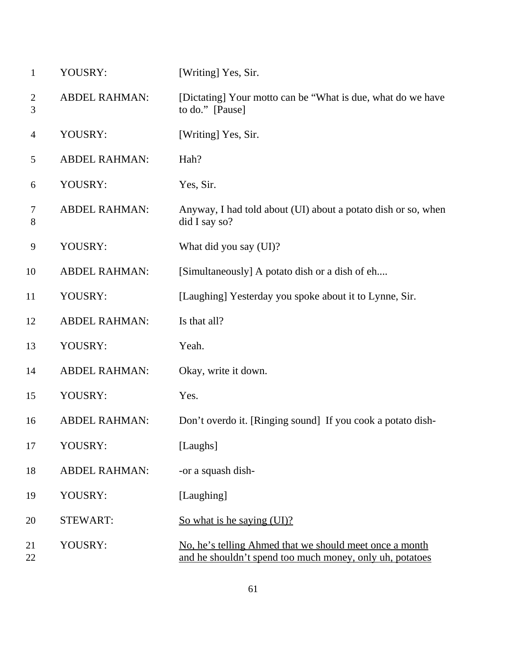| $\mathbf{1}$      | YOUSRY:              | [Writing] Yes, Sir.                                                                                                 |
|-------------------|----------------------|---------------------------------------------------------------------------------------------------------------------|
| $\mathbf{2}$<br>3 | <b>ABDEL RAHMAN:</b> | [Dictating] Your motto can be "What is due, what do we have<br>to do." [Pause]                                      |
| $\overline{4}$    | YOUSRY:              | [Writing] Yes, Sir.                                                                                                 |
| 5                 | <b>ABDEL RAHMAN:</b> | Hah?                                                                                                                |
| 6                 | YOUSRY:              | Yes, Sir.                                                                                                           |
| 7<br>8            | <b>ABDEL RAHMAN:</b> | Anyway, I had told about (UI) about a potato dish or so, when<br>did I say so?                                      |
| 9                 | YOUSRY:              | What did you say (UI)?                                                                                              |
| 10                | <b>ABDEL RAHMAN:</b> | [Simultaneously] A potato dish or a dish of eh                                                                      |
| 11                | YOUSRY:              | [Laughing] Yesterday you spoke about it to Lynne, Sir.                                                              |
| 12                | <b>ABDEL RAHMAN:</b> | Is that all?                                                                                                        |
| 13                | YOUSRY:              | Yeah.                                                                                                               |
| 14                | <b>ABDEL RAHMAN:</b> | Okay, write it down.                                                                                                |
| 15                | YOUSRY:              | Yes.                                                                                                                |
| 16                | <b>ABDEL RAHMAN:</b> | Don't overdo it. [Ringing sound] If you cook a potato dish-                                                         |
| 17                | YOUSRY:              | [Laughs]                                                                                                            |
| 18                | <b>ABDEL RAHMAN:</b> | -or a squash dish-                                                                                                  |
| 19                | YOUSRY:              | [Laughing]                                                                                                          |
| 20                | <b>STEWART:</b>      | So what is he saying (UI)?                                                                                          |
| 21<br>22          | YOUSRY:              | No, he's telling Ahmed that we should meet once a month<br>and he shouldn't spend too much money, only uh, potatoes |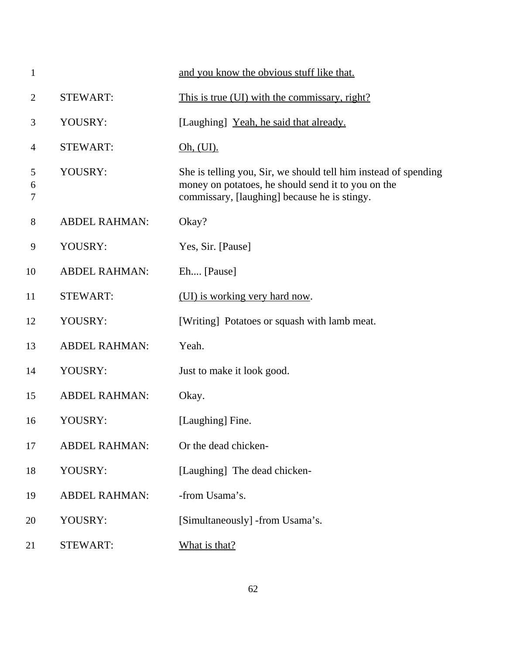| $\mathbf{1}$   |                      | and you know the obvious stuff like that.                                                                                                                             |
|----------------|----------------------|-----------------------------------------------------------------------------------------------------------------------------------------------------------------------|
| $\overline{2}$ | <b>STEWART:</b>      | This is true (UI) with the commissary, right?                                                                                                                         |
| 3              | YOUSRY:              | [Laughing] Yeah, he said that already.                                                                                                                                |
| 4              | <b>STEWART:</b>      | <u>Oh, (UI).</u>                                                                                                                                                      |
| 5<br>6<br>7    | YOUSRY:              | She is telling you, Sir, we should tell him instead of spending<br>money on potatoes, he should send it to you on the<br>commissary, [laughing] because he is stingy. |
| 8              | <b>ABDEL RAHMAN:</b> | Okay?                                                                                                                                                                 |
| 9              | YOUSRY:              | Yes, Sir. [Pause]                                                                                                                                                     |
| 10             | <b>ABDEL RAHMAN:</b> | Eh [Pause]                                                                                                                                                            |
| 11             | <b>STEWART:</b>      | (UI) is working very hard now.                                                                                                                                        |
| 12             | YOUSRY:              | [Writing] Potatoes or squash with lamb meat.                                                                                                                          |
| 13             | <b>ABDEL RAHMAN:</b> | Yeah.                                                                                                                                                                 |
| 14             | YOUSRY:              | Just to make it look good.                                                                                                                                            |
| 15             | <b>ABDEL RAHMAN:</b> | Okay.                                                                                                                                                                 |
| 16             | YOUSRY:              | [Laughing] Fine.                                                                                                                                                      |
| 17             | <b>ABDEL RAHMAN:</b> | Or the dead chicken-                                                                                                                                                  |
| 18             | YOUSRY:              | [Laughing] The dead chicken-                                                                                                                                          |
| 19             | <b>ABDEL RAHMAN:</b> | -from Usama's.                                                                                                                                                        |
| 20             | YOUSRY:              | [Simultaneously] -from Usama's.                                                                                                                                       |
| 21             | <b>STEWART:</b>      | What is that?                                                                                                                                                         |